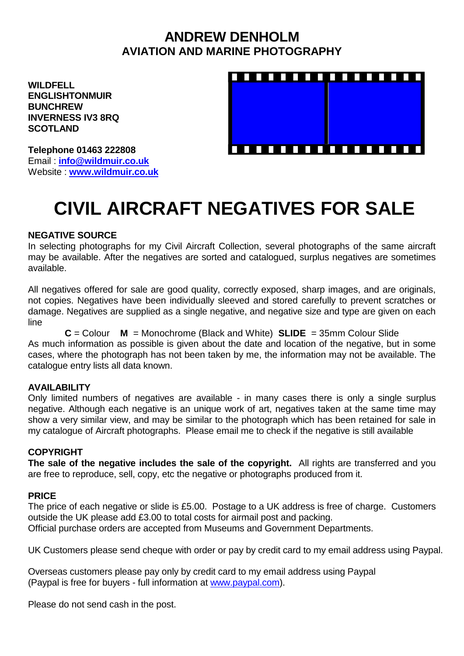## **ANDREW DENHOLM AVIATION AND MARINE PHOTOGRAPHY**

**WILDFELL ENGLISHTONMUIR BUNCHREW INVERNESS IV3 8RQ SCOTLAND**



**Telephone 01463 222808** Email : **[info@wildmuir.co.uk](mailto:info@wildmuir.co.uk)** Website : **[www.wildmuir.co.uk](http://www.wildmuir.co.uk/)**

# **CIVIL AIRCRAFT NEGATIVES FOR SALE**

#### **NEGATIVE SOURCE**

In selecting photographs for my Civil Aircraft Collection, several photographs of the same aircraft may be available. After the negatives are sorted and catalogued, surplus negatives are sometimes available.

All negatives offered for sale are good quality, correctly exposed, sharp images, and are originals, not copies. Negatives have been individually sleeved and stored carefully to prevent scratches or damage. Negatives are supplied as a single negative, and negative size and type are given on each line

**C** = Colour **M** = Monochrome (Black and White) **SLIDE** = 35mm Colour Slide As much information as possible is given about the date and location of the negative, but in some cases, where the photograph has not been taken by me, the information may not be available. The catalogue entry lists all data known.

### **AVAILABILITY**

Only limited numbers of negatives are available - in many cases there is only a single surplus negative. Although each negative is an unique work of art, negatives taken at the same time may show a very similar view, and may be similar to the photograph which has been retained for sale in my catalogue of Aircraft photographs. Please email me to check if the negative is still available

### **COPYRIGHT**

**The sale of the negative includes the sale of the copyright.** All rights are transferred and you are free to reproduce, sell, copy, etc the negative or photographs produced from it.

#### **PRICE**

The price of each negative or slide is £5.00. Postage to a UK address is free of charge. Customers outside the UK please add £3.00 to total costs for airmail post and packing. Official purchase orders are accepted from Museums and Government Departments.

UK Customers please send cheque with order or pay by credit card to my email address using Paypal.

Overseas customers please pay only by credit card to my email address using Paypal (Paypal is free for buyers - full information at [www.paypal.com\)](http://www.paypal.com/).

Please do not send cash in the post.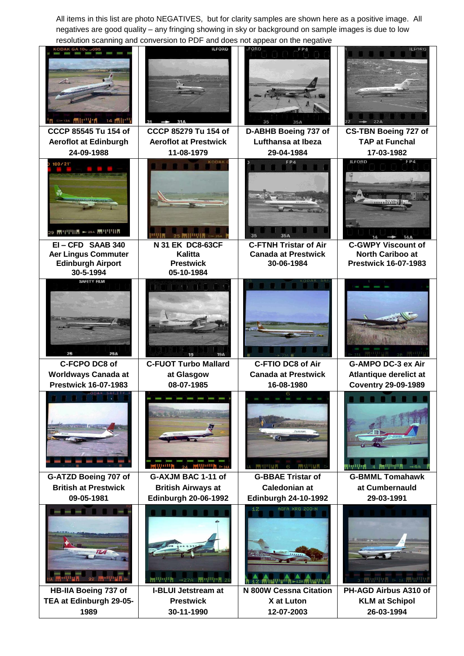All items in this list are photo NEGATIVES, but for clarity samples are shown here as a positive image. All negatives are good quality – any fringing showing in sky or background on sample images is due to low resolution scanning and conversion to PDF and does not appear on the negative

| $>$ 13A $\blacksquare$<br>$14$ $\frac{1}{10}$ $\left  \frac{1}{1} \right $             | <b>ILFORD</b>                                                                  | FORD<br>FP4<br>35<br>35A                                                        | <b>ILFORD</b>                                                                       |
|----------------------------------------------------------------------------------------|--------------------------------------------------------------------------------|---------------------------------------------------------------------------------|-------------------------------------------------------------------------------------|
| CCCP 85545 Tu 154 of<br><b>Aeroflot at Edinburgh</b><br>24-09-1988                     | CCCP 85279 Tu 154 of<br><b>Aeroflot at Prestwick</b><br>11-08-1979             | D-ABHB Boeing 737 of<br>Lufthansa at Ibeza<br>29-04-1984                        | <b>CS-TBN Boeing 727 of</b><br><b>TAP at Funchal</b><br>17-03-1982                  |
| $100/21$ °<br><b>MUULLE</b> - 29A MUULLE                                               | <b>KODAK</b>                                                                   | FPA<br>35                                                                       | <b>ILFORD</b><br>FPA                                                                |
| EI-CFD SAAB 340<br><b>Aer Lingus Commuter</b><br><b>Edinburgh Airport</b><br>30-5-1994 | N 31 EK DC8-63CF<br>Kalitta<br><b>Prestwick</b><br>05-10-1984                  | <b>C-FTNH Tristar of Air</b><br><b>Canada at Prestwick</b><br>30-06-1984        | <b>C-GWPY Viscount of</b><br><b>North Cariboo at</b><br><b>Prestwick 16-07-1983</b> |
| <b>SAFETY FILM</b>                                                                     |                                                                                |                                                                                 |                                                                                     |
| C-FCPO DC8 of<br><b>Worldways Canada at</b>                                            | <b>C-FUOT Turbo Mallard</b><br>at Glasgow                                      | <b>C-FTIO DC8 of Air</b><br><b>Canada at Prestwick</b>                          | <b>G-AMPO DC-3 ex Air</b><br>Atlantique derelict at                                 |
| <b>Prestwick 16-07-1983</b>                                                            | 08-07-1985                                                                     | 16-08-1980                                                                      | <b>Coventry 29-09-1989</b>                                                          |
| <b>The End End End End of</b>                                                          |                                                                                | 6 同业 11月<br><b>THRUSHINE</b>                                                    |                                                                                     |
| G-ATZD Boeing 707 of<br><b>British at Prestwick</b><br>09-05-1981                      | G-AXJM BAC 1-11 of<br><b>British Airways at</b><br><b>Edinburgh 20-06-1992</b> | <b>G-BBAE Tristar of</b><br><b>Caledonian at</b><br><b>Edinburgh 24-10-1992</b> | <b>G-BMML Tomahawk</b><br>at Cumbernauld<br>29-03-1991                              |
|                                                                                        | ₩ 1 0 0 27A ₩ 1 0 1 28                                                         | 12<br><b>AGFA XRG 200-N</b><br>12 MWVVVIII - 12A MWVVI                          | $3$ FRW 4 $\mathbb{R}$ $\approx$ 3A FRW 4 $\mathbb{R}$                              |
| HB-IIA Boeing 737 of<br>TEA at Edinburgh 29-05-                                        | <b>I-BLUI Jetstream at</b><br><b>Prestwick</b>                                 | N 800W Cessna Citation<br>X at Luton                                            | PH-AGD Airbus A310 of<br><b>KLM at Schipol</b>                                      |
| 1989                                                                                   | 30-11-1990                                                                     | 12-07-2003                                                                      | 26-03-1994                                                                          |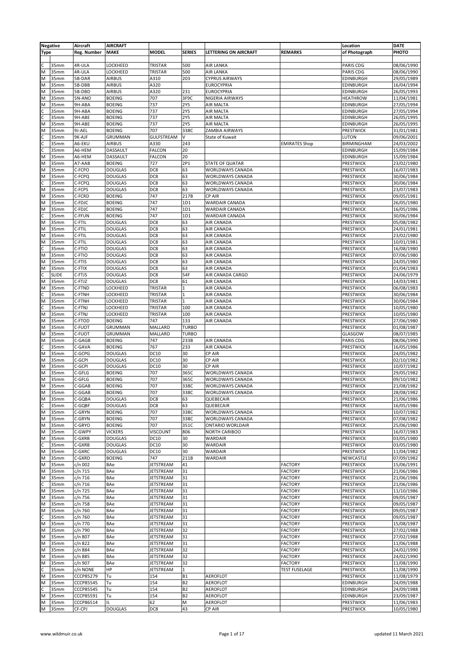|             | <b>Negative</b> | Aircraft         | <b>AIRCRAFT</b>                  |                  |               |                              |                      | Location                      | <b>DATE</b>              |
|-------------|-----------------|------------------|----------------------------------|------------------|---------------|------------------------------|----------------------|-------------------------------|--------------------------|
| <b>Type</b> |                 | Reg. Number      | <b>MAKE</b>                      | <b>MODEL</b>     | <b>SERIES</b> | <b>LETTERING ON AIRCRAFT</b> | <b>REMARKS</b>       | of Photograph                 | PHOTO                    |
|             |                 |                  |                                  |                  |               |                              |                      |                               |                          |
| C           | 35mm            | 4R-ULA           | LOCKHEED                         | TRISTAR          | 500           | <b>AIR LANKA</b>             |                      | PARIS CDG                     | 08/06/1990               |
| M           | 35mm            | 4R-ULA           | LOCKHEED                         | TRISTAR          | 500           | AIR LANKA                    |                      | PARIS CDG                     | 08/06/1990               |
| M           | 35mm            | 5B-DAR           | <b>AIRBUS</b>                    | A310             | 203           | <b>CYPRUS AIRWAYS</b>        |                      | EDINBURGH                     | 29/05/1989               |
| M           | 35mm            | 5B-DBB           | <b>AIRBUS</b>                    | A320             |               | <b>EUROCYPRIA</b>            |                      | EDINBURGH                     | 16/04/1994               |
| M           | 35mm            | 5B-DBD           | <b>AIRBUS</b>                    | A320             | 231           | EUROCYPRIA                   |                      | <b>EDINBURGH</b>              | 26/05/1993               |
| M           | 35mm            | 5N-ANO           | <b>BOEING</b>                    | 707              | 3F9C          | NIGERIA AIRWAYS              |                      | <b>HEATHROW</b>               | 11/04/1981               |
| M           | 35mm            | 9H-ABA           | <b>BOEING</b>                    | 737              | <b>2Y5</b>    | AIR MALTA                    |                      | <b>EDINBURGH</b>              | 27/05/1994               |
| C           | 35mm            | 9H-ABA           | <b>BOEING</b>                    | 737              | <b>2Y5</b>    | AIR MALTA                    |                      | <b>EDINBURGH</b>              | 27/05/1994               |
| C           | 35mm            | 9H-ABE           | <b>BOEING</b>                    | 737              | <b>2Y5</b>    | <b>AIR MALTA</b>             |                      | <b>EDINBURGH</b>              | 26/05/1995               |
| M           | 35mm            | 9H-ABE           | <b>BOEING</b>                    | 737              | <b>2Y5</b>    | AIR MALTA                    |                      | EDINBURGH                     | 26/05/1995               |
| M           | 35mm            | 9J-AEL           | <b>BOEING</b>                    | 707              | 338C          | ZAMBIA AIRWAYS               |                      | PRESTWICK                     | 31/01/1981               |
|             | 35mm            | 9K-AJF           | <b>GRUMMAN</b>                   | GULFSTREAM       | $\vee$        | State of Kuwait              |                      | LUTON                         | 09/06/2001               |
| C           | 35mm            | A6-EKU           | <b>AIRBUS</b>                    | A330             | 243           |                              | <b>EMIRATES Shop</b> | <b>BIRMINGHAM</b>             | 24/03/2002               |
|             | 35mm            | A6-HEM           | DASSAULT                         | <b>FALCON</b>    | 20            |                              |                      | EDINBURGH                     | 15/09/1984               |
| M           | 35mm            | A6-HEM           | DASSAULT                         | FALCON           | 20            |                              |                      | EDINBURGH                     | 15/09/1984               |
| M           | 35mm            | A7-AAB           | <b>BOEING</b>                    | 727              | 2P1           | STATE OF QUATAR              |                      | PRESTWICK                     | 23/02/1980               |
| M           | 35mm            | C-FCPO           | <b>DOUGLAS</b>                   | DC8              | 63            | WORLDWAYS CANADA             |                      | <b>PRESTWICK</b>              | 16/07/1983               |
| M           | 35mm            | C-FCPQ           | <b>DOUGLAS</b>                   | DC8              | 63            | WORLDWAYS CANADA             |                      | PRESTWICK                     | 30/06/1984               |
| C           | 35mm            | C-FCPQ           | <b>DOUGLAS</b>                   | DC8              | 63            | WORLDWAYS CANADA             |                      | PRESTWICK                     | 30/06/1984               |
| M           | 35mm            | C-FCPS           | <b>DOUGLAS</b>                   | DC8              | 63            | WORLDWAYS CANADA             |                      | PRESTWICK                     | 23/07/1983               |
| M           | 35mm            | C-FCRD           | <b>BOEING</b>                    | 747              | 217B          | CP AIR                       |                      | PRESTWICK                     | 09/05/1981               |
| M           | 35mm            | C-FDJC           | <b>BOEING</b>                    | 747              | 1D1           | WARDAIR CANADA               |                      | PRESTWICK                     | 26/05/1980               |
| M           | 35mm            | C-FDJC           | <b>BOEING</b>                    | 747              | 1D1           | WARDAIR CANADA               |                      | PRESTWICK                     | 16/05/1986               |
|             | 35mm            | C-FFUN           | <b>BOEING</b>                    | 747              | 1D1           | WARDAIR CANADA               |                      | PRESTWICK                     | 30/06/1984               |
| M           | 35mm            | C-FTIL           | <b>DOUGLAS</b>                   | DC8              | 63            | AIR CANADA                   |                      | PRESTWICK                     | 05/08/1982               |
| M           | 35mm            | C-FTIL           | <b>DOUGLAS</b>                   | DC8              | 63            | AIR CANADA                   |                      | PRESTWICK                     | 24/01/1981               |
| M           | 35mm            | C-FTIL           | <b>DOUGLAS</b>                   | DC8              | 63            | AIR CANADA                   |                      |                               |                          |
|             |                 |                  |                                  | DC8              | 63            |                              |                      | PRESTWICK<br><b>PRESTWICK</b> | 23/02/1980               |
| M           | 35mm            | C-FTIL           | <b>DOUGLAS</b>                   |                  |               | AIR CANADA                   |                      |                               | 10/01/1981               |
| C<br>M      | 35mm<br>35mm    | C-FTIO<br>C-FTIO | <b>DOUGLAS</b><br><b>DOUGLAS</b> | DC8<br>DC8       | 63<br>63      | AIR CANADA<br>AIR CANADA     |                      | PRESTWICK<br>PRESTWICK        | 16/08/1980<br>07/06/1980 |
|             |                 |                  |                                  |                  |               |                              |                      |                               |                          |
| M           | 35mm            | C-FTIS           | <b>DOUGLAS</b>                   | DC8              | 63            | AIR CANADA                   |                      | PRESTWICK                     | 24/05/1980               |
| M           | 35mm            | C-FTIX           | <b>DOUGLAS</b>                   | DC8              | 63            | AIR CANADA                   |                      | PRESTWICK                     | 01/04/1983               |
| C           | <b>SLIDE</b>    | C-FTJS           | <b>DOUGLAS</b>                   | DC8              | 54F           | AIR CANADA CARGO             |                      | PRESTWICK                     | 24/06/1979               |
| M           | 35mm            | C-FTJZ           | <b>DOUGLAS</b>                   | DC8              | 61            | AIR CANADA                   |                      | PRESTWICK                     | 14/03/1981               |
| M           | 35mm            | C-FTND           | LOCKHEED                         | TRISTAR          | $\mathbf{1}$  | AIR CANADA                   |                      | PRESTWICK                     | 06/08/1983               |
| C           | 35mm            | C-FTNH           | LOCKHEED                         | TRISTAR          | $\mathbf{1}$  | AIR CANADA                   |                      | PRESTWICK                     | 30/06/1984               |
| M           | 35mm            | C-FTNH           | LOCKHEED                         | TRISTAR          | $\mathbf{1}$  | AIR CANADA                   |                      | PRESTWICK                     | 30/06/1984               |
| C           | 35mm            | C-FTNJ           | LOCKHEED                         | TRISTAR          | 100           | AIR CANADA                   |                      | PRESTWICK                     | 10/05/1980               |
| M           | 35mm            | C-FTNJ           | LOCKHEED                         | <b>TRISTAR</b>   | 100           | AIR CANADA                   |                      | PRESTWICK                     | 10/05/1980               |
| M           | 35mm            | C-FTOD           | <b>BOEING</b>                    | 747              | 133           | AIR CANADA                   |                      | PRESTWICK                     | 27/06/1980               |
| M           | 35mm            | C-FUOT           | <b>GRUMMAN</b>                   | MALLARD          | <b>TURBO</b>  |                              |                      | PRESTWICK                     | 01/08/1987               |
| M           | 35mm            | C-FUOT           | <b>GRUMMAN</b>                   | MALLARD          | <b>TURBO</b>  |                              |                      | GLASGOW                       | 08/07/1985               |
| M           | 35mm            | C-GAGB           | <b>BOEING</b>                    | 747              | 233B          | AIR CANADA                   |                      | PARIS CDG                     | 08/06/1990               |
| C           | 35mm            | C-GAVA           | <b>BOEING</b>                    | 767              | 233           | <b>AIR CANADA</b>            |                      | <b>PRESTWICK</b>              | 16/05/1986               |
| M           | 35mm            | C-GCPG           | <b>DOUGLAS</b>                   | DC10             | 30            | CP AIR                       |                      | PRESTWICK                     | 24/05/1982               |
| M           | 35mm            | C-GCPI           | <b>DOUGLAS</b>                   | <b>DC10</b>      | 30            | CP AIR                       |                      | PRESTWICK                     | 02/10/1982               |
| M           | 35mm            | C-GCPI           | <b>DOUGLAS</b>                   | <b>DC10</b>      | 30            | CP AIR                       |                      | PRESTWICK                     | 10/07/1982               |
| M           | 35mm            | C-GFLG           | <b>BOEING</b>                    | 707              | 365C          | WORLDWAYS CANADA             |                      | PRESTWICK                     | 29/05/1982               |
| M           | 35mm            | C-GFLG           | <b>BOEING</b>                    | 707              | 365C          | WORLDWAYS CANADA             |                      | PRESTWICK                     | 09/10/1982               |
| M           | 35mm            | C-GGAB           | <b>BOEING</b>                    | 707              | 338C          | WORLDWAYS CANADA             |                      | PRESTWICK                     | 21/08/1982               |
| M           | 35mm            | C-GGAB           | <b>BOEING</b>                    | 707              | 338C          | WORLDWAYS CANADA             |                      | PRESTWICK                     | 28/08/1982               |
| M           | 35mm            | C-GQBA           | <b>DOUGLAS</b>                   | DC8              | 63            | QUEBECAIR                    |                      | PRESTWICK                     | 21/06/1986               |
| C           | 35mm            | C-GQBF           | <b>DOUGLAS</b>                   | DC8              | 63            | QUEBECAIR                    |                      | PRESTWICK                     | 16/05/1986               |
| M           | 35mm            | C-GRYN           | <b>BOEING</b>                    | 707              | 338C          | WORLDWAYS CANADA             |                      | <b>PRESTWICK</b>              | 10/07/1982               |
| M           | 35mm            | C-GRYN           | <b>BOEING</b>                    | 707              | 338C          | <b>WORLDWAYS CANADA</b>      |                      | PRESTWICK                     | 07/08/1982               |
| M           | 35mm            | C-GRYO           | <b>BOEING</b>                    | 707              | 351C          | <b>ONTARIO WORLDAIR</b>      |                      | <b>PRESTWICK</b>              | 25/06/1980               |
| M           | 35mm            | C-GWPY           | <b>VICKERS</b>                   | <b>VISCOUNT</b>  | 806           | <b>NORTH CARIBOO</b>         |                      | PRESTWICK                     | 16/07/1983               |
| M           | 35mm            | C-GXRB           | <b>DOUGLAS</b>                   | DC10             | 30            | WARDAIR                      |                      | PRESTWICK                     | 03/05/1980               |
|             | 35mm            | C-GXRB           | <b>DOUGLAS</b>                   | <b>DC10</b>      | 30            | WARDAIR                      |                      | <b>PRESTWICK</b>              | 03/05/1980               |
| M           | 35mm            | C-GXRC           | <b>DOUGLAS</b>                   | DC10             | 30            | WARDAIR                      |                      | PRESTWICK                     | 11/04/1982               |
| M           | 35mm            | C-GXRD           | <b>BOEING</b>                    | 747              | 211B          | WARDAIR                      |                      | NEWCASTLE                     | 07/09/1982               |
| M           | 35mm            | c/n 002          | BAe                              | JETSTREAM        | 41            |                              | <b>FACTORY</b>       | PRESTWICK                     | 15/06/1991               |
| M           | 35mm            | c/n 715          | BAe                              | JETSTREAM        | 31            |                              | <b>FACTORY</b>       | PRESTWICK                     | 21/06/1986               |
| M           | 35mm            | $c/n$ 716        | BAe                              | <b>JETSTREAM</b> | 31            |                              | <b>FACTORY</b>       | <b>PRESTWICK</b>              | 21/06/1986               |
|             | 35mm            | c/n 716          | BAe                              | JETSTREAM        | 31            |                              | <b>FACTORY</b>       | PRESTWICK                     | 21/06/1986               |
| M           | 35mm            | c/n 725          | BAe                              | JETSTREAM        | 31            |                              | <b>FACTORY</b>       | <b>PRESTWICK</b>              | 11/10/1986               |
| M           | 35mm            | c/n 756          | BAe                              | JETSTREAM        | 31            |                              | <b>FACTORY</b>       | PRESTWICK                     | 09/05/1987               |
| M           | 35mm            | c/n 758          | BAe                              | JETSTREAM        | 31            |                              | <b>FACTORY</b>       | PRESTWICK                     | 09/05/1987               |
| M           | 35mm            | c/n 760          | BAe                              | JETSTREAM        | 31            |                              | <b>FACTORY</b>       | <b>PRESTWICK</b>              | 09/05/1987               |
|             | 35mm            | c/n 760          | BAe                              | JETSTREAM        | 31            |                              | <b>FACTORY</b>       | PRESTWICK                     | 09/05/1987               |
| M           | 35mm            | c/n 770          | BAe                              | JETSTREAM        | 31            |                              | <b>FACTORY</b>       | <b>PRESTWICK</b>              | 15/08/1987               |
| M           | 35mm            | c/n 790          | BAe                              | JETSTREAM        | 32            |                              | <b>FACTORY</b>       | PRESTWICK                     | 27/02/1988               |
| M           | 35mm            | c/n 807          | BAe                              | JETSTREAM        | 31            |                              | <b>FACTORY</b>       | <b>PRESTWICK</b>              | 27/02/1988               |
| M           | 35mm            | c/n 822          | BAe                              | <b>JETSTREAM</b> | 31            |                              | <b>FACTORY</b>       | <b>PRESTWICK</b>              | 11/06/1988               |
| M           | 35mm            | c/n 884          | BAe                              | JETSTREAM        | 32            |                              | <b>FACTORY</b>       | PRESTWICK                     | 24/02/1990               |
| M           | 35mm            | c/n 885          | BAe                              | JETSTREAM        | 32            |                              | <b>FACTORY</b>       | <b>PRESTWICK</b>              | 24/02/1990               |
| M           | 35mm            | c/n 907          | BAe                              | JETSTREAM        | 32            |                              | <b>FACTORY</b>       | PRESTWICK                     | 11/08/1990               |
| C           | 35mm            | c/n NONE         | HP                               | JETSTREAM        | $\mathbf{1}$  |                              | <b>TEST FUSELAGE</b> | PRESTWICK                     | 11/08/1990               |
| M           | 35mm            | CCCP85279        | Tu                               | 154              | <b>B1</b>     | <b>AEROFLOT</b>              |                      | <b>PRESTWICK</b>              | 11/08/1979               |
| M           | 35mm            | CCCP85545        | Tu                               | 154              | <b>B2</b>     | AEROFLOT                     |                      | <b>EDINBURGH</b>              | 24/09/1988               |
| C           | 35mm            | CCCP85545        | Tu                               | 154              | <b>B2</b>     | AEROFLOT                     |                      | <b>EDINBURGH</b>              | 24/09/1988               |
| M           | 35mm            | CCCP85591        | Tu                               | 154              | <b>B2</b>     | AEROFLOT                     |                      | <b>EDINBURGH</b>              | 23/09/1987               |
| M           | 35mm            | CCCP86514        | IL                               | 62               | M             | AEROFLOT                     |                      | PRESTWICK                     | 11/06/1983               |
| M           | 35mm            | CF-CPJ           | <b>DOUGLAS</b>                   | DC8              | 43            | CP AIR                       |                      | <b>PRESTWICK</b>              | 10/05/1980               |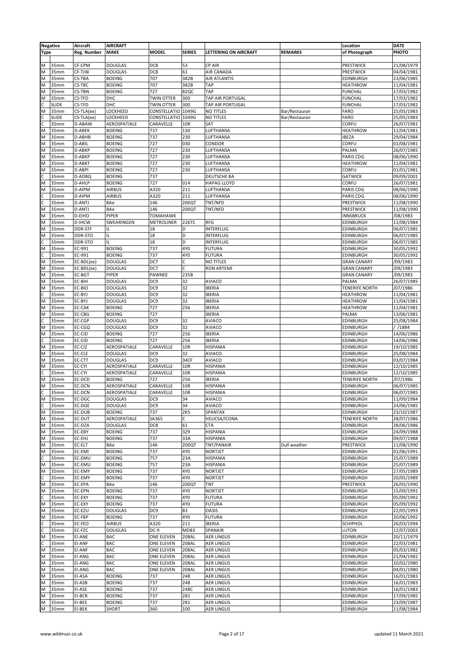|             | <b>Negative</b> | Aircraft         | <b>AIRCRAFT</b>                  |                                    |                |                                        |                | Location                                 | <b>DATE</b>              |
|-------------|-----------------|------------------|----------------------------------|------------------------------------|----------------|----------------------------------------|----------------|------------------------------------------|--------------------------|
| <b>Type</b> |                 | Reg. Number      | <b>MAKE</b>                      | <b>MODEL</b>                       | <b>SERIES</b>  | <b>LETTERING ON AIRCRAFT</b>           | <b>REMARKS</b> | of Photograph                            | PHOTO                    |
|             |                 |                  |                                  |                                    |                |                                        |                |                                          |                          |
| M           | 35mm            | CF-CPM           | <b>DOUGLAS</b>                   | DC8                                | 53             | CP AIR                                 |                | PRESTWICK                                | 21/08/1979               |
| M           | 35mm            | CF-TJW           | <b>DOUGLAS</b>                   | DC8                                | 61             | AIR CANADA                             |                | PRESTWICK                                | 04/04/1981               |
| M           | 35mm            | CS-TBA           | <b>BOEING</b>                    | 707                                | 382B           | AIR ATLANTIS                           |                | <b>EDINBURGH</b>                         | 23/06/1985               |
| M           | 35mm            | CS-TBC           | <b>BOEING</b>                    | 707                                | 382B           | TAP                                    |                | HEATHROW                                 | 11/04/1981               |
| M           | 35mm            | <b>CS-TBN</b>    | <b>BOEING</b>                    | 727                                | 82QC           | TAP                                    |                | <b>FUNCHAL</b>                           | 17/03/1982               |
| M           | 35mm            | CS-TFD           | DHC                              | <b>TWIN OTTER</b>                  | 300            | TAP AIR PORTUGAL                       |                | <b>FUNCHAL</b>                           | 17/03/1982               |
|             | <b>SLIDE</b>    | CS-TFD           | DHC                              | <b>TWIN OTTER</b>                  | 300            | TAP AIR PORTUGAL                       |                | <b>FUNCHAL</b>                           | 17/03/1982               |
| M           | 35mm            | CS-TLA(ex)       | LOCKHEED                         | CONSTELLATIO                       | 1049G          | <b>NO TITLES</b>                       | Bar/Restauran  | FARO                                     | 25/05/1983               |
|             | <b>SLIDE</b>    | CS-TLA(ex)       | LOCKHEED                         | CONSTELLATIO 1049G                 |                | <b>NO TITLES</b>                       | Bar/Restauran  | FARO                                     | 25/05/1983               |
| C           | 35mm            | D-ABAW           | AEROSPATIALE                     | CARAVELLE                          | <b>10R</b>     | SAT                                    |                | CORFU                                    | 26/07/1981               |
| M           | 35mm            | D-ABEK           | <b>BOEING</b>                    | 737                                | 130            | LUFTHANSA                              |                | <b>HEATHROW</b>                          | 11/04/1981               |
| M           | 35mm            | D-ABHB           | <b>BOEING</b>                    | 737                                | 230            | LUFTHANSA                              |                | <b>IBEZA</b>                             | 29/04/1984               |
| M           | 35mm            | D-ABIL           | <b>BOEING</b>                    | 727                                | 030            | CONDOR                                 |                | CORFU                                    | 01/08/1981               |
| M           | 35mm            | D-ABKP           | <b>BOEING</b>                    | 727                                | 230            | LUFTHANSA                              |                | PALMA                                    | 26/07/1985               |
| M           | 35mm            | D-ABKP           | <b>BOEING</b>                    | 727                                | 230            | LUFTHANSA                              |                | PARIS CDG                                | 08/06/1990               |
| M           | 35mm            | D-ABKT           | <b>BOEING</b>                    | 727                                | 230            | LUFTHANSA                              |                | <b>HEATHROW</b>                          | 11/04/1981               |
| M           | 35mm            | D-ABPI           | <b>BOEING</b>                    | 727                                | 230            | LUFTHANSA                              |                | CORFU                                    | 01/01/1981               |
| C           | 35mm            | D-ADBQ           | <b>BOEING</b>                    | 737                                |                | DEUTSCHE BA                            |                | <b>GATWICK</b>                           | 09/09/2001               |
| M           | 35mm            | D-AHLP           | <b>BOEING</b>                    | 727                                | 014            | <b>HAPAG LLOYD</b>                     |                | CORFU                                    | 26/07/1981               |
| M           | 35mm            | D-AIPM           | <b>AIRBUS</b>                    | A320                               | 211            | LUFTHANSA                              |                | PARIS CDG                                | 08/06/1990               |
|             | 35mm            | D-AIPM           | <b>AIRBUS</b>                    | A320                               | 211            | LUFTHANSA                              |                | PARIS CDG                                | 08/06/1990               |
| C           | 35mm            | D-ANTJ           | BAe                              | 146                                | 200QT          | TNT/NFD                                |                | PRESTWICK                                | 11/08/1990               |
| M           | 35mm            | D-ANTJ           | BAe                              | 146                                | 200QT          | TNT/NFD                                |                | PRESTWICK                                | 11/08/1990               |
| M           | 35mm            | D-EIHO           | PIPER                            | <b>TOMAHAWK</b>                    |                |                                        |                | <b>INNSBRUCK</b>                         | /08/1983                 |
| M           | 35mm            | D-IHCW           | SWEARINGEN                       | <b>METROLINER</b>                  | 226TC          | <b>RFG</b>                             |                | <b>EDINBURGH</b>                         | 11/08/1984               |
| M           | 35mm            | DDR-STF          | IL                               | 18                                 | D              | INTERFLUG                              |                | EDINBURGH                                | 06/07/1985               |
| M           | 35mm            | DDR-STO          | IL                               | 18                                 | D              | INTERFLUG                              |                | EDINBURGH                                | 06/07/1985               |
| C           | 35mm            | DDR-STO          | IL.                              | 18                                 | D              | INTERFLUG                              |                | <b>EDINBURGH</b>                         | 06/07/1985               |
| M           | 35mm            | EC-991           | <b>BOEING</b>                    | 737                                | 4Y0            | <b>FUTURA</b>                          |                | <b>EDINBURGH</b>                         | 30/05/1992               |
| c           | 35mm            | EC-991           | <b>BOEING</b>                    | 737                                | 4Y0            | <b>FUTURA</b>                          |                | <b>EDINBURGH</b>                         | 30/05/1992               |
| M           | 35mm            | EC-BDL(ex)       | <b>DOUGLAS</b>                   | DC7                                | C<br>C         | NO TITLES                              |                | <b>GRAN CANARY</b>                       | /09/1983                 |
| M           | 35mm            | EC-BDL(ex)       | <b>DOUGLAS</b>                   | DC7<br>PAWNEE                      | 235B           | <b>RON ARTEMI</b>                      |                | <b>GRAN CANARY</b>                       | /09/1983                 |
| M           | 35mm            | EC-BGT           | PIPER                            | DC <sub>9</sub>                    | 32             |                                        |                | <b>GRAN CANARY</b>                       | /09/1983                 |
| M           | 35mm            | EC-BIH<br>EC-BIO | <b>DOUGLAS</b>                   |                                    | 32             | AVIACO<br><b>IBERIA</b>                |                | PALMA                                    | 26/07/1985               |
| M           | 35mm<br>35mm    | EC-BYJ           | <b>DOUGLAS</b><br><b>DOUGLAS</b> | DC <sub>9</sub><br>DC <sub>9</sub> | 32             | <b>IBERIA</b>                          |                | <b>TENERIFE NORTH</b><br><b>HEATHROW</b> | /07/1986                 |
| M           | 35mm            | EC-BYJ           | <b>DOUGLAS</b>                   | DC9                                | 32             | <b>IBERIA</b>                          |                | <b>HEATHROW</b>                          | 11/04/1981<br>11/04/1981 |
| M           | 35mm            | EC-CAK           | <b>BOEING</b>                    | 727                                | 256            | <b>IBERIA</b>                          |                | <b>HEATHROW</b>                          | 11/04/1981               |
| M           | 35mm            | EC-CBG           | <b>BOEING</b>                    | 727                                |                | <b>IBERIA</b>                          |                | PALMA                                    | 13/06/1981               |
| C           | 35mm            | EC-CGP           | <b>DOUGLAS</b>                   | DC <sub>9</sub>                    | 32             | AVIACO                                 |                | <b>EDINBURGH</b>                         | 25/08/1984               |
| M           | 35mm            | EC-CGQ           | <b>DOUGLAS</b>                   | DC <sub>9</sub>                    | 32             | <b>AVIACO</b>                          |                | <b>EDINBURGH</b>                         | /1884                    |
| M           | 35mm            | EC-CID           | <b>BOEING</b>                    | 727                                | 256            | <b>IBERIA</b>                          |                | <b>EDINBURGH</b>                         | 14/06/1986               |
| C           | 35mm            | EC-CID           | <b>BOEING</b>                    | 727                                | 256            | <b>IBERIA</b>                          |                | <b>EDINBURGH</b>                         | 14/06/1986               |
| M           | 35mm            | EC-CIZ           | AEROSPATIALE                     | CARAVELLE                          | 10R            | <b>HISPANIA</b>                        |                | <b>EDINBURGH</b>                         | 19/10/1985               |
| M           | 35mm            | EC-CLE           | <b>DOUGLAS</b>                   | DC <sub>9</sub>                    | 32             | AVIACO                                 |                | <b>EDINBURGH</b>                         | 25/08/1984               |
| M           | 35mm            | EC-CTT           | <b>DOUGLAS</b>                   | DC <sub>9</sub>                    | 34CF           | <b>AVIACO</b>                          |                | <b>EDINBURGH</b>                         | 03/07/1984               |
| M           | 35mm            | EC-CYI           | AEROSPATIALE                     | CARAVELLE                          | 10R            | <b>HISPANIA</b>                        |                | EDINBURGH                                | 12/10/1985               |
| C           | 35mm            | EC-CYI           | AEROSPATIALE                     | CARAVELLE                          | 10R            | HISPANIA                               |                | EDINBURGH                                | 12/10/1985               |
| M           | 35mm            | EC-DCD           | <b>BOEING</b>                    | 727                                | 256            | <b>IBERIA</b>                          |                | <b>TENERIFE NORTH</b>                    | /07/1986                 |
| M           | 35mm            | EC-DCN           | AEROSPATIALE                     | CARAVELLE                          | <b>10R</b>     | <b>HISPANIA</b>                        |                | <b>EDINBURGH</b>                         | 06/07/1985               |
| C           | 35mm            | EC-DCN           | AEROSPATIALE                     | CARAVELLE                          | 10R            | <b>HISPANIA</b>                        |                | EDINBURGH                                | 06/07/1985               |
| M           | 35mm            | EC-DGC           | <b>DOUGLAS</b>                   | DC <sub>9</sub>                    | 34             | AVIACO                                 |                | <b>EDINBURGH</b>                         | 11/09/1984               |
| C           | 35mm            | EC-DGE           | <b>DOUGLAS</b>                   | DC <sub>9</sub>                    | 34             | AVIACO                                 |                | <b>EDINBURGH</b>                         | 24/06/1985               |
| M           | 35mm            | <b>EC-DUB</b>    | <b>BOEING</b>                    | 737                                | <b>2K5</b>     | SPANTAX                                |                | <b>EDINBURGH</b>                         | 23/10/1987               |
| M           | 35mm            | EC-DUT           | AEROSPATIALE                     | SA365                              | C              | HELICSA/ICONA                          |                | <b>TENERIFE NORTH</b>                    | 28/07/1986               |
| M           | 35mm            | EC-DZA           | <b>DOUGLAS</b>                   | DC8                                | 61             | CTA                                    |                | <b>EDINBURGH</b>                         | 28/06/1986               |
| M           | 35mm            | EC-EBY           | <b>BOEING</b>                    | 737                                | 3Z9            | <b>HISPANIA</b>                        |                | <b>EDINBURGH</b>                         | 24/09/1988               |
| M           | 35mm            | EC-EHJ           | <b>BOEING</b>                    | 737                                | 33A            | <b>HISPANIA</b>                        |                | <b>EDINBURGH</b>                         | 09/07/1988               |
| M           | 35mm            | EC-ELT           | BAe                              | 146                                | 200QT          | TNT/PANAIR                             | Dull weather   | PRESTWICK                                | 11/08/1990               |
| M           | 35mm            | EC-EMI           | <b>BOEING</b>                    | 737                                | 4Y0            | <b>NORTJET</b>                         |                | <b>EDINBURGH</b>                         | 01/06/1991               |
|             | 35mm            | EC-EMU           | <b>BOEING</b>                    | 757                                | 23A            | <b>HISPANIA</b>                        |                | <b>EDINBURGH</b>                         | 25/07/1989               |
| M           | 35mm            | EC-EMU           | <b>BOEING</b>                    | 757                                | 23A            | HISPANIA                               |                | <b>EDINBURGH</b>                         | 25/07/1989               |
| M           | 35mm            | EC-EMY           | <b>BOEING</b>                    | 737                                | 4Y0            | <b>NORTJET</b>                         |                | <b>EDINBURGH</b>                         | 27/05/1989               |
|             | 35mm            | EC-EMY           | <b>BOEING</b>                    | 737                                | 4Y0            | <b>NORTJET</b>                         |                | <b>EDINBURGH</b>                         | 20/05/1989               |
| M           | 35mm            | EC-EPA           | BAe                              | 146                                | 200QT          | TNT                                    |                | PRESTWICK                                | 26/05/1990               |
| M           | 35mm            | EC-EPN           | <b>BOEING</b>                    | 737                                | 4Y0            | NORTJET                                |                | <b>EDINBURGH</b>                         | 15/09/1991               |
|             | 35mm            | EC-EXY           | <b>BOEING</b>                    | 737                                | 4Y0            | <b>FUTURA</b>                          |                | <b>EDINBURGH</b>                         | 05/09/1992               |
| M           | 35mm            | EC-EXY           | <b>BOEING</b>                    | 737                                | 4Y0            | <b>FUTURA</b>                          |                | <b>EDINBURGH</b>                         | 05/09/1992               |
| M           | 35mm            | EC-EZU           | <b>DOUGLAS</b>                   | DC <sub>9</sub>                    | 83             | OASIS                                  |                | <b>EDINBURGH</b>                         | 22/05/1993               |
| M           | 35mm            | EC-FBP           | <b>BOEING</b>                    | 737                                | 4Y0            | <b>FUTURA</b>                          |                | <b>EDINBURGH</b>                         | 20/06/1992               |
| C           | 35mm            | EC-FEO           | <b>AIRBUS</b>                    | A320                               | 211            | <b>IBERIA</b>                          |                | <b>SCHIPHOL</b>                          | 26/03/1994               |
| M           | 35mm            | EC-FZC           | <b>DOUGLAS</b>                   | DC-9                               | <b>MD83</b>    | SPANAIR                                |                | <b>LUTON</b>                             | 12/07/2003               |
|             | 35mm<br>35mm    | EI-ANE<br>EI-ANF | BAC<br>BAC                       | ONE ELEVEN<br>ONE ELEVEN           | 208AL<br>208AL | <b>AER LINGUS</b>                      |                | <b>EDINBURGH</b>                         | 20/11/1979<br>22/03/1981 |
| M           | 35mm            | EI-ANF           | <b>BAC</b>                       | ONE ELEVEN                         | 208AL          | <b>AER LINGUS</b><br><b>AER LINGUS</b> |                | <b>EDINBURGH</b><br><b>EDINBURGH</b>     | 05/03/1982               |
| M           | 35mm            | EI-ANG           | BAC                              | ONE ELEVEN                         | 208AL          | <b>AER LINGUS</b>                      |                | <b>EDINBURGH</b>                         | 21/04/1982               |
| M           | 35mm            | EI-ANG           | BAC                              | ONE ELEVEN                         | 208AL          | <b>AER LINGUS</b>                      |                | <b>EDINBURGH</b>                         | 10/02/1980               |
| M           | 35mm            | EI-ANG           | BAC                              | ONE ELEVEN                         | 208AL          | <b>AER LINGUS</b>                      |                | <b>EDINBURGH</b>                         | 04/01/1980               |
| M           | 35mm            | EI-ASA           | <b>BOEING</b>                    | 737                                | 248            | <b>AER LINGUS</b>                      |                | <b>EDINBURGH</b>                         | 16/01/1983               |
| M           | 35mm            | EI-ASB           | <b>BOEING</b>                    | 737                                | 248            | <b>AER LINGUS</b>                      |                | <b>EDINBURGH</b>                         | 16/01/1983               |
| M           | 35mm            | EI-ASE           | <b>BOEING</b>                    | 737                                | 248C           | <b>AER LINGUS</b>                      |                | <b>EDINBURGH</b>                         | 16/01/1983               |
| M           | 35mm            | EI-BCR           | <b>BOEING</b>                    | 737                                | 281            | <b>AER LINGUS</b>                      |                | <b>EDINBURGH</b>                         | 17/09/1985               |
| M           | 35mm            | EI-BEE           | <b>BOEING</b>                    | 737                                | 281            | <b>AER LINGUS</b>                      |                | <b>EDINBURGH</b>                         | 23/09/1987               |
| M           | 35mm            | EI-BEK           | <b>SHORT</b>                     | 360                                | 100            | <b>AER LINGUS</b>                      |                | <b>EDINBURGH</b>                         | 11/08/1984               |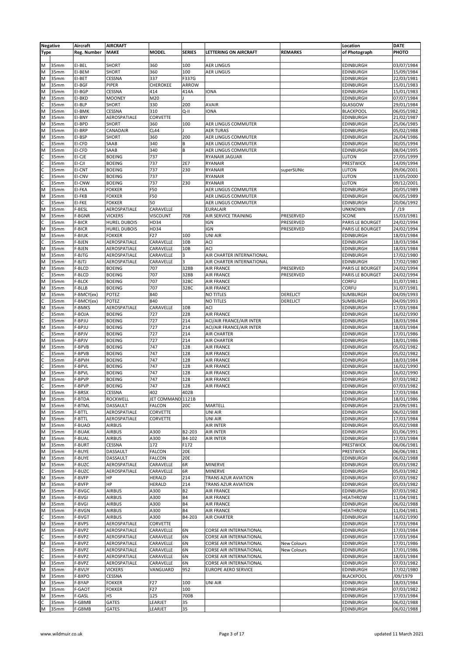|                         | <b>Negative</b> | Aircraft    | <b>AIRCRAFT</b>     |                   |                         |                              |                 | Location         | <b>DATE</b> |
|-------------------------|-----------------|-------------|---------------------|-------------------|-------------------------|------------------------------|-----------------|------------------|-------------|
| <b>Type</b>             |                 | Reg. Number | <b>MAKE</b>         | <b>MODEL</b>      | <b>SERIES</b>           | <b>LETTERING ON AIRCRAFT</b> | <b>REMARKS</b>  | of Photograph    | PHOTO       |
|                         |                 |             |                     |                   |                         |                              |                 |                  |             |
| M                       | 35mm            | EI-BEL      | <b>SHORT</b>        | 360               | 100                     | <b>AER LINGUS</b>            |                 | <b>EDINBURGH</b> | 03/07/1984  |
| M                       | 35mm            | EI-BEM      | <b>SHORT</b>        | 360               | 100                     | <b>AER LINGUS</b>            |                 | <b>EDINBURGH</b> | 15/09/1984  |
| $\overline{M}$          | 35mm            | EI-BET      | CESSNA              | 337               | F337G                   |                              |                 | <b>EDINBURGH</b> | 22/03/1981  |
| $\overline{M}$          |                 |             |                     |                   |                         |                              |                 |                  |             |
|                         | 35mm            | EI-BGF      | <b>PIPER</b>        | CHEROKEE          | ARROW                   |                              |                 | <b>EDINBURGH</b> | 15/01/1983  |
| M                       | 35mm            | EI-BGP      | CESSNA              | 414               | 414A                    | IONA                         |                 | <b>EDINBURGH</b> | 15/01/1983  |
| $\overline{M}$          | 35mm            | EI-BKD      | <b>MOONEY</b>       | M20               |                         |                              |                 | <b>EDINBURGH</b> | 07/07/1984  |
| $\overline{c}$          | 35mm            | EI-BLP      | <b>SHORT</b>        | 330               | 200                     | <b>AVAIR</b>                 |                 | GLASGOW          | 29/01/1984  |
| $\overline{M}$          | 35mm            | EI-BMK      | CESSNA              | 310               | Q-II                    | <b>IONA</b>                  |                 | <b>BLACKPOOL</b> | 06/05/1982  |
| $\overline{\mathsf{M}}$ | 35mm            | EI-BNY      | AEROSPATIALE        | CORVETTE          |                         |                              |                 | EDINBURGH        | 21/02/1987  |
| M                       | 35mm            | EI-BPD      | <b>SHORT</b>        | 360               | 100                     | AER LINGUS COMMUTER          |                 | EDINBURGH        | 25/06/1985  |
| $\overline{M}$          | 35mm            | EI-BRP      | CANADAIR            | CL44              |                         | <b>AER TURAS</b>             |                 | <b>EDINBURGH</b> | 05/02/1988  |
| M                       | 35mm            | EI-BSP      | SHORT               | 360               | 200                     | <b>AER LINGUS COMMUTER</b>   |                 | <b>EDINBURGH</b> | 26/04/1986  |
|                         | 35mm            | EI-CFD      | SAAB                | 340               | B                       | AER LINGUS COMMUTER          |                 | <b>EDINBURGH</b> | 30/05/1994  |
| $\frac{c}{M}$           | 35mm            | EI-CFD      | SAAB                | 340               | B                       | AER LINGUS COMMUTER          |                 | <b>EDINBURGH</b> | 08/04/1995  |
|                         | 35mm            |             | <b>BOEING</b>       | 737               |                         |                              |                 | LUTON            | 27/05/1999  |
| ulululu                 |                 | EI-CJE      |                     |                   |                         | RYANAIR JAGUAR               |                 |                  |             |
|                         | 35mm            | EI-CJI      | <b>BOEING</b>       | 737               | 2E7                     | RYANAIR                      |                 | PRESTWICK        | 14/09/1994  |
|                         | 35mm            | EI-CNT      | <b>BOEING</b>       | 737               | 230                     | <b>RYANAIR</b>               | superSUNic      | LUTON            | 09/06/2001  |
|                         | 35mm            | EI-CNV      | <b>BOEING</b>       | 737               |                         | RYANAIR                      |                 | <b>LUTON</b>     | 13/05/2000  |
|                         | 35mm            | EI-CNW      | <b>BOEING</b>       | 737               | 230                     | <b>RYANAIR</b>               |                 | LUTON            | 09/12/2001  |
| M                       | 35mm            | EI-FKA      | <b>FOKKER</b>       | F50               |                         | AER LINGUS COMMUTER          |                 | <b>EDINBURGH</b> | 20/05/1989  |
| $\overline{M}$          | 35mm            | EI-FKB      | <b>FOKKER</b>       | F50               |                         | <b>AER LINGUS COMMUTER</b>   |                 | <b>EDINBURGH</b> | 06/05/1989  |
|                         | 35mm            | EI-FKE      | <b>FOKKER</b>       | 50                |                         | AER LINGUS COMMUTER          |                 | <b>EDINBURGH</b> | 20/06/1992  |
| $\overline{M}$          | 35mm            | F-BESL      | AEROSPATIALE        | CARAVELLE         |                         | <b>EURALAIR</b>              |                 | <b>UNKNOWN</b>   | / /19       |
| $\overline{\mathsf{M}}$ |                 |             |                     |                   |                         |                              |                 |                  |             |
|                         | 35mm            | F-BGNR      | <b>VICKERS</b>      | <b>VISCOUNT</b>   | 708                     | AIR SERVICE TRAINING         | PRESERVED       | <b>SCONE</b>     | 15/03/1981  |
| $\frac{c}{2}$           | 35mm            | F-BICR      | <b>HUREL DUBOIS</b> | HD34              |                         | IGN                          | PRESERVED       | PARIS LE BOURGET | 24/02/1994  |
|                         | 35mm            | F-BICR      | <b>HUREL DUBOIS</b> | HD34              |                         | IGN                          | PRESERVED       | PARIS LE BOURGET | 24/02/1994  |
| $\overline{M}$          | 35mm            | F-BIUK      | <b>FOKKER</b>       | F <sub>27</sub>   | 100                     | UNI AIR                      |                 | <b>EDINBURGH</b> | 18/03/1984  |
| $rac{c}{M}$             | 35mm            | F-BJEN      | AEROSPATIALE        | CARAVELLE         | 10 <sub>B</sub>         | ACI                          |                 | <b>EDINBURGH</b> | 18/03/1984  |
|                         | 35mm            | F-BJEN      | AEROSPATIALE        | CARAVELLE         | 10B                     | ACI                          |                 | <b>EDINBURGH</b> | 18/03/1984  |
| M                       | 35mm            | F-BJTG      | AEROSPATIALE        | CARAVELLE         | 3                       | AIR CHARTER INTERNATIONAL    |                 | <b>EDINBURGH</b> | 17/02/1980  |
| $\overline{\mathsf{M}}$ | 35mm            | F-BJTJ      | AEROSPATIALE        | CARAVELLE         | $\overline{\mathbf{3}}$ | AIR CHARTER INTERNATIONAL    |                 | <b>EDINBURGH</b> | 17/02/1980  |
| $\overline{M}$          |                 |             |                     |                   |                         |                              |                 |                  |             |
|                         | 35mm            | F-BLCD      | <b>BOEING</b>       | 707               | 328B                    | <b>AIR FRANCE</b>            | PRESERVED       | PARIS LE BOURGET | 24/02/1994  |
| $rac{c}{M}$             | 35mm            | F-BLCD      | <b>BOEING</b>       | 707               | 328B                    | <b>AIR FRANCE</b>            | PRESERVED       | PARIS LE BOURGET | 24/02/1994  |
|                         | 35mm            | F-BLCK      | <b>BOEING</b>       | 707               | 328C                    | <b>AIR FRANCE</b>            |                 | CORFU            | 31/07/1981  |
| M                       | 35mm            | F-BLLB      | <b>BOEING</b>       | 707               | 328C                    | <b>AIR FRANCE</b>            |                 | CORFU            | 31/07/1981  |
| $\overline{\mathsf{M}}$ | 35mm            | F-BMCY(ex)  | <b>POTEZ</b>        | 840               |                         | <b>NO TITLES</b>             | DERELICT        | SUMBURGH         | 04/09/1993  |
| $\overline{c}$          | 35mm            | F-BMCY(ex)  | <b>POTEZ</b>        | 840               |                         | <b>NO TITLES</b>             | <b>DERELICT</b> | SUMBURGH         | 04/09/1993  |
| $\overline{M}$          | 35mm            | F-BMKS      | AEROSPATIALE        | CARAVELLE         | 10 <sub>B</sub>         | ACI                          |                 | <b>EDINBURGH</b> | 17/03/1984  |
|                         | 35mm            | F-BOJA      | <b>BOEING</b>       | 727               | 228                     | <b>AIR FRANCE</b>            |                 | <b>EDINBURGH</b> | 16/02/1990  |
| $\frac{1}{2}$           |                 |             |                     |                   |                         |                              |                 |                  |             |
|                         | 35mm            | F-BPJU      | <b>BOEING</b>       | 727               | 214                     | ACI/AIR FRANCE/AIR INTER     |                 | EDINBURGH        | 18/03/1984  |
|                         | 35mm            | F-BPJU      | <b>BOEING</b>       | 727               | 214                     | ACI/AIR FRANCE/AIR INTER     |                 | <b>EDINBURGH</b> | 18/03/1984  |
| $\overline{c}$          | 35mm            | F-BPJV      | <b>BOEING</b>       | 727               | 214                     | <b>AIR CHARTER</b>           |                 | EDINBURGH        | 17/01/1986  |
| M                       | 35mm            | F-BPJV      | <b>BOEING</b>       | 727               | 214                     | <b>AIR CHARTER</b>           |                 | EDINBURGH        | 18/01/1986  |
| $\overline{M}$          | 35mm            | F-BPVB      | <b>BOEING</b>       | 747               | 128                     | <b>AIR FRANCE</b>            |                 | <b>EDINBURGH</b> | 05/02/1982  |
|                         | 35mm            | F-BPVB      | <b>BOEING</b>       | 747               | 128                     | <b>AIR FRANCE</b>            |                 | EDINBURGH        | 05/02/1982  |
| ulu                     | 35mm            | F-BPVH      | <b>BOEING</b>       | 747               | 128                     | <b>AIR FRANCE</b>            |                 | <b>EDINBURGH</b> | 18/03/1984  |
|                         | 35mm            | F-BPVL      | <b>BOEING</b>       | 747               | 128                     | <b>AIR FRANCE</b>            |                 | EDINBURGH        |             |
|                         |                 |             |                     |                   |                         |                              |                 |                  | 16/02/1990  |
| M                       | 35mm            | F-BPVL      | <b>BOEING</b>       | 747               | 128                     | <b>AIR FRANCE</b>            |                 | EDINBURGH        | 16/02/1990  |
| $\overline{M}$          | 35mm            | F-BPVP      | <b>BOEING</b>       | 747               | 128                     | <b>AIR FRANCE</b>            |                 | <b>EDINBURGH</b> | 07/03/1982  |
| $\overline{c}$          | 35mm            | F-BPVP      | <b>BOEING</b>       | 747               | 128                     | <b>AIR FRANCE</b>            |                 | <b>EDINBURGH</b> | 07/03/1982  |
| M                       | 35mm            | F-BRSX      | <b>CESSNA</b>       | 402               | 402B                    |                              |                 | <b>EDINBURGH</b> | 17/03/1984  |
| $\overline{M}$          | 35mm            | F-BTDA      | <b>ROCKWELL</b>     | JET COMMAND 1121B |                         |                              |                 | <b>EDINBURGH</b> | 18/01/1986  |
| M                       | 35mm            | F-BTML      | DASSAULT            | FALCON            | 20C                     | MARTELL                      |                 | <b>EDINBURGH</b> | 23/09/1981  |
| $\overline{\mathsf{M}}$ | 35mm            | F-BTTL      | AEROSPATIALE        | CORVETTE          |                         | <b>UNI AIR</b>               |                 | <b>EDINBURGH</b> | 06/02/1988  |
| M                       | 35mm            | F-BTTL      | AEROSPATIALE        | CORVETTE          |                         | UNI AIR                      |                 | <b>EDINBURGH</b> | 17/03/1984  |
| $\overline{M}$          |                 |             |                     |                   |                         |                              |                 |                  |             |
|                         | 35mm            | F-BUAD      | <b>AIRBUS</b>       |                   |                         | <b>AIR INTER</b>             |                 | <b>EDINBURGH</b> | 05/02/1988  |
| M                       | 35mm            | F-BUAK      | <b>AIRBUS</b>       | A300              | B2-203                  | <b>AIR INTER</b>             |                 | <b>EDINBURGH</b> | 01/06/1991  |
| M                       | 35mm            | F-BUAL      | <b>AIRBUS</b>       | A300              | B4-102                  | <b>AIR INTER</b>             |                 | <b>EDINBURGH</b> | 17/03/1984  |
| $\overline{\mathsf{M}}$ | 35mm            | F-BURT      | <b>CESSNA</b>       | 172               | F172                    |                              |                 | PRESTWICK        | 06/06/1981  |
| M                       | 35mm            | F-BUYE      | DASSAULT            | <b>FALCON</b>     | 20E                     |                              |                 | PRESTWICK        | 06/06/1981  |
| $\overline{M}$          | 35mm            | F-BUYE      | <b>DASSAULT</b>     | <b>FALCON</b>     | 20E                     |                              |                 | <b>EDINBURGH</b> | 06/02/1988  |
| M                       | 35mm            | F-BUZC      | AEROSPATIALE        | CARAVELLE         | 6R                      | <b>MINERVE</b>               |                 | <b>EDINBURGH</b> | 05/03/1982  |
|                         | 35mm            | F-BUZC      | AEROSPATIALE        | CARAVELLE         | 6R                      | <b>MINERVE</b>               |                 | <b>EDINBURGH</b> | 05/03/1982  |
| $\frac{c}{M}$           | 35mm            | F-BVFP      | HP                  | HERALD            | 214                     | <b>TRANS AZUR AVIATION</b>   |                 | <b>EDINBURGH</b> | 07/03/1982  |
|                         |                 |             | HP                  |                   |                         |                              |                 |                  |             |
| M                       | 35mm            | F-BVFP      |                     | <b>HERALD</b>     | 214                     | <b>TRANS AZUR AVIATION</b>   |                 | <b>EDINBURGH</b> | 05/03/1982  |
| M                       | 35mm            | F-BVGC      | <b>AIRBUS</b>       | A300              | <b>B2</b>               | <b>AIR FRANCE</b>            |                 | <b>EDINBURGH</b> | 07/03/1982  |
| M                       | 35mm            | F-BVGI      | <b>AIRBUS</b>       | A300              | <b>B4</b>               | <b>AIR FRANCE</b>            |                 | <b>HEATHROW</b>  | 11/04/1981  |
| M                       | 35mm            | F-BVGI      | <b>AIRBUS</b>       | A300              | <b>B4</b>               | <b>AIR FRANCE</b>            |                 | <b>EDINBURGH</b> | 06/02/1988  |
| $\overline{\mathsf{M}}$ | 35mm            | F-BVGN      | <b>AIRBUS</b>       | A300              | <b>B4</b>               | <b>AIR FRANCE</b>            |                 | <b>HEATHROW</b>  | 11/04/1981  |
|                         | 35mm            | F-BVGT      | <b>AIRBUS</b>       | A300              | B4-203                  | <b>AIR CHARTER</b>           |                 | <b>EDINBURGH</b> | 16/02/1990  |
| $\overline{M}$          | 35mm            | F-BVPS      | AEROSPATIALE        | CORVETTE          |                         |                              |                 | <b>EDINBURGH</b> | 17/03/1984  |
| M                       | 35mm            | F-BVPZ      | AEROSPATIALE        | CARAVELLE         | 6N                      | CORSE AIR INTERNATIONAL      |                 | <b>EDINBURGH</b> | 17/03/1984  |
|                         |                 |             |                     |                   |                         |                              |                 |                  |             |
| $\frac{c}{2}$           | 35mm            | F-BVPZ      | AEROSPATIALE        | CARAVELLE         | 6N                      | CORSE AIR INTERNATIONAL      |                 | <b>EDINBURGH</b> | 17/03/1984  |
|                         | 35mm            | F-BVPZ      | AEROSPATIALE        | CARAVELLE         | 6N                      | CORSE AIR INTERNATIONAL      | New Colours     | <b>EDINBURGH</b> | 17/01/1986  |
| c<br>C                  | 35mm            | F-BVPZ      | AEROSPATIALE        | CARAVELLE         | 6N                      | CORSE AIR INTERNATIONAL      | New Colours     | <b>EDINBURGH</b> | 17/01/1986  |
|                         | 35mm            | F-BVPZ      | AEROSPATIALE        | CARAVELLE         | 6N                      | CORSE AIR INTERNATIONAL      |                 | <b>EDINBURGH</b> | 18/03/1984  |
| $\overline{M}$          | 35mm            | F-BVPZ      | AEROSPATIALE        | CARAVELLE         | 6N                      | CORSE AIR INTERNATIONAL      |                 | <b>EDINBURGH</b> | 07/03/1982  |
| M                       | 35mm            | F-BVUY      | <b>VICKERS</b>      | VANGUARD          | 952                     | <b>EUROPE AERO SERVICE</b>   |                 | <b>EDINBURGH</b> | 17/02/1980  |
| M                       | 35mm            | F-BXPO      | <b>CESSNA</b>       |                   |                         |                              |                 | <b>BLACKPOOL</b> | /09/1979    |
| M                       | 35mm            | F-BYAP      | <b>FOKKER</b>       | F27               | 100                     | UNI AIR                      |                 | <b>EDINBURGH</b> | 18/03/1984  |
| M                       | 35mm            | F-GAOT      | <b>FOKKER</b>       | F27               | 100                     |                              |                 | <b>EDINBURGH</b> | 07/03/1982  |
|                         |                 |             |                     |                   |                         |                              |                 |                  |             |
| M                       | 35mm            | F-GASL      | HS                  | 125               | 700B                    |                              |                 | <b>EDINBURGH</b> | 17/03/1984  |
| C<br>M                  | 35mm            | F-GBMB      | GATES               | LEARJET           | 35                      |                              |                 | <b>EDINBURGH</b> | 06/02/1988  |
|                         | 35mm            | F-GBMB      | GATES               | LEARJET           | 35                      |                              |                 | <b>EDINBURGH</b> | 06/02/1988  |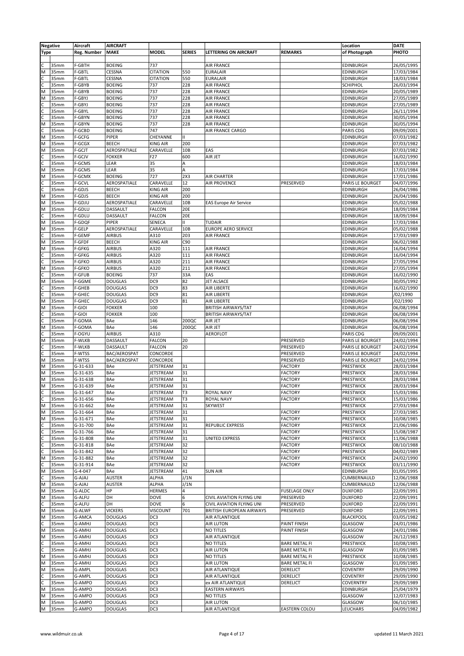|                | <b>Negative</b>  | Aircraft         | <b>AIRCRAFT</b>                  |                  |               |                                             |                      | Location           | <b>DATE</b> |
|----------------|------------------|------------------|----------------------------------|------------------|---------------|---------------------------------------------|----------------------|--------------------|-------------|
| <b>Type</b>    |                  | Reg. Number      | <b>MAKE</b>                      | <b>MODEL</b>     | <b>SERIES</b> | LETTERING ON AIRCRAFT                       | <b>REMARKS</b>       | of Photograph      | PHOTO       |
|                |                  |                  |                                  |                  |               |                                             |                      |                    |             |
|                | 35mm             | F-GBTH           | <b>BOEING</b>                    | 737              |               | <b>AIR FRANCE</b>                           |                      | EDINBURGH          | 26/05/1995  |
| M              | 35mm             | F-GBTL           | CESSNA                           | <b>CITATION</b>  | 550           | <b>EURALAIR</b>                             |                      | EDINBURGH          | 17/03/1984  |
| $\mathsf{C}$   | 35mm             | F-GBTL           | CESSNA                           | <b>CITATION</b>  | 550           | <b>EURALAIR</b>                             |                      | EDINBURGH          | 18/03/1984  |
| C              | 35mm             | F-GBYB           | <b>BOEING</b>                    | 737              | 228           | <b>AIR FRANCE</b>                           |                      | SCHIPHOL           | 26/03/1994  |
| M              | 35mm             | F-GBYB           | <b>BOEING</b>                    | 737              | 228           | <b>AIR FRANCE</b>                           |                      | EDINBURGH          | 20/05/1989  |
| M              | 35mm             | F-GBYJ           | <b>BOEING</b>                    | 737              | 228           | <b>AIR FRANCE</b>                           |                      | EDINBURGH          | 27/05/1989  |
| C              | 35mm             | F-GBYJ           | <b>BOEING</b>                    | 737              | 228           | <b>AIR FRANCE</b>                           |                      | EDINBURGH          | 27/05/1989  |
| C              | 35mm             | F-GBYL           | <b>BOEING</b>                    | 737              | 228           | <b>AIR FRANCE</b>                           |                      | EDINBURGH          | 26/11/1994  |
| C              | 35mm             | F-GBYN           | <b>BOEING</b>                    | 737              | 228           | <b>AIR FRANCE</b>                           |                      | EDINBURGH          | 30/05/1994  |
| M              | 35mm             | F-GBYN           | <b>BOEING</b>                    | 737              | 228           | <b>AIR FRANCE</b>                           |                      | EDINBURGH          | 30/05/1994  |
|                | 35mm             | F-GCBD           | <b>BOEING</b>                    | 747              |               | AIR FRANCE CARGO                            |                      | PARIS CDG          | 09/09/2001  |
| M              | 35mm             | F-GCFG           | PIPER                            | CHEYANNE         | Ш             |                                             |                      | EDINBURGH          | 07/03/1982  |
| M              | 35mm             | F-GCGX           | <b>BEECH</b>                     | <b>KING AIR</b>  | 200           |                                             |                      | EDINBURGH          | 07/03/1982  |
| M              | 35mm             | F-GCJT           | AEROSPATIALE                     | CARAVELLE        | 10B           | EAS                                         |                      | EDINBURGH          | 07/03/1982  |
|                | 35 <sub>mm</sub> | F-GCJV           | <b>FOKKER</b>                    | F27              | 600           | AIR JET                                     |                      | EDINBURGH          | 16/02/1990  |
| c              | 35mm             | F-GCMS           | LEAR                             | 35               | Α             |                                             |                      | EDINBURGH          | 18/03/1984  |
| M              | 35mm             | F-GCMS           | LEAR                             | 35               | A             |                                             |                      | EDINBURGH          | 17/03/1984  |
| M              | 35mm             | F-GCMX           | <b>BOEING</b>                    | 727              | 2X3           | <b>AIR CHARTER</b>                          |                      | EDINBURGH          | 17/01/1986  |
| C              | 35mm             | F-GCVL           | AEROSPATIALE                     | CARAVELLE        | 12            | <b>AIR PROVENCE</b>                         | PRESERVED            | PARIS LE BOURGET   | 04/07/1996  |
|                | 35mm             | F-GDJS           | <b>BEECH</b>                     | <b>KING AIR</b>  | 200           |                                             |                      | EDINBURGH          | 26/04/1986  |
| M              | 35mm             | F-GDJS           | <b>BEECH</b>                     | <b>KING AIR</b>  | 200           |                                             |                      | EDINBURGH          | 26/04/1986  |
| M              | 35mm             | F-GDJU           | AEROSPATIALE                     | CARAVELLE        | 10B           | <b>EAS Europe Air Service</b>               |                      | EDINBURGH          | 05/02/1988  |
| M              | 35mm             | F-GDLU           | DASSAULT                         | <b>FALCON</b>    | <b>20E</b>    |                                             |                      | EDINBURGH          | 18/09/1984  |
| C              | 35mm             | F-GDLU           | DASSAULT                         | <b>FALCON</b>    | 20E           |                                             |                      | EDINBURGH          | 18/09/1984  |
| M              | 35mm             | F-GDQF           | PIPER                            | SENECA           | II.           | <b>TUDAIR</b>                               |                      | EDINBURGH          | 17/03/1984  |
| M              | 35mm             | F-GELP           | AEROSPATIALE                     | CARAVELLE        | 10B           | <b>EUROPE AERO SERVICE</b>                  |                      | EDINBURGH          | 05/02/1988  |
| C              | 35mm             | F-GEMF           | <b>AIRBUS</b>                    | A310             | 203           | <b>AIR FRANCE</b>                           |                      | EDINBURGH          | 17/03/1989  |
| M              | 35mm             | F-GFDF           | <b>BEECH</b>                     | <b>KING AIR</b>  | C90           |                                             |                      | EDINBURGH          | 06/02/1988  |
| M              | 35mm             | F-GFKG           | <b>AIRBUS</b>                    | A320             | 111           | <b>AIR FRANCE</b>                           |                      | EDINBURGH          | 16/04/1994  |
|                | 35mm             | F-GFKG           | AIRBUS                           | A320             | 111           | <b>AIR FRANCE</b>                           |                      | EDINBURGH          | 16/04/1994  |
|                | 35mm             | F-GFKO           | <b>AIRBUS</b>                    | A320             | 211           | <b>AIR FRANCE</b>                           |                      | EDINBURGH          | 27/05/1994  |
| M              | 35mm             | F-GFKO           | <b>AIRBUS</b>                    | A320             | 211           | <b>AIR FRANCE</b>                           |                      | EDINBURGH          | 27/05/1994  |
| C              | 35mm             | F-GFUB           | <b>BOEING</b>                    | 737              | 33A           | EAS                                         |                      | EDINBURGH          | 16/02/1990  |
| M              | 35mm             | F-GGME           | <b>DOUGLAS</b>                   | DC <sub>9</sub>  | 82            | <b>JET ALSACE</b>                           |                      | EDINBURGH          | 30/05/1992  |
|                | 35 <sub>mm</sub> | F-GHEB           | <b>DOUGLAS</b>                   | DC9              | 83            | AIR LIBERTE                                 |                      | EDINBURGH          | 16/02/1990  |
|                | 35mm             | F-GHEC           | <b>DOUGLAS</b>                   | DC <sub>9</sub>  | 81            | AIR LIBERTE                                 |                      | EDINBURGH          | /02/1990    |
| M              | 35mm             | F-GHEC           | <b>DOUGLAS</b>                   | DC9              | 81            | <b>AIR LIBERTE</b>                          |                      | EDINBURGH          | /02/1990    |
| M              | 35mm             | F-GIOI           | <b>FOKKER</b>                    | 100              |               | <b>BRITISH AIRWAYS/TAT</b>                  |                      | EDINBURGH          | 06/08/1994  |
| C              | 35mm             | F-GIOI           | <b>FOKKER</b>                    | 100              |               | <b>BRITISH AIRWAYS/TAT</b>                  |                      | EDINBURGH          | 06/08/1994  |
|                | 35mm             | F-GOMA           | BAe                              | 146              | 200QC         | AIR JET                                     |                      | EDINBURGH          | 06/08/1994  |
| M              | 35mm             | F-GOMA           | BAe                              | 146              | 200QC         | AIR JET                                     |                      | EDINBURGH          | 06/08/1994  |
| C              | 35mm             | F-OGYU           | <b>AIRBUS</b>                    | A310             |               | <b>AEROFLOT</b>                             |                      | PARIS CDG          | 09/09/2001  |
| M              | 35mm             | F-WLKB           | DASSAULT                         | <b>FALCON</b>    | 20            |                                             | PRESERVED            | PARIS LE BOURGET   | 24/02/1994  |
| C              | 35mm             | F-WLKB           | DASSAULT                         | <b>FALCON</b>    | 20            |                                             | PRESERVED            | PARIS LE BOURGET   | 24/02/1994  |
|                | 35 <sub>mm</sub> | F-WTSS           | BAC/AEROSPAT                     | CONCORDE         |               |                                             | PRESERVED            | PARIS LE BOURGET   | 24/02/1994  |
| M              | 35mm             | F-WTSS           | BAC/AEROSPAT                     | CONCORDE         |               |                                             | PRESERVED            | PARIS LE BOURGET   | 24/02/1994  |
| M              | 35mm             | G-31-633         | BAe                              | <b>JETSTREAM</b> | 31            |                                             | <b>FACTORY</b>       | PRESTWICK          | 28/03/1984  |
| M              | 35mm             | G-31-635         | BAe                              | JETSTREAM        | 31            |                                             | <b>FACTORY</b>       | PRESTWICK          | 28/03/1984  |
| M              | 35mm             | G-31-638         | BAe                              | <b>JETSTREAM</b> | 31            |                                             | <b>FACTORY</b>       | PRESTWICK          | 28/03/1984  |
| M              | 35mm             | G-31-639         | BAe                              | <b>JETSTREAM</b> | 31            |                                             | <b>FACTORY</b>       | PRESTWICK          | 28/03/1984  |
| ГC             | 35mm             | G-31-647         | BAe                              | JETSTREAM        | T3            | ROYAL NAVY                                  | <b>FACTORY</b>       | PRESTWICK          | 15/03/1986  |
| $\overline{c}$ | 35mm             | G-31-656         | BAe                              | <b>JETSTREAM</b> | T3            | <b>ROYAL NAVY</b>                           | <b>FACTORY</b>       | PRESTWICK          | 15/03/1986  |
| M              | 35mm             | G-31-662         | BAe                              | <b>JETSTREAM</b> | 31            | <b>SKYWEST</b>                              |                      | PRESTWICK          | 27/03/1984  |
| M              | 35mm             | G-31-664         | BAe                              | JETSTREAM        | 31            |                                             | <b>FACTORY</b>       | PRESTWICK          | 27/03/1985  |
| M              | 35mm             | G-31-671         | BAe                              | JETSTREAM        | 31            |                                             | <b>FACTORY</b>       | PRESTWICK          | 10/08/1985  |
|                | 35mm             | G-31-700         | BAe                              | JETSTREAM        | 31            | <b>REPUBLIC EXPRESS</b>                     | <b>FACTORY</b>       | PRESTWICK          | 21/06/1986  |
|                | 35mm             | G-31-766         | BAe                              | JETSTREAM        | 31            |                                             | <b>FACTORY</b>       | PRESTWICK          | 15/08/1987  |
| C              | 35mm             | G-31-808         | BAe                              | <b>JETSTREAM</b> | 31            | UNITED EXPRESS                              | <b>FACTORY</b>       | <b>PRESTWICK</b>   | 11/06/1988  |
| C              | 35mm             | G-31-818         | BAe                              | JETSTREAM        | 32            |                                             | <b>FACTORY</b>       | PRESTWICK          | 08/10/1988  |
|                | 35mm             | G-31-842         | BAe                              | <b>JETSTREAM</b> | 32            |                                             | <b>FACTORY</b>       | PRESTWICK          | 04/02/1989  |
| M              | 35mm             | G-31-882         | BAe                              | <b>JETSTREAM</b> | 32            |                                             | <b>FACTORY</b>       | PRESTWICK          | 24/02/1990  |
| C              | 35mm             | G-31-914         | BAe                              | JETSTREAM        | 32            |                                             | <b>FACTORY</b>       | PRESTWICK          | 03/11/1990  |
| M              | 35mm             | G-4-047          | BAe                              | JETSTREAM        | 41            | <b>SUN AIR</b>                              |                      | EDINBURGH          | 01/05/1995  |
|                | 35mm             | G-AJAJ           | AUSTER                           | ALPHA            | J/1N          |                                             |                      | CUMBERNAULD        | 12/06/1988  |
| M              | 35mm             | G-AJAJ           | <b>AUSTER</b>                    | ALPHA            | J/1N          |                                             |                      | CUMBERNAULD        | 12/06/1988  |
| M              | 35mm             | G-ALDC           | НP                               | <b>HERMES</b>    | 4             |                                             | <b>FUSELAGE ONLY</b> | <b>DUXFORD</b>     | 22/09/1991  |
| M              | 35mm             | <b>G-ALFU</b>    | DH                               | DOVE             | 6             | CIVIL AVIATION FLYING UNI                   | PRESERVED            | <b>DUXFORD</b>     | 22/09/1991  |
| C              | 35mm             | <b>G-ALFU</b>    | DH                               | DOVE             | 6             | <b>CIVIL AVIATION FLYING UNI</b>            | PRESERVED            | <b>DUXFORD</b>     | 22/09/1991  |
| M              | 35mm             | G-ALWF           | <b>VICKERS</b>                   | <b>VISCOUNT</b>  | 701           | BRITISH EUROPEAN AIRWAYS                    | PRESERVED            | <b>DUXFORD</b>     | 22/09/1991  |
| M              | 35mm             | G-AMCA           | <b>DOUGLAS</b>                   | DC3              |               | <b>AIR ATLANTIQUE</b>                       |                      | <b>BLACKPOOL</b>   | 03/05/1982  |
|                | 35mm             | G-AMHJ           | <b>DOUGLAS</b>                   | DC3              |               | <b>AIR LUTON</b>                            | PAINT FINISH         | GLASGOW            | 24/01/1986  |
| M              | 35mm             | G-AMHJ           | <b>DOUGLAS</b>                   | DC3              |               | <b>NO TITLES</b>                            | PAINT FINISH         | GLASGOW            | 24/01/1986  |
| M              | 35mm             | G-AMHJ           | <b>DOUGLAS</b>                   | DC3              |               | AIR ATLANTIQUE                              |                      | GLASGOW            | 26/12/1983  |
|                | 35mm             | G-AMHJ           | <b>DOUGLAS</b>                   | DC3              |               | <b>NO TITLES</b>                            | <b>BARE METAL FI</b> | PRESTWICK          | 10/08/1985  |
|                | 35mm             | G-AMHJ           | <b>DOUGLAS</b>                   | DC3              |               | <b>AIR LUTON</b>                            | <b>BARE METAL FI</b> | GLASGOW            | 01/09/1985  |
| M              | 35mm             | G-AMHJ           | <b>DOUGLAS</b>                   | DC3              |               | <b>NO TITLES</b>                            | <b>BARE METAL FI</b> | PRESTWICK          | 10/08/1985  |
| M              | 35mm             | G-AMHJ           | <b>DOUGLAS</b>                   | DC3              |               | <b>AIR LUTON</b>                            | <b>BARE METAL FI</b> | GLASGOW            | 01/09/1985  |
| M              | 35mm             | G-AMPL           | <b>DOUGLAS</b>                   | DC3              |               | AIR ATLANTIQUE                              | <b>DERELICT</b>      | <b>COVENTRY</b>    | 29/09/1990  |
| C              | 35mm             | G-AMPL           | <b>DOUGLAS</b>                   | DC3              |               | AIR ATLANTIQUE                              | DERELICT             | <b>COVENTRY</b>    | 29/09/1990  |
|                |                  | G-AMPO           | <b>DOUGLAS</b>                   | DC3              |               |                                             |                      | COVERNTRY          | 29/09/1989  |
| C<br>M         | 35mm<br>35mm     | G-AMPO           | <b>DOUGLAS</b>                   | DC3              |               | ex AIR ATLANTIQUE<br><b>EASTERN AIRWAYS</b> | <b>DERELICT</b>      | EDINBURGH          | 25/04/1979  |
|                | 35mm             |                  |                                  | DC3              |               | <b>NO TITLES</b>                            |                      |                    |             |
| M<br>M         | 35mm             | G-AMPO<br>G-AMPO | <b>DOUGLAS</b><br><b>DOUGLAS</b> | DC3              |               | <b>AIR LUTON</b>                            |                      | GLASGOW<br>GLASGOW | 12/07/1983  |
|                |                  |                  |                                  |                  |               |                                             |                      |                    | 06/10/1985  |
| М              | 35mm             | G-AMPO           | <b>DOUGLAS</b>                   | DC3              |               | AIR ATLANTIQUE                              | <b>EASTERN COLOU</b> | LEUCHARS           | 04/09/1982  |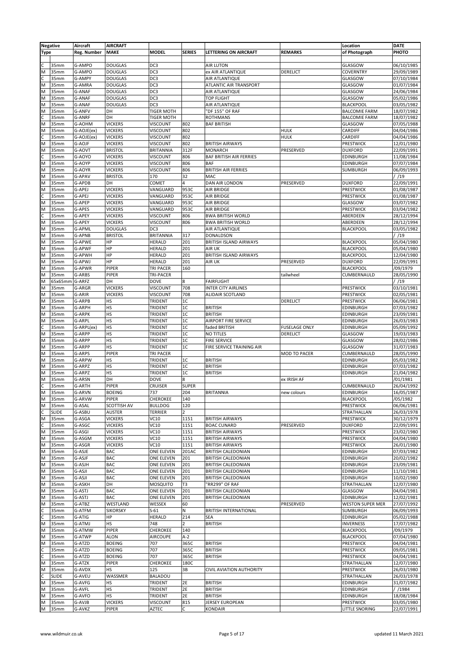|                | <b>Negative</b>  | Aircraft    | <b>AIRCRAFT</b> |                   |                  |                                 |                      | Location                | <b>DATE</b> |
|----------------|------------------|-------------|-----------------|-------------------|------------------|---------------------------------|----------------------|-------------------------|-------------|
| <b>Type</b>    |                  | Reg. Number | MAKE            | <b>MODEL</b>      | <b>SERIES</b>    | <b>LETTERING ON AIRCRAFT</b>    | <b>REMARKS</b>       | of Photograph           | PHOTO       |
|                |                  |             |                 |                   |                  |                                 |                      |                         |             |
|                | 35mm             | G-AMPO      | <b>DOUGLAS</b>  | DC <sub>3</sub>   |                  | <b>AIR LUTON</b>                |                      | GLASGOW                 | 06/10/1985  |
|                |                  |             |                 |                   |                  |                                 |                      |                         |             |
| M              | 35mm             | G-AMPO      | <b>DOUGLAS</b>  | DC3               |                  | ex AIR ATLANTIQUE               | DERELICT             | <b>COVERNTRY</b>        | 29/09/1989  |
| C              | 35mm             | G-AMPY      | <b>DOUGLAS</b>  | DC <sub>3</sub>   |                  | AIR ATLANTIQUE                  |                      | GLASGOW                 | 07/10/1984  |
| M              | 35mm             | G-AMRA      | <b>DOUGLAS</b>  | DC <sub>3</sub>   |                  | ATLANTIC AIR TRANSPORT          |                      | GLASGOW                 | 01/07/1984  |
| M              | 35mm             | G-ANAF      | <b>DOUGLAS</b>  | DC <sub>3</sub>   |                  | AIR ATLANTIQUE                  |                      | GLASGOW                 | 24/06/1984  |
| M              | 35mm             | G-ANAF      | <b>DOUGLAS</b>  | DC3               |                  | TOP FLIGHT                      |                      | GLASGOW                 | 05/02/1986  |
| M              | 35mm             | G-ANAF      | <b>DOUGLAS</b>  | DC <sub>3</sub>   |                  | AIR ATLANTIQUE                  |                      | <b>BLACKPOOL</b>        | 03/05/1982  |
| M              | 35mm             | G-ANFV      | DH              | <b>TIGER MOTH</b> |                  | 'DF 155" OF RAF                 |                      | <b>BALCOMIE FARM</b>    | 18/07/1982  |
|                | 35mm             | G-ANRF      | DH              | <b>TIGER MOTH</b> |                  | <b>ROTHMANS</b>                 |                      | <b>BALCOMIE FARM</b>    | 18/07/1982  |
| M              | 35mm             | G-AOHM      | <b>VICKERS</b>  | <b>VISCOUNT</b>   | 802              | <b>BAF BRITISH</b>              |                      | GLASGOW                 | 07/05/1988  |
| M              | 35mm             | G-AOJE(ex)  | <b>VICKERS</b>  | <b>VISCOUNT</b>   | 802              |                                 | <b>HULK</b>          | CARDIFF                 | 04/04/1986  |
| C              | 35mm             | G-AOJE(ex)  | <b>VICKERS</b>  | <b>VISCOUNT</b>   | 802              |                                 | <b>HULK</b>          | CARDIFF                 | 04/04/1986  |
| M              | 35mm             | G-AOJF      | <b>VICKERS</b>  | <b>VISCOUNT</b>   | 802              | <b>BRITISH AIRWAYS</b>          |                      | PRESTWICK               | 12/01/1980  |
|                | 35mm             | G-AOVT      | <b>BRISTOL</b>  | <b>BRITANNIA</b>  | 312F             | <b>MONARCH</b>                  |                      | <b>DUXFORD</b>          | 22/09/1991  |
| M              |                  |             |                 |                   |                  |                                 | PRESERVED            |                         |             |
|                | 35mm             | G-AOYO      | <b>VICKERS</b>  | <b>VISCOUNT</b>   | 806              | <b>BAF BRITISH AIR FERRIES</b>  |                      | <b>EDINBURGH</b>        | 11/08/1984  |
| M              | 35mm             | G-AOYP      | <b>VICKERS</b>  | <b>VISCOUNT</b>   | 806              | <b>BAF</b>                      |                      | EDINBURGH               | 07/07/1984  |
| M              | 35mm             | G-AOYR      | <b>VICKERS</b>  | <b>VISCOUNT</b>   | 806              | <b>BRITISH AIR FERRIES</b>      |                      | SUMBURGH                | 06/09/1993  |
| M              | 35mm             | G-APAV      | <b>BRISTOL</b>  | 170               | 32               | MAC                             |                      |                         | / /19       |
| M              | 35mm             | G-APDB      | DH              | COMET             | $\overline{4}$   | DAN AIR LONDON                  | PRESERVED            | <b>DUXFORD</b>          | 22/09/1991  |
| M              | 35mm             | G-APEJ      | <b>VICKERS</b>  | VANGUARD          | 953C             | AIR BRIDGE                      |                      | <b>PRESTWICK</b>        | 01/08/1987  |
| C              | 35mm             | G-APEJ      | <b>VICKERS</b>  | VANGUARD          | 953C             | AIR BRIDGE                      |                      | PRESTWICK               | 01/08/1987  |
| M              | 35mm             | G-APEP      | <b>VICKERS</b>  | VANGUARD          | 953C             | <b>AIR BRIDGE</b>               |                      | GLASGOW                 | 03/07/1982  |
| M              | 35mm             | G-APES      | <b>VICKERS</b>  | VANGUARD          | 953C             | <b>AIR BRIDGE</b>               |                      | PRESTWICK               | 03/04/1982  |
| C              | 35mm             | G-APEY      | <b>VICKERS</b>  | <b>VISCOUNT</b>   | 806              | <b>BWA BRITISH WORLD</b>        |                      | ABERDEEN                | 28/12/1994  |
| M              | 35mm             | G-APEY      | <b>VICKERS</b>  | <b>VISCOUNT</b>   | 806              | <b>BWA BRITISH WORLD</b>        |                      | ABERDEEN                | 28/12/1994  |
| M              | 35mm             | G-APML      | <b>DOUGLAS</b>  | DC <sub>3</sub>   |                  | AIR ATLANTIQUE                  |                      | <b>BLACKPOOL</b>        | 03/05/1982  |
| M              | 35mm             | G-APNB      | <b>BRISTOL</b>  | <b>BRITANNIA</b>  | 317              | DONALDSON                       |                      |                         | / /19       |
|                |                  |             |                 |                   |                  | <b>BRITISH ISLAND AIRWAYS</b>   |                      |                         |             |
| M              | 35mm             | G-APWE      | HP              | <b>HERALD</b>     | 201              |                                 |                      | <b>BLACKPOOL</b>        | 05/04/1980  |
| M              | 35mm             | G-APWF      | HP              | <b>HERALD</b>     | 201              | AIR UK                          |                      | <b>BLACKPOOL</b>        | 05/04/1980  |
| M              | 35mm             | G-APWH      | HP              | HERALD            | 201              | <b>BRITISH ISLAND AIRWAYS</b>   |                      | <b>BLACKPOOL</b>        | 12/04/1980  |
| M              | 35mm             | G-APWJ      | HP              | <b>HERALD</b>     | 201              | AIR UK                          | PRESERVED            | <b>DUXFORD</b>          | 22/09/1991  |
| M              | 35mm             | G-APWR      | PIPER           | <b>TRI PACER</b>  | 160              |                                 |                      | <b>BLACKPOOL</b>        | /09/1979    |
| M              | 35mm             | G-ARBS      | PIPER           | <b>TRI-PACER</b>  |                  |                                 | tailwheel            | CUMBERNAULD             | 28/05/1990  |
| M              | 65x65mm          | G-ARFZ      | DH              | <b>DOVE</b>       | $\boldsymbol{8}$ | <b>FAIRFLIGHT</b>               |                      |                         | /19         |
| M              | 35 <sub>mm</sub> | G-ARGR      | <b>VICKERS</b>  | <b>VISCOUNT</b>   | 708              | <b>INTER CITY AIRLINES</b>      |                      | <b>PRESTWICK</b>        | 03/10/1981  |
| M              | 35mm             | G-ARIR      | <b>VICKERS</b>  | <b>VISCOUNT</b>   | 708              | <b>ALIDAIR SCOTLAND</b>         |                      | PRESTWICK               | 02/05/1981  |
| M              | 35mm             | G-ARPB      | HS              | TRIDENT           | 1C               |                                 | DERELICT             | PRESTWICK               | 06/06/1981  |
| M              | 35mm             | G-ARPH      | HS              | TRIDENT           | 1C               | <b>BRITISH</b>                  |                      | <b>EDINBURGH</b>        | 07/03/1982  |
|                | 35mm             |             |                 |                   |                  |                                 |                      |                         |             |
| M              |                  | G-ARPK      | HS              | TRIDENT           | 1C               | <b>BRITISH</b>                  |                      | <b>EDINBURGH</b>        | 23/09/1981  |
| M              | 35mm             | G-ARPL      | HS              | <b>TRIDENT</b>    | 1C               | AIRPORT FIRE SERVICE            |                      | <b>EDINBURGH</b>        | 26/03/1983  |
|                | 35mm             | G-ARPL(ex)  | HS              | <b>TRIDENT</b>    | 1C               | faded BRITISH                   | <b>FUSELAGE ONLY</b> | <b>EDINBURGH</b>        | 05/09/1992  |
| M              | 35mm             | G-ARPP      | HS              | TRIDENT           | 1C               | <b>NO TITLES</b>                | <b>DERELICT</b>      | GLASGOW                 | 19/03/1983  |
| M              | 35mm             | G-ARPP      | <b>HS</b>       | <b>TRIDENT</b>    | 1 <sup>C</sup>   | <b>FIRE SERVICE</b>             |                      | GLASGOW                 | 28/02/1986  |
| M              | 35mm             | G-ARPP      | HS              | <b>TRIDENT</b>    | 1 <sup>C</sup>   | FIRE SERVICE TRAINING AIR       |                      | GLASGOW                 | 31/07/1983  |
| M              | 35mm             | G-ARPS      | PIPER           | TRI PACER         |                  |                                 | <b>MOD TO PACER</b>  | CUMBERNAULD             | 28/05/1990  |
| M              | 35mm             | G-ARPW      | HS              | <b>TRIDENT</b>    | 1C               | <b>BRITISH</b>                  |                      | <b>EDINBURGH</b>        | 05/03/1982  |
| M              | 35mm             | G-ARPZ      | HS              | TRIDENT           | 1C               | <b>BRITISH</b>                  |                      | EDINBURGH               | 07/03/1982  |
| M              | 35mm             | G-ARPZ      | HS              | TRIDENT           | 1 <sup>C</sup>   | <b>BRITISH</b>                  |                      | <b>EDINBURGH</b>        | 21/04/1982  |
| M              | 35mm             | G-ARSN      | DH              | <b>DOVE</b>       | 8                |                                 | ex IRISH AF          |                         | /01/1981    |
| $\overline{c}$ | 35mm             | G-ARTH      | PIPER           | <b>CRUISER</b>    | <b>SUPER</b>     |                                 |                      | CUMBERNAULD             | 26/04/1992  |
| M              | 35mm             | G-ARVN      | <b>BOEING</b>   | 737               | 204              | <b>BRITANNIA</b>                | new colours          | <b>EDINBURGH</b>        | 16/05/1987  |
| M              | 35mm             | G-ARVW      | PIPER           | <b>CHEROKEE</b>   | 140              |                                 |                      | <b>BLACKPOOL</b>        | /05/1982    |
|                |                  |             |                 |                   |                  |                                 |                      |                         |             |
| M              | 35mm             | G-ASAL      | SCOTTISH AV     | <b>BULLDOG</b>    | 120              |                                 |                      | PRESTWICK               | 06/06/1981  |
| C              | <b>SLIDE</b>     | G-ASBU      | <b>AUSTER</b>   | <b>TERRIER</b>    | $\overline{2}$   |                                 |                      | STRATHALLAN             | 26/03/1978  |
| M              | 35mm             | G-ASGA      | <b>VICKERS</b>  | VC10              | 1151             | <b>BRITISH AIRWAYS</b>          |                      | PRESTWICK               | 30/12/1979  |
|                | 35mm             | G-ASGC      | <b>VICKERS</b>  | VC10              | 1151             | <b>BOAC CUNARD</b>              | PRESERVED            | <b>DUXFORD</b>          | 22/09/1991  |
| M              | 35mm             | G-ASGI      | <b>VICKERS</b>  | VC10              | 1151             | <b>BRITISH AIRWAYS</b>          |                      | <b>PRESTWICK</b>        | 23/02/1980  |
| M              | 35mm             | G-ASGM      | <b>VICKERS</b>  | VC10              | 1151             | <b>BRITISH AIRWAYS</b>          |                      | PRESTWICK               | 04/04/1980  |
| M              | 35mm             | G-ASGR      | <b>VICKERS</b>  | VC10              | 1151             | <b>BRITISH AIRWAYS</b>          |                      | <b>PRESTWICK</b>        | 26/01/1980  |
| ıΜ             | 35mm             | G-ASJE      | BAC             | ONE ELEVEN        | 201AC            | <b>BRITISH CALEDONIAN</b>       |                      | <b>EDINBURGH</b>        | 07/03/1982  |
| M              | 35mm             | G-ASJF      | <b>BAC</b>      | ONE ELEVEN        | 201              | <b>BRITISH CALEDONIAN</b>       |                      | <b>EDINBURGH</b>        | 20/02/1982  |
| M              | 35mm             | G-ASJH      | BAC             | ONE ELEVEN        | 201              | <b>BRITISH CALEDONIAN</b>       |                      | <b>EDINBURGH</b>        | 23/09/1981  |
| M              | 35mm             | G-ASJI      | <b>BAC</b>      | ONE ELEVEN        | 201              | <b>BRITISH CALEDONIAN</b>       |                      | <b>EDINBURGH</b>        | 11/10/1981  |
| M              | 35mm             | G-ASJI      | BAC             | ONE ELEVEN        | 201              | <b>BRITISH CALEDONIAN</b>       |                      | <b>EDINBURGH</b>        | 10/02/1980  |
| M              | 35mm             | G-ASKH      | DH              | MOSQUITO          | T3               | 'RR299" OF RAF                  |                      | STRATHALLAN             | 12/07/1980  |
| M              | 35mm             | G-ASTJ      | BAC             | <b>ONE ELEVEN</b> | 201              | <b>BRITISH CALEDONIAN</b>       |                      | GLASGOW                 | 04/04/1981  |
| M              | 35mm             | G-ASTJ      | <b>BAC</b>      | ONE ELEVEN        | 201              | <b>BRITISH CALEDONIAN</b>       |                      | <b>EDINBURGH</b>        | 12/02/1981  |
| M              | 35mm             | G-ATBZ      | WESTLAND        | WESSEX            | 60               |                                 | PRESERVED            | <b>WESTON SUPER MER</b> | 27/07/1992  |
|                |                  |             |                 |                   | ${\sf N}$        |                                 |                      |                         |             |
| C              | 35mm             | G-ATFM      | <b>SIKORSKY</b> | $S-61$            |                  | <b>BRITISH INTERNATIONAL</b>    |                      | SUMBURGH                | 06/09/1993  |
|                | 35mm             | G-ATIG      | HP              | <b>HERALD</b>     | 214              | SEA                             |                      | <b>EDINBURGH</b>        | 05/02/1988  |
| M              | 35mm             | G-ATMJ      | HS              | 748               | $\overline{2}$   | <b>BRITISH</b>                  |                      | <b>INVERNESS</b>        | 17/07/1982  |
| M              | 35mm             | G-ATMW      | <b>PIPER</b>    | CHEROKEE          | 140              |                                 |                      | <b>BLACKPOOL</b>        | /09/1979    |
| M              | 35mm             | G-ATWP      | <b>ALON</b>     | <b>AIRCOUPE</b>   | $A-2$            |                                 |                      | <b>BLACKPOOL</b>        | 07/04/1980  |
| M              | 35mm             | G-ATZD      | <b>BOEING</b>   | 707               | 365C             | <b>BRITISH</b>                  |                      | <b>PRESTWICK</b>        | 04/04/1981  |
| с              | 35mm             | G-ATZD      | <b>BOEING</b>   | 707               | 365C             | <b>BRITISH</b>                  |                      | PRESTWICK               | 09/05/1981  |
|                | 35mm             | G-ATZD      | <b>BOEING</b>   | 707               | 365C             | <b>BRITISH</b>                  |                      | PRESTWICK               | 04/04/1981  |
| M              | 35mm             | G-ATZK      | PIPER           | CHEROKEE          | 180C             |                                 |                      | STRATHALLAN             | 12/07/1980  |
| M              | 35mm             | G-AVDX      | HS              | 125               | 3B               | <b>CIVIL AVIATION AUTHORITY</b> |                      | <b>PRESTWICK</b>        | 26/03/1980  |
|                | <b>SLIDE</b>     | G-AVEU      | WASSMER         | BALADOU           |                  |                                 |                      | STRATHALLAN             | 26/03/1978  |
| M              | 35mm             | G-AVFG      | HS              | TRIDENT           | 2E               | <b>BRITISH</b>                  |                      | <b>EDINBURGH</b>        | 31/07/1982  |
| M              | 35mm             | G-AVFL      | HS              | TRIDENT           | 2E               | <b>BRITISH</b>                  |                      | <b>EDINBURGH</b>        | / /1984     |
| M              | 35mm             | G-AVFO      | HS              | TRIDENT           | 2E               | <b>BRITISH</b>                  |                      | <b>EDINBURGH</b>        | 18/08/1984  |
| M              |                  |             |                 |                   |                  |                                 |                      | <b>PRESTWICK</b>        |             |
|                | 35mm             | G-AVJB      | <b>VICKERS</b>  | <b>VISCOUNT</b>   | 815              | JERSEY EUROPEAN                 |                      |                         | 03/05/1980  |
| M              | 35mm             | G-AVKZ      | <b>PIPER</b>    | <b>AZTEC</b>      | C                | <b>KONDAIR</b>                  |                      | LITTLE SNORING          | 22/07/1991  |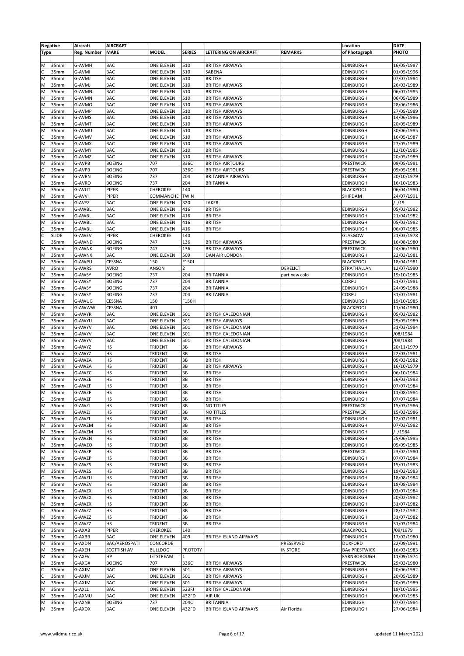|             | <b>Negative</b>  | Aircraft           | <b>AIRCRAFT</b> |                   |                |                               |                 | Location             | <b>DATE</b> |
|-------------|------------------|--------------------|-----------------|-------------------|----------------|-------------------------------|-----------------|----------------------|-------------|
| <b>Type</b> |                  | <b>Reg. Number</b> | <b>MAKE</b>     | <b>MODEL</b>      | <b>SERIES</b>  | LETTERING ON AIRCRAFT         | <b>REMARKS</b>  | of Photograph        | PHOTO       |
|             |                  |                    |                 |                   |                |                               |                 |                      |             |
| M           | 35mm             | G-AVMH             | BAC             | ONE ELEVEN        | 510            | <b>BRITISH AIRWAYS</b>        |                 | EDINBURGH            | 16/05/1987  |
| C           | 35mm             | G-AVMI             | BAC             | ONE ELEVEN        | 510            | SABENA                        |                 | EDINBURGH            | 01/05/1996  |
| M           | 35mm             | G-AVMJ             | <b>BAC</b>      | ONE ELEVEN        | 510            | <b>BRITISH</b>                |                 | <b>EDINBURGH</b>     | 07/07/1984  |
| M           | 35mm             | G-AVMJ             | <b>BAC</b>      | <b>ONE ELEVEN</b> | 510            | <b>BRITISH AIRWAYS</b>        |                 | <b>EDINBURGH</b>     | 26/03/1989  |
| M           | 35 <sub>mm</sub> | G-AVMN             | <b>BAC</b>      | ONE ELEVEN        | 510            | <b>BRITISH</b>                |                 | EDINBURGH            | 06/07/1985  |
| M           | 35mm             | G-AVMN             | <b>BAC</b>      | <b>ONE ELEVEN</b> | 510            | <b>BRITISH AIRWAYS</b>        |                 | <b>EDINBURGH</b>     | 06/05/1989  |
| M           | 35mm             | G-AVMO             | BAC             | <b>ONE ELEVEN</b> | 510            | <b>BRITISH AIRWAYS</b>        |                 | <b>EDINBURGH</b>     | 28/06/1986  |
| C           | 35mm             | G-AVMP             | BAC             | ONE ELEVEN        | 510            | <b>BRITISH AIRWAYS</b>        |                 | EDINBURGH            | 27/05/1989  |
| M           | 35mm             | G-AVMS             | <b>BAC</b>      | ONE ELEVEN        | 510            | <b>BRITISH AIRWAYS</b>        |                 | <b>EDINBURGH</b>     | 14/06/1986  |
| M           | 35 <sub>mm</sub> | G-AVMT             | <b>BAC</b>      | ONE ELEVEN        | 510            | <b>BRITISH AIRWAYS</b>        |                 | EDINBURGH            | 20/05/1989  |
| M           | 35mm             | G-AVMU             | BAC             | <b>ONE ELEVEN</b> | 510            | <b>BRITISH</b>                |                 | EDINBURGH            | 30/06/1985  |
| C           | 35mm             | G-AVMV             | BAC             | ONE ELEVEN        | 510            | <b>BRITISH AIRWAYS</b>        |                 | <b>EDINBURGH</b>     | 16/05/1987  |
| M           | 35mm             | G-AVMX             | BAC             | ONE ELEVEN        | 510            | <b>BRITISH AIRWAYS</b>        |                 | EDINBURGH            | 27/05/1989  |
| M           | 35mm             | G-AVMY             | BAC             | ONE ELEVEN        | 510            | <b>BRITISH</b>                |                 | <b>EDINBURGH</b>     | 12/10/1985  |
| M           | 35 <sub>mm</sub> | G-AVMZ             | <b>BAC</b>      | ONE ELEVEN        | 510            | <b>BRITISH AIRWAYS</b>        |                 | EDINBURGH            | 20/05/1989  |
| M           | 35mm             | G-AVPB             | <b>BOEING</b>   | 707               | 336C           | <b>BRITISH AIRTOURS</b>       |                 | PRESTWICK            | 09/05/1981  |
| C           | 35 <sub>mm</sub> | G-AVPB             | <b>BOEING</b>   | 707               | 336C           | <b>BRITISH AIRTOURS</b>       |                 | PRESTWICK            | 09/05/1981  |
| M           | 35mm             | G-AVRN             | <b>BOEING</b>   | 737               | 204            | <b>BRITANNIA AIRWAYS</b>      |                 | <b>EDINBURGH</b>     | 20/10/1979  |
| M           | 35mm             | G-AVRO             | <b>BOEING</b>   | 737               | 204            | <b>BRITANNIA</b>              |                 | <b>EDINBURGH</b>     | 16/10/1983  |
| M           | 35 <sub>mm</sub> | G-AVUT             | PIPER           | <b>CHEROKEE</b>   | 140            |                               |                 | <b>BLACKPOOL</b>     | 06/04/1980  |
| M           | 35mm             | G-AVVI             | PIPER           | COMMANCHE         | <b>TWIN</b>    |                               |                 | SHIPDAM              | 24/07/1991  |
| M           | 35mm             | G-AVYZ             | BAC             | ONE ELEVEN        | 320L           | LAKER                         |                 |                      | / /19       |
| M           | 35mm             | G-AWBL             | BAC             | ONE ELEVEN        | 416            | <b>BRITISH</b>                |                 | <b>EDINBURGH</b>     | 05/02/1982  |
| M           | 35mm             | G-AWBL             | BAC             | <b>ONE ELEVEN</b> | 416            | <b>BRITISH</b>                |                 | <b>EDINBURGH</b>     | 21/04/1982  |
| M           | 35mm             | G-AWBL             | <b>BAC</b>      | ONE ELEVEN        | 416            | <b>BRITISH</b>                |                 | EDINBURGH            | 05/03/1982  |
|             | 35mm             | G-AWBL             | BAC             | ONE ELEVEN        | 416            | <b>BRITISH</b>                |                 | EDINBURGH            | 06/07/1985  |
| C           | <b>SLIDE</b>     | G-AWEV             | PIPER           | <b>CHEROKEE</b>   | 140            |                               |                 | GLASGOW              | 21/03/1978  |
| C           | 35mm             | G-AWND             | <b>BOEING</b>   | 747               | 136            | <b>BRITISH AIRWAYS</b>        |                 | PRESTWICK            | 16/08/1980  |
| M           | 35mm             | G-AWNK             | <b>BOEING</b>   | 747               | 136            | <b>BRITISH AIRWAYS</b>        |                 | PRESTWICK            | 24/06/1980  |
| M           | 35 <sub>mm</sub> | G-AWNX             | <b>BAC</b>      | ONE ELEVEN        | 509            | DAN AIR LONDON                |                 | <b>EDINBURGH</b>     | 22/03/1981  |
| M           | 35mm             | G-AWPU             | CESSNA          | 150               | F150J          |                               |                 | <b>BLACKPOOL</b>     | 18/04/1981  |
| M           | 35mm             | G-AWRS             | AVRO            | ANSON             | $\overline{2}$ |                               | DERELICT        | STRATHALLAN          | 12/07/1980  |
| M           | 35mm             | G-AWSY             | <b>BOEING</b>   | 737               | 204            | <b>BRITANNIA</b>              | part new colo   | <b>EDINBURGH</b>     | 19/10/1985  |
| M           | 35mm             | G-AWSY             | <b>BOEING</b>   | 737               | 204            | <b>BRITANNIA</b>              |                 | CORFU                | 31/07/1981  |
| M           | 35mm             | G-AWSY             | <b>BOEING</b>   | 737               | 204            | BRITANNIA                     |                 | EDINBURGH            | 24/09/1988  |
|             | 35mm             | G-AWSY             | <b>BOEING</b>   | 737               | 204            | <b>BRITANNIA</b>              |                 | CORFU                | 31/07/1981  |
| M           | 35mm             | G-AWUG             | CESSNA          | 150               | F150H          |                               |                 | <b>EDINBURGH</b>     | 19/10/1985  |
| M           | 35mm             | G-AWWW             | CESSNA          | 401               |                |                               |                 | <b>BLACKPOOL</b>     | 11/04/1980  |
| M           | 35mm             | G-AWYR             | BAC             | ONE ELEVEN        | 501            | <b>BRITISH CALEDONIAN</b>     |                 | <b>EDINBURGH</b>     | 05/02/1982  |
|             | 35mm             | G-AWYU             | <b>BAC</b>      | <b>ONE ELEVEN</b> | 501            | <b>BRITISH AIRWAYS</b>        |                 | EDINBURGH            | 29/05/1989  |
| M           | 35mm             | G-AWYV             | <b>BAC</b>      | ONE ELEVEN        | 501            | <b>BRITISH CALEDONIAN</b>     |                 | EDINBURGH            | 31/03/1984  |
| M           | 35mm             | G-AWYV             | BAC             | ONE ELEVEN        | 501            | <b>BRITISH CALEDONIAN</b>     |                 | <b>EDINBURGH</b>     | /08/1984    |
| M           | 35mm             | G-AWYV             | <b>BAC</b>      | ONE ELEVEN        | 501            | <b>BRITISH CALEDONIAN</b>     |                 | <b>EDINBURGH</b>     | /08/1984    |
| M           | 35mm             | G-AWYZ             | HS              | TRIDENT           | 3B             | <b>BRITISH AIRWAYS</b>        |                 | <b>EDINBURGH</b>     | 20/11/1979  |
|             | 35 <sub>mm</sub> | G-AWYZ             | HS              | <b>TRIDENT</b>    | 3B             | <b>BRITISH</b>                |                 | EDINBURGH            | 22/03/1981  |
| M           | 35mm             | G-AWZA             | HS              | <b>TRIDENT</b>    | 3B             | <b>BRITISH</b>                |                 | EDINBURGH            | 05/03/1982  |
| M           | 35mm             | G-AWZA             | HS              | TRIDENT           | 3B             | <b>BRITISH AIRWAYS</b>        |                 | EDINBURGH            | 16/10/1979  |
| M           | 35mm             | G-AWZC             | HS              | TRIDENT           | 3B             | <b>BRITISH</b>                |                 | EDINBURGH            | 06/10/1984  |
| M           | 35mm             | G-AWZE             | HS              | TRIDENT           | 3B             | <b>BRITISH</b>                |                 | EDINBURGH            | 26/03/1983  |
| M           | 35mm             | G-AWZF             | HS              | TRIDENT           | 3B             | <b>BRITISH</b>                |                 | <b>EDINBURGH</b>     | 07/07/1984  |
| M           | 35mm             | G-AWZF             | нs              | <b>TRIDENT</b>    | 3B             | BRITISH                       |                 | <b>EDINBURGH</b>     | 11/08/1984  |
| C           | 35mm             | G-AWZF             | HS              | <b>TRIDENT</b>    | 3B             | <b>BRITISH</b>                |                 | <b>EDINBURGH</b>     | 07/07/1984  |
| M           | 35mm             | G-AWZJ             | HS              | <b>TRIDENT</b>    | 3B             | <b>NO TITLES</b>              |                 | PRESTWICK            | 15/03/1986  |
| C           | 35mm             | G-AWZJ             | HS              | <b>TRIDENT</b>    | 3B             | <b>NO TITLES</b>              |                 | PRESTWICK            | 15/03/1986  |
| M           | 35mm             | G-AWZL             | HS              | TRIDENT           | 3B             | <b>BRITISH</b>                |                 | EDINBURGH            | 12/02/1981  |
| M           | 35mm             | G-AWZM             | HS              | TRIDENT           | 3B             | <b>BRITISH</b>                |                 | EDINBURGH            | 07/03/1982  |
| M           | 35mm             | G-AWZM             | HS              | <b>TRIDENT</b>    | 3B             | <b>BRITISH</b>                |                 | <b>EDINBURGH</b>     | / /1984     |
| M           | 35mm             | G-AWZN             | HS              | <b>TRIDENT</b>    | 3B             | <b>BRITISH</b>                |                 | <b>EDINBURGH</b>     | 25/06/1985  |
| M           | 35mm             | G-AWZO             | HS              | <b>TRIDENT</b>    | 3B             | <b>BRITISH</b>                |                 | <b>EDINBURGH</b>     | 05/09/1985  |
| M           | 35mm             | G-AWZP             | HS              | <b>TRIDENT</b>    | 3B             | <b>BRITISH</b>                |                 | PRESTWICK            | 23/02/1980  |
| M           | 35mm             | G-AWZP             | HS              | <b>TRIDENT</b>    | 3B             | <b>BRITISH</b>                |                 | EDINBURGH            | 07/07/1984  |
| M           | 35mm             | G-AWZS             | HS              | <b>TRIDENT</b>    | 3B             | <b>BRITISH</b>                |                 | <b>EDINBURGH</b>     | 15/01/1983  |
| M           | 35mm             | G-AWZS             | HS              | <b>TRIDENT</b>    | 3B             | <b>BRITISH</b>                |                 | EDINBURGH            | 19/02/1983  |
| C           | 35mm             | G-AWZU             | HS              | <b>TRIDENT</b>    | 3B             | <b>BRITISH</b>                |                 | <b>EDINBURGH</b>     | 18/08/1984  |
| M           | 35mm             | G-AWZV             | HS              | <b>TRIDENT</b>    | 3B             | <b>BRITISH</b>                |                 | EDINBURGH            | 18/08/1984  |
| M           | 35mm             | G-AWZX             | HS              | <b>TRIDENT</b>    | 3B             | <b>BRITISH</b>                |                 | EDINBURGH            | 03/07/1984  |
| M           | 35mm             | G-AWZX             | HS              | <b>TRIDENT</b>    | 3B             | <b>BRITISH</b>                |                 | <b>EDINBURGH</b>     | 20/02/1982  |
| M           | 35mm             | G-AWZX             | HS              | <b>TRIDENT</b>    | 3B             | <b>BRITISH</b>                |                 | <b>EDINBURGH</b>     | 31/07/1982  |
|             | 35mm             | G-AWZZ             | HS              | <b>TRIDENT</b>    | 3B             | <b>BRITISH</b>                |                 | <b>EDINBURGH</b>     | 28/12/1982  |
| M           | 35mm             | G-AWZZ             | HS              | <b>TRIDENT</b>    | 3B             | <b>BRITISH</b>                |                 | EDINBURGH            | 31/07/1982  |
| M           | 35mm             | G-AWZZ             | HS              | <b>TRIDENT</b>    | 3B             | <b>BRITISH</b>                |                 | <b>EDINBURGH</b>     | 31/03/1984  |
| M           | 35mm             | G-AXAB             | PIPER           | <b>CHEROKEE</b>   | 140            |                               |                 | <b>BLACKPOOL</b>     | /09/1979    |
| M           | 35mm             | G-AXBB             | BAC             | ONE ELEVEN        | 409            | <b>BRITISH ISLAND AIRWAYS</b> |                 | <b>EDINBURGH</b>     | 17/02/1980  |
| M           | 35mm             | G-AXDN             | BAC/AEROSPATI   | CONCORDE          |                |                               | PRESERVED       | <b>DUXFORD</b>       | 22/09/1991  |
| M           | 35mm             | G-AXEH             | SCOTTISH AV     | <b>BULLDOG</b>    | <b>PROTOTY</b> |                               | <b>IN STORE</b> | <b>BAe PRESTWICK</b> | 16/03/1983  |
| M           | 35mm             | G-AXFV             | HP              | JETSTREAM         | $\mathbf{1}$   |                               |                 | FARNBOROUGH          | 11/09/1974  |
| M           | 35mm             | G-AXGX             | <b>BOEING</b>   | 707               | 336C           | <b>BRITISH AIRWAYS</b>        |                 | PRESTWICK            | 29/03/1980  |
| C           | 35mm             | G-AXJM             | BAC             | ONE ELEVEN        | 501            | <b>BRITISH AIRWAYS</b>        |                 | <b>EDINBURGH</b>     | 20/06/1992  |
| C           | 35mm             | G-AXJM             | BAC             | ONE ELEVEN        | 501            | <b>BRITISH AIRWAYS</b>        |                 | <b>EDINBURGH</b>     | 20/05/1989  |
| M           | 35mm             | G-AXJM             | BAC             | ONE ELEVEN        | 501            | <b>BRITISH AIRWAYS</b>        |                 | <b>EDINBURGH</b>     | 20/05/1989  |
| M           | 35mm             | G-AXLL             | BAC             | ONE ELEVEN        | 523FJ          | <b>BRITISH CALEDONIAN</b>     |                 | EDINBURGH            | 19/10/1985  |
| M           | 35mm             | G-AXMU             | BAC             | ONE ELEVEN        | 432FD          | AIR UK                        |                 | <b>EDINBURGH</b>     | 06/07/1985  |
| M           | 35mm             | G-AXNB             | <b>BOEING</b>   | 737               | 204C           | <b>BRITANNIA</b>              |                 | <b>EDINBUGH</b>      | 07/07/1984  |
| M           | 35mm             | G-AXOX             | BAC             | ONE ELEVEN        | 432FD          | BRITISH ISLAND AIRWAYS        | Air Florida     | <b>EDINBURGH</b>     | 27/06/1984  |
|             |                  |                    |                 |                   |                |                               |                 |                      |             |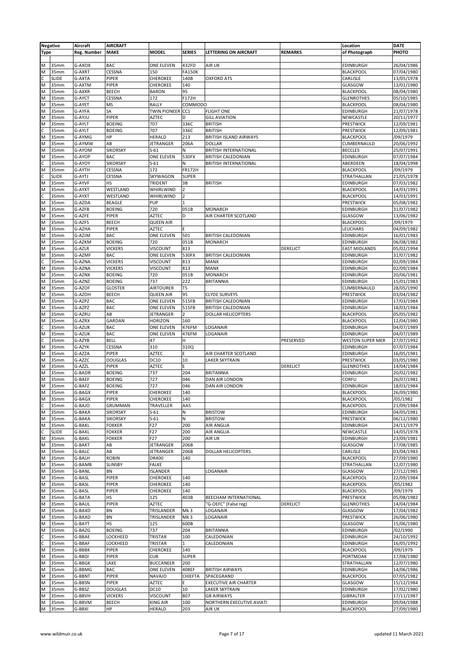|             | <b>Negative</b> | Aircraft      | <b>AIRCRAFT</b> |                     |                 |                               |                 | Location                | <b>DATE</b> |
|-------------|-----------------|---------------|-----------------|---------------------|-----------------|-------------------------------|-----------------|-------------------------|-------------|
| <b>Type</b> |                 | Reg. Number   | <b>MAKE</b>     | <b>MODEL</b>        | <b>SERIES</b>   | LETTERING ON AIRCRAFT         | <b>REMARKS</b>  | of Photograph           | PHOTO       |
|             |                 |               |                 |                     |                 |                               |                 |                         |             |
| M           | 35mm            | G-AXOX        | <b>BAC</b>      | ONE ELEVEN          | 432FD           | AIR UK                        |                 | <b>EDINBURGH</b>        | 26/04/1986  |
|             | 35mm            | G-AXRT        | CESSNA          | 150                 | <b>FA150K</b>   |                               |                 |                         | 07/04/1980  |
| M           |                 |               |                 |                     |                 |                               |                 | <b>BLACKPOOL</b>        |             |
| C           | <b>SLIDE</b>    | G-AXTA        | PIPER           | CHEROKEE            | 140B            | <b>OXFORD ATS</b>             |                 | CARLISLE                | 13/05/1978  |
| M           | 35mm            | G-AXTM        | PIPER           | <b>CHEROKEE</b>     | 140             |                               |                 | GLASGOW                 | 13/01/1980  |
| M           | 35mm            | G-AXXR        | <b>BEECH</b>    | <b>BARON</b>        | 95              |                               |                 | <b>BLACKPOOL</b>        | 08/04/1980  |
| M           | 35mm            | G-AYCT        | CESSNA          | 172                 | F172H           |                               |                 | <b>GLENROTHES</b>       | 05/10/1985  |
| M           | 35mm            | G-AYET        | MS              | RALLY               | COMMODO         |                               |                 | <b>BLACKPOOL</b>        | 08/04/1980  |
| M           | 35mm            | G-AYFA        | SA              | <b>TWIN PIONEER</b> | CC <sub>1</sub> | <b>FLIGHT ONE</b>             |                 | <b>EDINBURGH</b>        | 21/07/1978  |
| M           | 35mm            | G-AYJU        | PIPER           | <b>AZTEC</b>        | D               | <b>GILL AVIATION</b>          |                 | NEWCASTLE               | 20/11/1977  |
| M           | 35mm            | G-AYLT        | <b>BOEING</b>   | 707                 | 336C            | <b>BRITISH</b>                |                 | PRESTWICK               | 12/09/1981  |
| C           | 35mm            | G-AYLT        | <b>BOEING</b>   | 707                 | 336C            | <b>BRITISH</b>                |                 | PRESTWICK               | 12/09/1981  |
| M           | 35mm            | G-AYMG        | HP              | <b>HERALD</b>       | 213             | <b>BRITISH ISLAND AIRWAYS</b> |                 | <b>BLACKPOOL</b>        | /09/1979    |
|             |                 | G-AYMW        | AB              | <b>JETRANGER</b>    | 206A            | <b>DOLLAR</b>                 |                 | CUMBERNAULD             |             |
| M           | 35mm            |               |                 |                     |                 |                               |                 |                         | 20/06/1992  |
| M           | 35mm            | G-AYOM        | <b>SIKORSKY</b> | $S-61$              | N               | <b>BRITISH INTERNATIONAL</b>  |                 | <b>BECCLES</b>          | 25/07/1991  |
| M           | 35mm            | G-AYOP        | <b>BAC</b>      | ONE ELEVEN          | 530FX           | <b>BRITISH CALEDONIAN</b>     |                 | <b>EDINBURGH</b>        | 07/07/1984  |
| C           | 35mm            | G-AYOY        | <b>SIKORSKY</b> | $S-61$              | N               | <b>BRITISH INTERNATIONAL</b>  |                 | ABERDEEN                | 18/04/1998  |
| M           | 35mm            | G-AYTH        | CESSNA          | 172                 | <b>FR172H</b>   |                               |                 | <b>BLACKPOOL</b>        | /09/1979    |
| C           | <b>SLIDE</b>    | G-AYTJ        | CESSNA          | SKYWAGON            | <b>SUPER</b>    |                               |                 | STRATHALLAN             | 21/05/1978  |
| M           | 35mm            | G-AYVF        | HS              | TRIDENT             | 3B              | <b>BRITISH</b>                |                 | EDINBURGH               | 07/03/1982  |
| M           | 35mm            | G-AYXT        | WESTLAND        | WHIRLWIND           | $\overline{2}$  |                               |                 | <b>BLACKPOOL</b>        | 14/03/1991  |
| C           | 35mm            | G-AYXT        | WESTLAND        | WHIRLWIND           | $\overline{2}$  |                               |                 | <b>BLACKPOOL</b>        | 14/03/1991  |
| M           | 35mm            | G-AZDA        | <b>BEAGLE</b>   | PUP                 | $\mathbf{1}$    |                               |                 | PRESTWICK               | 05/08/1982  |
| M           | 35mm            | G-AZFB        | <b>BOEING</b>   | 720                 | 051B            | <b>MONARCH</b>                |                 | <b>EDINBURGH</b>        | 31/07/1982  |
|             |                 |               |                 |                     |                 |                               |                 |                         |             |
| M           | 35mm            | G-AZFE        | PIPER           | <b>AZTEC</b>        | D               | AIR CHARTER SCOTLAND          |                 | GLASGOW                 | 13/06/1982  |
| M           | 35mm            | G-AZFS        | <b>BEECH</b>    | <b>QUEEN AIR</b>    |                 |                               |                 | <b>BLACKPOOL</b>        | /09/1979    |
| M           | 35mm            | G-AZHA        | PIPER           | <b>AZTEC</b>        | F               |                               |                 | LEUCHARS                | 04/09/1982  |
| M           | 35mm            | G-AZJM        | <b>BAC</b>      | ONE ELEVEN          | 501             | <b>BRITISH CALEDONIAN</b>     |                 | <b>EDINBURGH</b>        | 16/01/1983  |
| M           | 35mm            | G-AZKM        | <b>BOEING</b>   | 720                 | 051B            | <b>MONARCH</b>                |                 | <b>EDINBURGH</b>        | 06/08/1982  |
| M           | 35mm            | G-AZLR        | <b>VICKERS</b>  | <b>VISCOUNT</b>     | 813             |                               | <b>DERELICT</b> | <b>EAST MIDLANDS</b>    | 05/02/1994  |
| M           | 35mm            | G-AZMF        | <b>BAC</b>      | ONE ELEVEN          | 530FX           | <b>BRITISH CALEDONIAN</b>     |                 | <b>EDINBURGH</b>        | 31/07/1982  |
| C           | 35mm            | G-AZNA        | <b>VICKERS</b>  | <b>VISCOUNT</b>     | 813             | <b>MANX</b>                   |                 | <b>EDINBURGH</b>        | 02/09/1984  |
| M           | 35mm            | G-AZNA        | <b>VICKERS</b>  | <b>VISCOUNT</b>     | 813             | <b>MANX</b>                   |                 | <b>EDINBURGH</b>        | 02/09/1984  |
|             |                 |               |                 |                     |                 |                               |                 |                         |             |
| M           | 35mm            | G-AZNX        | <b>BOEING</b>   | 720                 | 051B            | <b>MONARCH</b>                |                 | <b>EDINBURGH</b>        | 20/06/1981  |
| M           | 35mm            | G-AZNZ        | <b>BOEING</b>   | 737                 | 222             | <b>BRITANNIA</b>              |                 | EDINBURGH               | 15/01/1983  |
| M           | 35mm            | G-AZOF        | <b>GLOSTER</b>  | <b>AIRTOURER</b>    | T5              |                               |                 | CUMBERNAULD             | 28/05/1990  |
| M           | 35mm            | G-AZOH        | <b>BEECH</b>    | <b>QUEEN AIR</b>    | 95              | <b>CLYDE SURVEYS</b>          |                 | PRESTWICK               | 03/04/1982  |
| M           | 35mm            | G-AZPZ        | BAC             | ONE ELEVEN          | 515FB           | <b>BRITISH CALEDONIAN</b>     |                 | <b>EDINBURGH</b>        | 17/03/1984  |
| M           | 35mm            | G-AZPZ        | BAC             | ONE ELEVEN          | 515FB           | <b>BRITISH CALEDONIAN</b>     |                 | <b>EDINBURGH</b>        | 18/03/1984  |
| M           | 35mm            | G-AZRU        | AB              | JETRANGER           | $\overline{2}$  | <b>DOLLAR HELICOPTERS</b>     |                 | <b>BLACKPOOL</b>        | 05/05/1982  |
| M           | 35mm            | G-AZRX        | GARDAN          | <b>HORIZON</b>      | 160             |                               |                 | <b>BLACKPOOL</b>        | 12/04/1980  |
| C           |                 |               | BAC             |                     |                 |                               |                 |                         |             |
|             | 35mm            | G-AZUK        |                 | ONE ELEVEN          | 476FM           | LOGANAIR                      |                 | <b>EDINBURGH</b>        | 04/07/1989  |
| M           | 35mm            | G-AZUK        | BAC             | ONE ELEVEN          | 476FM           | LOGANAIR                      |                 | <b>EDINBURGH</b>        | 04/07/1989  |
| c           | 35mm            | G-AZYB        | <b>BELL</b>     | 47                  | H               |                               | PRESERVED       | <b>WESTON SUPER MER</b> | 27/07/1992  |
| M           | 35mm            | G-AZYK        | <b>CESSNA</b>   | 310                 | 310Q            |                               |                 | EDINBURGH               | 07/07/1984  |
| M           | 35mm            | G-AZZA        | PIPER           | <b>AZTEC</b>        | E               | AIR CHARTER SCOTLAND          |                 | EDINBURGH               | 16/05/1981  |
| M           | 35mm            | G-AZZC        | <b>DOUGLAS</b>  | DC10                | 10              | LAKER SKYTRAIN                |                 | PRESTWICK               | 03/05/1980  |
| M           | 35mm            | G-AZZL        | PIPER           | <b>AZTEC</b>        | E               |                               | DERELICT        | <b>GLENROTHES</b>       | 14/04/1984  |
| M           | 35mm            | G-BADR        | <b>BOEING</b>   | 737                 | 204             | <b>BRITANNIA</b>              |                 | EDINBURGH               | 20/02/1982  |
| M           | 35mm            | G-BAEF        | <b>BOEING</b>   | 727                 | 046             | DAN AIR LONDON                |                 | CORFU                   | 26/07/1981  |
|             | 35mm            |               |                 | 727                 | 046             | DAN AIR LONDON                |                 |                         | 18/03/1984  |
| M           |                 | G-BAFZ        | <b>BOEING</b>   |                     |                 |                               |                 | <b>EDINBURGH</b>        |             |
| M           | 35mm            | G-BAGX        | <b>PIPER</b>    | <b>CHEROKEE</b>     | 140             |                               |                 | <b>BLACKPOOL</b>        | 26/09/1980  |
| M           | 35mm            | G-BAGX        | PIPER           | CHEROKEE            | 140             |                               |                 | <b>BLACKPOOL</b>        | /05/1982    |
| C           | 35mm            | G-BAJO        | GRUMMAN         | TRAVELLER           | AA5             |                               |                 | <b>BLACKPOOL</b>        | 21/09/1984  |
| M           | 35mm            | G-BAKA        | <b>SIKORSKY</b> | $S-61$              | $\mathsf{N}$    | <b>BRISTOW</b>                |                 | EDINBURGH               | 04/05/1981  |
| M           | 35mm            | G-BAKA        | <b>SIKORSKY</b> | $S-61$              | ${\sf N}$       | <b>BRISTOW</b>                |                 | PRESTWICK               | 06/12/1980  |
| M           | 35mm            | <b>G-BAKL</b> | <b>FOKKER</b>   | F27                 | 200             | AIR ANGLIA                    |                 | <b>EDINBURGH</b>        | 24/11/1979  |
|             | <b>SLIDE</b>    | G-BAKL        | <b>FOKKER</b>   | F27                 | 200             | <b>AIR ANGLIA</b>             |                 | NEWCASTLE               | 14/05/1978  |
| M           | 35mm            | G-BAKL        | <b>FOKKER</b>   | F27                 | 200             | AIR UK                        |                 | <b>EDINBURGH</b>        | 23/09/1981  |
| M           | 35mm            | G-BAKT        | AB              | JETRANGER           | 206B            |                               |                 | GLASGOW                 | 17/08/1985  |
| M           | 35mm            | G-BALC        | AB              | JETRANGER           | 206B            | <b>DOLLAR HELICOPTERS</b>     |                 | CARLISLE                | 03/04/1983  |
|             |                 |               |                 |                     |                 |                               |                 |                         |             |
| M           | 35mm            | G-BALH        | <b>ROBIN</b>    | DR400               | 140             |                               |                 | <b>BLACKPOOL</b>        | 27/09/1980  |
| M           | 35mm            | G-BAMB        | <b>SLINSBY</b>  | <b>FALKE</b>        |                 |                               |                 | STRATHALLAN             | 12/07/1980  |
| M           | 35mm            | G-BANL        | BN              | ISLANDER            |                 | LOGANAIR                      |                 | GLASGOW                 | 27/12/1985  |
| M           | 35mm            | G-BASL        | PIPER           | CHEROKEE            | 140             |                               |                 | <b>BLACKPOOL</b>        | 22/09/1984  |
| M           | 35mm            | G-BASL        | PIPER           | <b>CHEROKEE</b>     | 140             |                               |                 | <b>BLACKPOOL</b>        | /05/1982    |
| M           | 35mm            | G-BASL        | PIPER           | CHEROKEE            | 140             |                               |                 | <b>BLACKPOOL</b>        | /09/1979    |
| M           | 35mm            | G-BATA        | HS              | 125                 | 403B            | BEECHAM INTERNATIONAL         |                 | <b>PRESTWICK</b>        | 05/08/1982  |
| M           | 35mm            | G-BAUL        | PIPER           | AZTEC               |                 | 'G-OEFC" (False reg)          | DERELICT        | <b>GLENROTHES</b>       | 14/04/1984  |
| M           | 35mm            | G-BAXD        | BN              | TRISLANDER          | Mk3             | LOGANAIR                      |                 | GLASGOW                 | 17/04/1982  |
|             |                 |               |                 |                     |                 |                               |                 |                         |             |
| M           | 35mm            | G-BAXD        | BN              | TRISLANDER          | Mk <sub>3</sub> | LOGANAIR                      |                 | PRESTWICK               | 26/06/1980  |
| M           | 35mm            | G-BAYT        | HS              | 125                 | 600B            |                               |                 | GLASGOW                 | 15/06/1980  |
| M           | 35mm            | G-BAZG        | <b>BOEING</b>   | 737                 | 204             | <b>BRITANNIA</b>              |                 | <b>EDINBURGH</b>        | /02/1990    |
| C           | 35mm            | G-BBAE        | LOCKHEED        | <b>TRISTAR</b>      | 100             | CALEDONIAN                    |                 | <b>EDINBURGH</b>        | 24/10/1992  |
|             | 35mm            | G-BBAF        | LOCKHEED        | TRISTAR             | $\mathbf{1}$    | CALEDONIAN                    |                 | <b>EDINBURGH</b>        | 16/05/1992  |
| M           | 35mm            | G-BBBK        | PIPER           | CHEROKEE            | 140             |                               |                 | <b>BLACKPOOL</b>        | /09/1979    |
| M           | 35mm            | G-BBDI        | PIPER           | <b>CUB</b>          | <b>SUPER</b>    |                               |                 | PORTMOAK                | 17/08/1980  |
| M           | 35mm            | G-BBGK        | LAKE            | <b>BUCCANEER</b>    | 200             |                               |                 | STRATHALLAN             | 12/07/1980  |
|             |                 |               |                 |                     |                 |                               |                 |                         |             |
| M           | 35mm            | G-BBMG        | BAC             | ONE ELEVEN          | 408EF           | <b>BRITISH AIRWAYS</b>        |                 | <b>EDINBURGH</b>        | 14/06/1986  |
| M           | 35mm            | G-BBNT        | PIPER           | NAVAJO              | CHIEFTA         | SPACEGRAND                    |                 | <b>BLACKPOOL</b>        | 07/05/1982  |
| M           | 35mm            | G-BBSN        | PIPER           | <b>AZTEC</b>        | E               | EXECUTIVE AIR CHARTER         |                 | GLASGOW                 | 15/12/1984  |
| M           | 35mm            | G-BBSZ        | <b>DOUGLAS</b>  | DC10                | 10              | LAKER SKYTRAIN                |                 | <b>EDINBURGH</b>        | 17/02/1980  |
| M           | 35mm            | G-BBVH        | <b>VICKERS</b>  | <b>VISCOUNT</b>     | 807             | <b>GB AIRWAYS</b>             |                 | <b>GIBRALTER</b>        | 17/11/1987  |
| M           | 35mm            | G-BBVM        | BEECH           | <b>KING AIR</b>     | 100             | NORTHERN EXECUTIVE AVIATI     |                 | <b>EDINBURGH</b>        | 09/04/1988  |
| M           | 35mm            | G-BBXI        | HP              | <b>HERALD</b>       | 203             | AIR UK                        |                 | <b>BLACKPOOL</b>        | 27/09/1980  |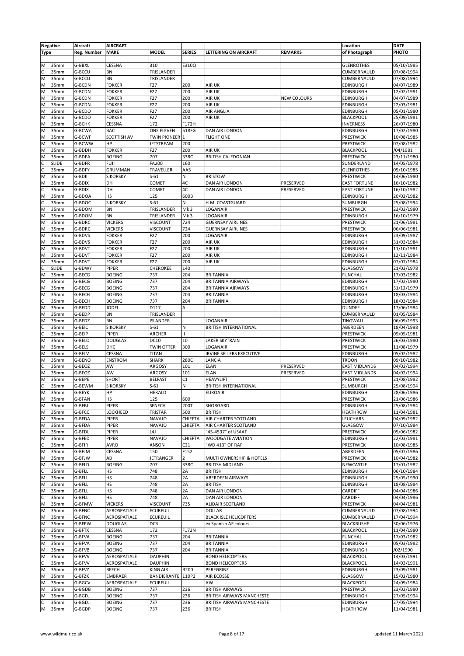|                | <b>Negative</b> | Aircraft           | <b>AIRCRAFT</b> |                     |                 |                               |                    | Location             | <b>DATE</b> |
|----------------|-----------------|--------------------|-----------------|---------------------|-----------------|-------------------------------|--------------------|----------------------|-------------|
| <b>Type</b>    |                 | <b>Reg. Number</b> | MAKE            | <b>MODEL</b>        | <b>SERIES</b>   | <b>LETTERING ON AIRCRAFT</b>  | <b>REMARKS</b>     | of Photograph        | PHOTO       |
|                |                 |                    |                 |                     |                 |                               |                    |                      |             |
| M              | 35mm            | G-BBXL             | CESSNA          | 310                 | E310Q           |                               |                    | <b>GLENROTHES</b>    | 05/10/1985  |
|                |                 |                    |                 |                     |                 |                               |                    |                      |             |
|                | 35mm            | G-BCCU             | BN              | TRISLANDER          |                 |                               |                    | CUMBERNAULD          | 07/08/1994  |
| M              | 35mm            | G-BCCU             | BN              | TRISLANDER          |                 |                               |                    | CUMBERNAULD          | 07/08/1994  |
| M              | 35mm            | G-BCDN             | <b>FOKKER</b>   | F27                 | 200             | <b>AIR UK</b>                 |                    | EDINBURGH            | 04/07/1989  |
| M              | 35mm            | G-BCDN             | <b>FOKKER</b>   | F27                 | 200             | AIR UK                        |                    | EDINBURGH            | 12/02/1981  |
| M              | 35mm            | G-BCDN             | <b>FOKKER</b>   | F <sub>27</sub>     | 200             | <b>AIR UK</b>                 | <b>NEW COLOURS</b> | EDINBURGH            | 04/07/1989  |
| M              | 35mm            | G-BCDN             | <b>FOKKER</b>   | F27                 | 200             | <b>AIR UK</b>                 |                    | EDINBURGH            | 22/03/1981  |
| M              | 35mm            | G-BCDO             | <b>FOKKER</b>   | F27                 | 200             | <b>AIR ANGLIA</b>             |                    | EDINBURGH            | 05/01/1980  |
| M              | 35mm            | G-BCDO             | <b>FOKKER</b>   | F27                 | 200             | AIR UK                        |                    | <b>BLACKPOOL</b>     | 25/09/1981  |
| M              | 35mm            | G-BCHK             | CESSNA          | 172                 | F172H           |                               |                    | <b>INVERNESS</b>     | 26/07/1980  |
|                |                 |                    | BAC             |                     | 518FG           | DAN AIR LONDON                |                    |                      |             |
| M              | 35mm            | G-BCWA             |                 | ONE ELEVEN          |                 |                               |                    | EDINBURGH            | 17/02/1980  |
| M              | 35mm            | G-BCWF             | SCOTTISH AV     | <b>TWIN PIONEER</b> | I1              | <b>FLIGHT ONE</b>             |                    | PRESTWICK            | 10/08/1985  |
| M              | 35mm            | G-BCWW             | ΗP              | <b>JETSTREAM</b>    | 200             |                               |                    | PRESTWICK            | 07/08/1982  |
| M              | 35mm            | G-BDDH             | <b>FOKKER</b>   | F27                 | 200             | AIR UK                        |                    | <b>BLACKPOOL</b>     | /04/1981    |
| M              | 35mm            | G-BDEA             | <b>BOEING</b>   | 707                 | 338C            | <b>BRITISH CALEDONIAN</b>     |                    | PRESTWICK            | 23/11/1980  |
| C              | <b>SLIDE</b>    | G-BDFR             | <b>FUJI</b>     | FA200               | 160             |                               |                    | SUNDERLAND           | 14/05/1978  |
|                | 35mm            | G-BDFY             | GRUMMAN         | TRAVELLER           | AA5             |                               |                    | <b>GLENROTHES</b>    | 05/10/1985  |
| M              | 35mm            | G-BDII             | <b>SIKORSKY</b> | $S-61$              | N               | <b>BRISTOW</b>                |                    | PRESTWICK            | 14/06/1980  |
| M              | 35mm            | G-BDIX             | DH              | COMET               | 4C              | DAN AIR LONDON                | PRESERVED          | <b>EAST FORTUNE</b>  | 16/10/1982  |
|                | 35mm            | G-BDIX             | DH              | COMET               | 4C              | DAN AIR LONDON                | PRESERVED          | <b>EAST FORTUNE</b>  | 16/10/1982  |
| M              |                 |                    | HS              |                     |                 |                               |                    |                      |             |
|                | 35mm            | G-BDOA             |                 | 125                 | 600B            |                               |                    | EDINBURGH            | 20/02/1982  |
|                | 35mm            | G-BDOC             | <b>SIKORSKY</b> | $S-61$              | N               | H.M. COASTGUARD               |                    | SUMBURGH             | 25/08/1994  |
| M              | 35mm            | G-BDOM             | BN              | TRISLANDER          | Mk3             | LOGANAIR                      |                    | PRESTWICK            | 23/02/1980  |
| M              | 35mm            | G-BDOM             | BN              | TRISLANDER          | Mk3             | LOGANAIR                      |                    | EDINBURGH            | 16/10/1979  |
| M              | 35mm            | G-BDRC             | <b>VICKERS</b>  | <b>VISCOUNT</b>     | 724             | <b>GUERNSAY AIRLINES</b>      |                    | PRESTWICK            | 21/06/1981  |
| M              | 35mm            | G-BDRC             | <b>VICKERS</b>  | <b>VISCOUNT</b>     | 724             | <b>GUERNSAY AIRLINES</b>      |                    | PRESTWICK            | 06/06/1981  |
| M              | 35mm            | G-BDVS             | <b>FOKKER</b>   | F27                 | 200             | LOGANAIR                      |                    | EDINBURGH            | 23/09/1987  |
| M              | 35mm            | G-BDVS             | <b>FOKKER</b>   | F27                 | 200             | <b>AIR UK</b>                 |                    | EDINBURGH            | 31/03/1984  |
| M              |                 |                    |                 | F27                 | 200             |                               |                    |                      |             |
|                | 35mm            | G-BDVT             | <b>FOKKER</b>   |                     |                 | <b>AIR UK</b>                 |                    | EDINBURGH            | 11/10/1981  |
| M              | 35mm            | G-BDVT             | <b>FOKKER</b>   | F27                 | 200             | <b>AIR UK</b>                 |                    | EDINBURGH            | 13/11/1984  |
| M              | 35mm            | G-BDVT             | <b>FOKKER</b>   | F27                 | 200             | <b>AIR UK</b>                 |                    | EDINBURGH            | 07/07/1984  |
|                | <b>SLIDE</b>    | G-BDWY             | PIPER           | CHEROKEE            | 140             |                               |                    | GLASGOW              | 21/03/1978  |
| M              | 35mm            | G-BECG             | <b>BOEING</b>   | 737                 | 204             | <b>BRITANNIA</b>              |                    | <b>FUNCHAL</b>       | 17/03/1982  |
| M              | 35mm            | G-BECG             | <b>BOEING</b>   | 737                 | 204             | <b>BRITANNIA AIRWAYS</b>      |                    | EDINBURGH            | 17/02/1980  |
| M              | 35mm            | G-BECG             | <b>BOEING</b>   | 737                 | 204             | <b>BRITANNIA AIRWAYS</b>      |                    | EDINBURGH            | 31/12/1979  |
| M              | 35mm            | G-BECH             | <b>BOEING</b>   | 737                 | 204             | <b>BRITANNIA</b>              |                    | EDINBURGH            | 18/03/1984  |
|                | 35mm            | G-BECH             | <b>BOEING</b>   | 737                 | 204             | <b>BRITANNIA</b>              |                    | EDINBURGH            | 18/03/1984  |
| M              | 35mm            | G-BEDD             | <b>JODEL</b>    | D117                | Α               |                               |                    | DUNDEE               |             |
|                |                 |                    |                 |                     |                 |                               |                    |                      | 17/06/1984  |
| M              | 35mm            | G-BEDP             | BN              | TRISLANDER          |                 |                               |                    | CUMBERNAULD          | 01/05/1984  |
| M              | 35mm            | G-BEDZ             | BN              | <b>ISLANDER</b>     |                 | LOGANAIR                      |                    | TINGWALL             | 06/09/1993  |
| C              | 35mm            | G-BEIC             | <b>SIKORSKY</b> | $S-61$              | Ν               | <b>BRITISH INTERNATIONAL</b>  |                    | ABERDEEN             | 18/04/1998  |
| C              | 35mm            | G-BEIP             | PIPER           | ARCHER              | $\mathbf{H}$    |                               |                    | PRESTWICK            | 09/05/1981  |
| M              | 35mm            | G-BELO             | <b>DOUGLAS</b>  | DC10                | 10              | <b>LAKER SKYTRAIN</b>         |                    | PRESTWICK            | 26/03/1980  |
| M              | 35mm            | G-BELS             | DHC             | <b>TWIN OTTER</b>   | 300             | LOGANAIR                      |                    | PRESTWICK            | 11/08/1979  |
| M              | 35mm            | G-BELV             | CESSNA          | <b>TITAN</b>        |                 | IRVINE SELLERS EXECUTIVE      |                    | EDINBURGH            | 05/02/1982  |
| M              | 35mm            | G-BENO             | <b>ENSTROM</b>  | <b>SHARK</b>        | 280C            | LANCIA                        |                    |                      | 09/10/1982  |
|                |                 |                    |                 |                     |                 |                               |                    | TROON                |             |
|                | 35mm            | G-BEOZ             | AW              | ARGOSY              | 101             | <b>ELAN</b>                   | PRESERVED          | <b>EAST MIDLANDS</b> | 04/02/1994  |
| M              | 35mm            | G-BEOZ             | AW              | ARGOSY              | 101             | <b>ELAN</b>                   | PRESERVED          | <b>EAST MIDLANDS</b> | 04/02/1994  |
| M              | 35mm            | G-BEPE             | <b>SHORT</b>    | <b>BELFAST</b>      | C1              | <b>HEAVYLIFT</b>              |                    | PRESTWICK            | 21/08/1982  |
| $\overline{c}$ | 35mm            | G-BEWM             | <b>SIKORSKY</b> | $S-61$              | N               | <b>BRITISH INTERNATIONAL</b>  |                    | SUMBURGH             | 25/08/1994  |
| M              | 35mm            | G-BEYK             | HP              | <b>HERALD</b>       |                 | <b>EUROAIR</b>                |                    | EDINBURGH            | 28/06/1986  |
| M              | 35mm            | G-BFAN             | нs              | 125                 | 600             |                               |                    | PRESTWICK            | 21/06/1986  |
| M              | 35mm            | G-BFBJ             | PIPER           | SENECA              | 200T            | SHORGARD                      |                    | EDINBURGH            | 25/08/1984  |
| M              | 35mm            | G-BFCC             | LOCKHEED        | TRISTAR             | 500             | <b>BRITISH</b>                |                    | <b>HEATHROW</b>      | 11/04/1981  |
|                | 35mm            | G-BFDA             |                 | <b>NAVAJO</b>       | <b>CHIEFTA</b>  |                               |                    |                      | 04/09/1982  |
| M              |                 |                    | PIPER           |                     |                 | AIR CHARTER SCOTLAND          |                    | LEUCHARS             |             |
| M              | 35mm            | G-BFDA             | PIPER           | <b>NAVAJO</b>       | CHIEFTA         | AIR CHARTER SCOTLAND          |                    | GLASGOW              | 07/10/1984  |
| M              | 35mm            | G-BFDL             | PIPER           | L4J                 |                 | "45-4537" of USAAF            |                    | PRESTWICK            | 05/06/1982  |
| M              | 35mm            | G-BFED             | PIPER           | <b>NAVAJO</b>       | CHIEFTA         | <b>WOODGATE AVIATION</b>      |                    | EDINBURGH            | 22/03/1981  |
|                | 35mm            | G-BFIR             | AVRO            | ANSON               | C <sub>21</sub> | 'WD 413" OF RAF               |                    | PRESTWICK            | 10/08/1985  |
| M              | 35mm            | G-BFJM             | CESSNA          | 150                 | F152            |                               |                    | ABERDEEN             | 05/07/1986  |
| M              | 35mm            | G-BFJW             | АB              | <b>JETRANGER</b>    | $\overline{2}$  | MULTI OWNERSHIP & HOTELS      |                    | PRESTWICK            | 10/04/1982  |
| M              | 35mm            | G-BFLD             | <b>BOEING</b>   | 707                 | 338C            | <b>BRITISH MIDLAND</b>        |                    | NEWCASTLE            | 17/01/1982  |
| c              | 35mm            | G-BFLL             | НS              | 748                 | 2A              | <b>BRITISH</b>                |                    | EDINBURGH            | 06/10/1984  |
| M              | 35mm            | G-BFLL             | HS              | 748                 | 2A              | <b>ABERDEEN AIRWAYS</b>       |                    | EDINBURGH            | 25/05/1990  |
|                |                 |                    | HS              |                     | 2A              |                               |                    | EDINBURGH            |             |
| M              | 35mm            | G-BFLL             |                 | 748                 |                 | <b>BRITISH</b>                |                    |                      | 18/08/1984  |
| M              | 35mm            | G-BFLL             | HS              | 748                 | 2A              | DAN AIR LONDON                |                    | CARDIFF              | 04/04/1986  |
|                | 35mm            | G-BFLL             | HS              | 748                 | 2A              | DAN AIR LONDON                |                    | CARDIFF              | 04/04/1986  |
| M              | 35mm            | G-BFMW             | <b>VICKERS</b>  | <b>VISCOUNT</b>     | 735             | ALIDAIR SCOTLAND              |                    | PRESTWICK            | 04/04/1981  |
| M              | 35mm            | G-BFNC             | AEROSPATIALE    | <b>ECUREUIL</b>     |                 | <b>DOLLAR</b>                 |                    | CUMBERNAULD          | 07/08/1994  |
| M              | 35mm            | G-BFNC             | AEROSPATIALE    | <b>ECUREUIL</b>     |                 | <b>BLACK ISLE HELICOPTERS</b> |                    | CUMBERNAULD          | 17/04/1994  |
| M              | 35mm            | G-BFPW             | <b>DOUGLAS</b>  | DC3                 |                 | ex Spanish AF colours         |                    | <b>BLACKBUSHE</b>    | 30/06/1976  |
| M              | 35mm            | G-BFTX             | CESSNA          | 172                 | F172N           |                               |                    | <b>BLACKPOOL</b>     | 11/04/1980  |
| M              | 35mm            | G-BFVA             | <b>BOEING</b>   | 737                 | 204             | <b>BRITANNIA</b>              |                    | <b>FUNCHAL</b>       | 17/03/1982  |
| M              | 35mm            | G-BFVA             | <b>BOEING</b>   | 737                 | 204             | <b>BRITANNIA</b>              |                    | EDINBURGH            |             |
|                |                 |                    |                 |                     |                 |                               |                    |                      | 05/03/1982  |
| M              | 35mm            | G-BFVB             | <b>BOEING</b>   | 737                 | 204             | <b>BRITANNIA</b>              |                    | EDINBURGH            | /02/1990    |
| M              | 35mm            | G-BFVV             | AEROSPATIALE    | <b>DAUPHIN</b>      |                 | <b>BOND HELICOPTERS</b>       |                    | <b>BLACKPOOL</b>     | 14/03/1991  |
|                | 35mm            | G-BFVV             | AEROSPATIALE    | <b>DAUPHIN</b>      |                 | <b>BOND HELICOPTERS</b>       |                    | <b>BLACKPOOL</b>     | 14/03/1991  |
| M              | 35mm            | G-BFVZ             | BEECH           | <b>KING AIR</b>     | <b>B200</b>     | PEREGRINE                     |                    | EDINBURGH            | 23/09/1981  |
| M              | 35mm            | G-BFZK             | <b>EMBRAER</b>  | BANDIERANTE         | 110P2           | <b>AIR ECOSSE</b>             |                    | GLASGOW              | 15/02/1980  |
| M              | 35mm            | G-BGCV             | AEROSPATIALE    | <b>ECUREUIL</b>     |                 | AW                            |                    | <b>BLACKPOOL</b>     | 24/09/1984  |
| M              | 35mm            | G-BGDB             | <b>BOEING</b>   | 737                 | 236             | <b>BRITISH AIRWAYS</b>        |                    | PRESTWICK            | 23/02/1980  |
| M              | 35mm            | G-BGDJ             | <b>BOEING</b>   | 737                 | 236             | BRITISH AIRWAYS MANCHESTE     |                    | EDINBURGH            | 27/05/1994  |
|                |                 |                    |                 |                     |                 |                               |                    |                      |             |
| C              | 35mm            | G-BGDJ             | <b>BOEING</b>   | 737                 | 236             | BRITISH AIRWAYS MANCHESTE     |                    | EDINBURGH            | 27/05/1994  |
| M              | 35mm            | G-BGDP             | <b>BOEING</b>   | 737                 | 236             | <b>BRITISH</b>                |                    | <b>HEATHROW</b>      | 11/04/1981  |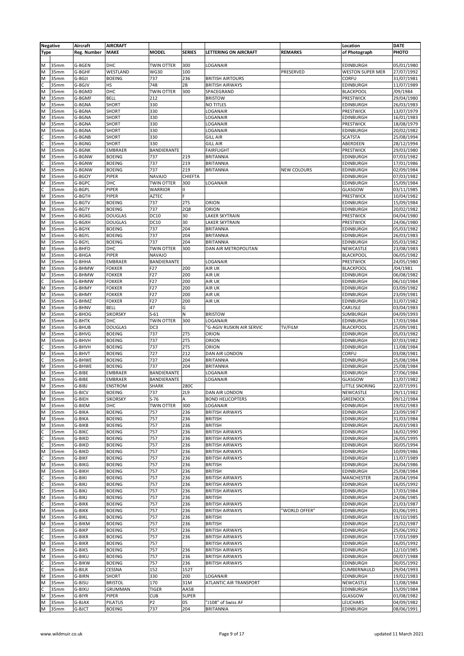|                   | <b>Negative</b> | Aircraft           | <b>AIRCRAFT</b>                  |                          |                 |                                           |                    | Location                             | <b>DATE</b>              |
|-------------------|-----------------|--------------------|----------------------------------|--------------------------|-----------------|-------------------------------------------|--------------------|--------------------------------------|--------------------------|
| <b>Type</b>       |                 | <b>Reg. Number</b> | <b>MAKE</b>                      | <b>MODEL</b>             | <b>SERIES</b>   | <b>LETTERING ON AIRCRAFT</b>              | <b>REMARKS</b>     | of Photograph                        | PHOTO                    |
|                   |                 |                    |                                  |                          |                 |                                           |                    |                                      |                          |
| M                 | 35mm            | G-BGEN             | DHC                              | <b>TWIN OTTER</b>        | 300             | LOGANAIR                                  |                    | EDINBURGH                            | 05/01/1980               |
| M                 | 35mm            | G-BGHF             | WESTLAND                         | <b>WG30</b>              | 100             |                                           | PRESERVED          | <b>WESTON SUPER MER</b>              | 27/07/1992               |
| M                 | 35mm            | G-BGJI             | <b>BOEING</b>                    | 737                      | 236             | <b>BRITISH AIRTOURS</b>                   |                    | <b>CORFU</b>                         | 31/07/1981               |
|                   | 35mm            | G-BGJV             | HS                               | 748                      | 2B              | <b>BRITISH AIRWAYS</b>                    |                    | <b>EDINBURGH</b>                     | 11/07/1989               |
| M                 | 35mm            | G-BGMD             | DHC                              | <b>TWIN OTTER</b>        | 300             | SPACEGRAND                                |                    | <b>BLACKPOOL</b>                     | /09/1984                 |
| M                 | 35mm            | G-BGMF             | <b>BELL</b>                      | 212                      |                 | <b>BRISTOW</b>                            |                    | PRESTWICK                            | 29/04/1980               |
| M                 | 35mm            | G-BGNA             | <b>SHORT</b>                     | 330                      |                 | <b>NO TITLES</b>                          |                    | EDINBURGH                            | 26/03/1983               |
| M                 | 35mm            | G-BGNA             | <b>SHORT</b>                     | 330                      |                 | LOGANAIR                                  |                    | PRESTWICK                            | 13/07/1979               |
| M                 | 35mm            | G-BGNA             | <b>SHORT</b>                     | 330                      |                 | LOGANAIR                                  |                    | EDINBURGH                            | 16/01/1983               |
| M                 | 35mm            | G-BGNA             | <b>SHORT</b>                     | 330                      |                 | LOGANAIR                                  |                    | PRESTWICK                            | 18/08/1979               |
| M                 | 35mm            | G-BGNA             | <b>SHORT</b>                     | 330                      |                 | LOGANAIR                                  |                    | <b>EDINBURGH</b>                     | 20/02/1982               |
| C                 | 35mm            | G-BGNB             | <b>SHORT</b>                     | 330                      |                 | <b>GILL AIR</b>                           |                    | <b>SCATSTA</b>                       | 25/08/1994               |
| C                 | 35mm            | G-BGNG             | <b>SHORT</b>                     | 330                      |                 | <b>GILL AIR</b>                           |                    | ABERDEEN                             | 28/12/1994               |
| M                 | 35mm            | G-BGNK             | EMBRAER                          | BANDIERANTE              |                 | <b>FAIRFLIGHT</b>                         |                    | PRESTWICK                            | 29/03/1980               |
| M                 | 35mm            | G-BGNW             | <b>BOEING</b>                    | 737                      | 219             | <b>BRITANNIA</b>                          |                    | EDINBURGH                            | 07/03/1982               |
| C                 | 35mm            | G-BGNW             | <b>BOEING</b>                    | 737                      | 219             | <b>BRITANNIA</b>                          |                    | <b>EDINBURGH</b>                     | 17/01/1986               |
| M                 | 35mm            | G-BGNW             | <b>BOEING</b>                    | 737                      | 219             | <b>BRITANNIA</b>                          | <b>NEW COLOURS</b> | EDINBURGH                            | 02/09/1984               |
| M                 | 35mm            | G-BGOY             | PIPER                            | <b>NAVAJO</b>            | CHIEFTA         |                                           |                    | EDINBURGH                            | 07/03/1982               |
| M                 | 35mm            | G-BGPC             | DHC                              | TWIN OTTER               | 300             | LOGANAIR                                  |                    | EDINBURGH                            | 15/09/1984               |
|                   | 35mm            | G-BGPL             | PIPER                            | WARRIOR                  | $\mathbf{H}$    |                                           |                    | GLASGOW                              | 03/11/1985               |
| M                 | 35mm            | G-BGTH             | PIPER                            | <b>AZTEC</b>             | F               |                                           |                    | PRESTWICK                            | 10/04/1982               |
| M                 | 35mm            | G-BGTV             | <b>BOEING</b>                    | 737                      | <b>2T5</b>      | ORION                                     |                    | EDINBURGH                            | 15/09/1984               |
| M                 | 35mm            | G-BGTY             | <b>BOEING</b>                    | 737                      | <b>2Q8</b>      | ORION                                     |                    | EDINBURGH                            | 20/02/1982               |
| łМ                | 35mm            | G-BGXG             | <b>DOUGLAS</b>                   | DC10                     | 30              | LAKER SKYTRAIN                            |                    | PRESTWICK                            | 04/04/1980               |
| M                 | 35mm            | G-BGXH             | <b>DOUGLAS</b>                   | DC10                     | 30              | <b>LAKER SKYTRAIN</b>                     |                    | PRESTWICK                            | 24/06/1980               |
| M                 | 35mm            | G-BGYK             | <b>BOEING</b>                    | 737                      | 204             | <b>BRITANNIA</b>                          |                    | EDINBURGH                            | 05/03/1982               |
| M                 | 35mm            | G-BGYL             | <b>BOEING</b>                    | 737                      | 204             | <b>BRITANNIA</b>                          |                    | <b>EDINBURGH</b>                     | 26/03/1983               |
| M                 | 35mm            | G-BGYL             | <b>BOEING</b>                    | 737                      | 204             | <b>BRITANNIA</b>                          |                    | <b>EDINBURGH</b>                     | 05/03/1982               |
| M                 | 35mm            | G-BHFD             | DHC                              | <b>TWIN OTTER</b>        | 300             | DAN AIR METROPOLITAN                      |                    | NEWCASTLE                            | 23/08/1983               |
| M                 | 35mm            | G-BHGA             | PIPER                            | <b>NAVAJO</b>            |                 |                                           |                    | <b>BLACKPOOL</b>                     | 06/05/1982               |
| M                 | 35mm            | G-BHHA             | EMBRAER                          | BANDIERANTE              |                 | LOGANAIR                                  |                    | PRESTWICK                            | 24/05/1980               |
| M                 | 35mm            | G-BHMW             | <b>FOKKER</b>                    | F27                      | 200             | AIR UK                                    |                    | <b>BLACKPOOL</b>                     | /04/1981                 |
| M                 | 35mm            | G-BHMW             | <b>FOKKER</b>                    | F27                      | 200             | AIR UK                                    |                    | EDINBURGH                            | 06/08/1982               |
|                   | 35mm            | G-BHMW             | <b>FOKKER</b>                    | F27                      | 200             | AIR UK                                    |                    | EDINBURGH                            | 06/10/1984               |
| M                 | 35mm            | G-BHMY             | <b>FOKKER</b>                    | F <sub>27</sub>          | 200             | AIR UK                                    |                    | EDINBURGH                            | 03/09/1982               |
| M                 | 35mm            | G-BHMY             | <b>FOKKER</b>                    | F27                      | 200             | AIR UK                                    |                    | <b>EDINBURGH</b>                     | 23/09/1981               |
| M                 | 35mm            | G-BHMZ             | <b>FOKKER</b>                    | F <sub>27</sub>          | 200             | AIR UK                                    |                    | <b>EDINBURGH</b>                     | 31/07/1982               |
| M                 | 35mm            | G-BHNV             | <b>BELL</b>                      | 47                       | G               |                                           |                    | CARLISLE                             | 03/04/1983               |
| M                 | 35mm            | G-BHOG             | <b>SIKORSKY</b>                  | $S-61$                   | N               | <b>BRISTOW</b>                            |                    | SUMBURGH                             | 04/09/1993               |
| M                 | 35mm            | G-BHTK             | DHC                              | <b>TWIN OTTER</b>        | 300             | LOGANAIR                                  |                    | EDINBURGH                            | 17/03/1984               |
| M                 | 35mm            | G-BHUB             | <b>DOUGLAS</b>                   | DC3                      |                 | 'G-AGIV RUSKIN AIR SERVIC                 | TV/FILM            | <b>BLACKPOOL</b>                     | 25/09/1981               |
| M                 | 35mm            | G-BHVG             | <b>BOEING</b>                    | 737                      | <b>2T5</b>      | ORION                                     |                    | EDINBURGH                            | 05/03/1982               |
| M                 | 35mm            | G-BHVH             | <b>BOEING</b>                    | 737                      | <b>2T5</b>      | ORION                                     |                    | EDINBURGH                            | 07/03/1982               |
| C                 | 35mm            | G-BHVH             | <b>BOEING</b>                    | 737                      | <b>2T5</b>      | ORION                                     |                    | <b>EDINBURGH</b>                     | 11/08/1984               |
| M                 | 35mm            | G-BHVT             | <b>BOEING</b>                    | 727                      | 212             | DAN AIR LONDON                            |                    | CORFU                                | 03/08/1981               |
| C                 | 35mm            | G-BHWE             | <b>BOEING</b>                    | 737                      | 204             | <b>BRITANNIA</b>                          |                    | EDINBURGH                            | 25/08/1984               |
| M                 | 35mm            | G-BHWE             | <b>BOEING</b>                    | 737                      | 204             | <b>BRITANNIA</b>                          |                    | EDINBURGH                            | 25/08/1984               |
|                   | 35mm            | G-BIBE             | EMBRAER                          | BANDIERANTE              |                 | LOGANAIR                                  |                    |                                      |                          |
| M                 | 35mm            | G-BIBE             |                                  |                          |                 | LOGANAIR                                  |                    | EDINBURGH                            | 27/06/1984<br>11/07/1982 |
| M                 | 35mm            | G-BIBJ             | EMBRAER                          | BANDIERANTE<br>SHARK     | 280C            |                                           |                    | GLASGOW                              |                          |
| M                 |                 |                    | ENSTROM                          |                          |                 |                                           |                    | LITTLE SNORING                       | 22/07/1991               |
| M<br>M            | 35mm<br>35mm    | G-BICV<br>G-BIEH   | <b>BOEING</b><br><b>SIKORSKY</b> | 737<br>$S-76$            | <b>2L9</b><br>A | DAN AIR LONDON<br><b>BOND HELICOPTERS</b> |                    | NEWCASTLE<br><b>GREENOCK</b>         | 29/11/1982               |
|                   |                 |                    |                                  |                          |                 |                                           |                    |                                      | 09/12/1984               |
| M<br>M            | 35mm<br>35mm    | G-BIEM<br>G-BIKA   | DHC<br><b>BOEING</b>             | <b>TWIN OTTER</b><br>757 | 300<br>236      | LOGANAIR<br><b>BRITISH AIRWAYS</b>        |                    | <b>EDINBURGH</b><br><b>EDINBURGH</b> | 19/02/1983<br>23/09/1987 |
|                   |                 |                    |                                  |                          |                 |                                           |                    |                                      |                          |
| M                 | 35mm            | G-BIKA             | <b>BOEING</b><br><b>BOEING</b>   | 757                      | 236             | <b>BRITISH</b>                            |                    | EDINBURGH                            | 31/03/1984<br>26/03/1983 |
| M                 | 35mm<br>35mm    | G-BIKB             |                                  | 757<br>757               | 236             | <b>BRITISH</b><br><b>BRITISH AIRWAYS</b>  |                    | <b>EDINBURGH</b>                     |                          |
| C                 |                 | G-BIKC             | <b>BOEING</b>                    |                          | 236             | <b>BRITISH AIRWAYS</b>                    |                    | <b>EDINBURGH</b>                     | 16/02/1990               |
| $\mathsf{C}$<br>C | 35mm            | G-BIKD             | <b>BOEING</b>                    | 757                      | 236             |                                           |                    | <b>EDINBURGH</b>                     | 26/05/1995               |
|                   | 35mm            | G-BIKD             | <b>BOEING</b>                    | 757                      | 236             | <b>BRITISH AIRWAYS</b>                    |                    | <b>EDINBURGH</b><br><b>EDINBURGH</b> | 30/05/1994               |
| M<br>lc           | 35mm<br>35mm    | G-BIKD             | <b>BOEING</b>                    | 757<br>757               | 236             | <b>BRITISH AIRWAYS</b>                    |                    |                                      | 10/09/1986<br>11/07/1989 |
| M                 | 35mm            | G-BIKF             | <b>BOEING</b>                    |                          | 236             | <b>BRITISH AIRWAYS</b>                    |                    | <b>EDINBURGH</b>                     |                          |
|                   |                 | G-BIKG             | <b>BOEING</b>                    | 757                      | 236             | BRITISH                                   |                    | EDINBURGH                            | 26/04/1986<br>25/08/1984 |
| M                 | 35mm            | G-BIKH             | <b>BOEING</b>                    | 757                      | 236             | <b>BRITISH</b>                            |                    | <b>EDINBURGH</b>                     |                          |
|                   | 35mm            | G-BIKI             | <b>BOEING</b>                    | 757                      | 236             | <b>BRITISH AIRWAYS</b>                    |                    | <b>MANCHESTER</b>                    | 28/04/1994               |
| c                 | 35mm            | G-BIKJ             | <b>BOEING</b>                    | 757                      | 236             | <b>BRITISH AIRWAYS</b>                    |                    | <b>EDINBURGH</b>                     | 16/05/1992               |
|                   | 35mm            | G-BIKJ             | <b>BOEING</b>                    | 757                      | 236             | <b>BRITISH AIRWAYS</b>                    |                    | <b>EDINBURGH</b>                     | 17/03/1984               |
| M                 | 35mm            | G-BIKJ             | <b>BOEING</b>                    | 757                      | 236             | <b>BRITISH</b>                            |                    | <b>EDINBURGH</b>                     | 24/06/1985               |
| c                 | 35mm            | G-BIKK             | <b>BOEING</b>                    | 757                      | 236             | <b>BRITISH AIRWAYS</b>                    |                    | <b>EDINBURGH</b>                     | 21/03/1987               |
| M                 | 35mm            | G-BIKK             | <b>BOEING</b>                    | 757                      | 236             | <b>BRITISH AIRWAYS</b>                    | 'WORLD OFFER"      | <b>EDINBURGH</b>                     | 01/06/1991               |
| M                 | 35mm            | G-BIKL             | <b>BOEING</b>                    | 757                      | 236             | <b>BRITISH</b>                            |                    | <b>EDINBURGH</b>                     | 19/10/1985               |
| M                 | 35mm            | G-BIKM             | <b>BOEING</b>                    | 757                      | 236             | <b>BRITISH</b>                            |                    | <b>EDINBURGH</b>                     | 21/02/1987               |
| C                 | 35mm            | G-BIKP             | <b>BOEING</b>                    | 757                      | 236             | <b>BRITISH AIRWAYS</b>                    |                    | <b>EDINBURGH</b>                     | 25/06/1992               |
| C                 | 35mm            | G-BIKR             | <b>BOEING</b>                    | 757                      | 236             | <b>BRITISH AIRWAYS</b>                    |                    | EDINBURGH                            | 17/03/1989               |
| M                 | 35mm            | G-BIKR             | <b>BOEING</b>                    | 757                      |                 | <b>BRITISH AIRWAYS</b>                    |                    | <b>EDINBURGH</b>                     | 16/05/1992               |
| M                 | 35mm            | G-BIKS             | <b>BOEING</b>                    | 757                      | 236             | <b>BRITISH AIRWAYS</b>                    |                    | EDINBURGH                            | 12/10/1985               |
| M                 | 35mm            | G-BIKU             | <b>BOEING</b>                    | 757                      | 236             | <b>BRITISH AIRWAYS</b>                    |                    | <b>EDINBURGH</b>                     | 09/07/1988               |
|                   | 35mm            | G-BIKW             | <b>BOEING</b>                    | 757                      | 236             | <b>BRITISH AIRWAYS</b>                    |                    | <b>EDINBURGH</b>                     | 30/05/1992               |
| C                 | 35mm            | G-BILR             | CESSNA                           | 152                      | 152T            |                                           |                    | CUMBERNAULD                          | 29/04/1993               |
| M                 | 35mm            | G-BIRN             | <b>SHORT</b>                     | 330                      | 200             | LOGANAIR                                  |                    | <b>EDINBURGH</b>                     | 19/02/1983               |
| M                 | 35mm            | G-BISU             | <b>BRISTOL</b>                   | 170                      | 31M             | ATLANTIC AIR TRANSPORT                    |                    | NEWCASTLE                            | 11/08/1984               |
| C                 | 35mm            | G-BIXU             | GRUMMAN                          | <b>TIGER</b>             | AA5B            |                                           |                    | <b>EDINBURGH</b>                     | 15/09/1984               |
| M                 | 35mm            | G-BIYR             | PIPER                            | <b>CUB</b>               | <b>SUPER</b>    |                                           |                    | GLASGOW                              | 01/08/1982               |
| M                 | 35mm            | G-BJAX             | PILATUS                          | P2                       | 05              | "J108" of Swiss AF                        |                    | LEUCHARS                             | 04/09/1982               |
| M                 | 35mm            | G-BJCT             | <b>BOEING</b>                    | 737                      | 204             | <b>BRITANNIA</b>                          |                    | <b>EDINBURGH</b>                     | 08/06/1991               |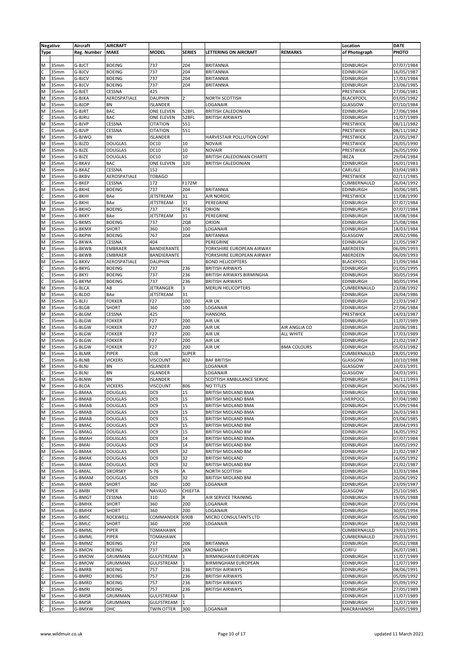| <b>Negative</b>         |      | Aircraft    | <b>AIRCRAFT</b> |                   |                |                              |                    | Location         | <b>DATE</b> |
|-------------------------|------|-------------|-----------------|-------------------|----------------|------------------------------|--------------------|------------------|-------------|
| <b>Type</b>             |      | Reg. Number | MAKE            | <b>MODEL</b>      | <b>SERIES</b>  | <b>LETTERING ON AIRCRAFT</b> | <b>REMARKS</b>     | of Photograph    | PHOTO       |
|                         |      |             |                 |                   |                |                              |                    |                  |             |
| M                       | 35mm | G-BJCT      | <b>BOEING</b>   | 737               | 204            | <b>BRITANNIA</b>             |                    | EDINBURGH        | 07/07/1984  |
|                         |      |             |                 | 737               | 204            |                              |                    |                  |             |
| $\frac{c}{M}$           | 35mm | G-BJCV      | <b>BOEING</b>   |                   |                | <b>BRITANNIA</b>             |                    | <b>EDINBURGH</b> | 16/05/1987  |
|                         | 35mm | G-BJCV      | <b>BOEING</b>   | 737               | 204            | <b>BRITANNIA</b>             |                    | <b>EDINBURGH</b> | 17/03/1984  |
| M                       | 35mm | G-BJCV      | <b>BOEING</b>   | 737               | 204            | <b>BRITANNIA</b>             |                    | <b>EDINBURGH</b> | 23/06/1985  |
| $\overline{M}$          | 35mm | G-BJET      | CESSNA          | 425               |                |                              |                    | PRESTWICK        | 27/06/1981  |
| $\overline{\mathsf{M}}$ | 35mm | G-BJKA      | AEROSPATIALE    | <b>DAUPHIN</b>    | $\overline{2}$ | NORTH SCOTTISH               |                    | <b>BLACKPOOL</b> | 03/05/1982  |
| M                       | 35mm | G-BJOP      | <b>BN</b>       | <b>ISLANDER</b>   |                | LOGANAIR                     |                    | GLASGOW          | 07/10/1984  |
| $\overline{M}$          | 35mm | G-BJRT      | <b>BAC</b>      | ONE ELEVEN        | 528FL          | <b>BRITISH CALEDONIAN</b>    |                    | <b>EDINBURGH</b> | 27/06/1984  |
| $\frac{1}{2}$           | 35mm | G-BJRU      | BAC             | ONE ELEVEN        | 528FL          | <b>BRITISH AIRWAYS</b>       |                    | EDINBURGH        | 11/07/1989  |
|                         | 35mm | G-BJVP      | CESSNA          | <b>CITATION</b>   | 551            |                              |                    | PRESTWICK        | 08/11/1982  |
|                         | 35mm | G-BJVP      | <b>CESSNA</b>   | <b>CITATION</b>   | 551            |                              |                    | PRESTWICK        | 08/11/1982  |
| $\overline{\mathsf{M}}$ | 35mm | G-BJWO      | <b>BN</b>       | <b>ISLANDER</b>   |                | HARVESTAIR POLLUTION CONT    |                    | <b>PRESTWICK</b> | 23/05/1987  |
| M                       | 35mm | G-BJZD      | <b>DOUGLAS</b>  | DC10              | 10             | <b>NOVAIR</b>                |                    | PRESTWICK        | 26/05/1990  |
| M                       | 35mm | G-BJZE      | <b>DOUGLAS</b>  | DC10              | 10             | <b>NOVAIR</b>                |                    | PRESTWICK        | 26/05/1990  |
| M                       | 35mm |             |                 | <b>DC10</b>       | 10             |                              |                    |                  |             |
| M                       |      | G-BJZE      | <b>DOUGLAS</b>  |                   |                | BRITISH CALEDONIAN CHARTE    |                    | <b>IBEZA</b>     | 29/04/1984  |
|                         | 35mm | G-BKAV      | <b>BAC</b>      | <b>ONE ELEVEN</b> | 320            | <b>BRITISH CALEDONIAN</b>    |                    | <b>EDINBURGH</b> | 16/01/1983  |
| $\overline{M}$          | 35mm | G-BKAZ      | CESSNA          | 152               |                |                              |                    | CARLISLE         | 03/04/1983  |
| $\overline{M}$          | 35mm | G-BKBV      | AEROSPATIALE    | <b>TOBAGO</b>     |                |                              |                    | PRESTWICK        | 02/11/1985  |
|                         | 35mm | G-BKEP      | <b>CESSNA</b>   | 172               | F172M          |                              |                    | CUMBERNAULD      | 26/04/1992  |
|                         | 35mm | G-BKHE      | <b>BOEING</b>   | 737               | 204            | <b>BRITANNIA</b>             |                    | <b>EDINBURGH</b> | 30/06/1985  |
| ∣x<br>∪                 | 35mm | G-BKHI      | BAe             | <b>JETSTREAM</b>  | 31             | <b>AIR NORDIC</b>            |                    | PRESTWICK        | 11/08/1990  |
| $\overline{\mathsf{M}}$ | 35mm | G-BKHI      | BAe             | JETSTREAM         | 31             | PEREGRINE                    |                    | <b>EDINBURGH</b> | 07/07/1984  |
| M                       | 35mm | G-BKHO      | <b>BOEING</b>   | 737               | 2T4            | ORION                        |                    | <b>EDINBURGH</b> | 07/07/1984  |
| $\overline{M}$          | 35mm | G-BKKY      | BAe             | JETSTREAM         | 31             | PEREGRINE                    |                    | EDINBURGH        | 18/08/1984  |
|                         |      |             |                 |                   |                |                              |                    |                  |             |
| M                       | 35mm | G-BKMS      | <b>BOEING</b>   | 737               | <b>2Q8</b>     | ORION                        |                    | <b>EDINBURGH</b> | 25/08/1984  |
| $\overline{M}$          | 35mm | G-BKMX      | <b>SHORT</b>    | 360               | 100            | LOGANAIR                     |                    | EDINBURGH        | 18/03/1984  |
| $\overline{\mathsf{M}}$ | 35mm | G-BKPW      | <b>BOEING</b>   | 767               | 204            | <b>BRITANNIA</b>             |                    | GLASGOW          | 28/02/1986  |
| M                       | 35mm | G-BKWA      | CESSNA          | 404               |                | PEREGRINE                    |                    | <b>EDINBURGH</b> | 21/05/1987  |
| $\overline{M}$          | 35mm | G-BKWB      | <b>EMBRAER</b>  | BANDIERANTE       |                | YORKSHIRE EUROPEAN AIRWAY    |                    | ABERDEEN         | 06/09/1993  |
|                         | 35mm | G-BKWB      | <b>EMBRAER</b>  | BANDIERANTE       |                | YORKSHIRE EUROPEAN AIRWAY    |                    | ABERDEEN         | 06/09/1993  |
| $\frac{c}{N}$           | 35mm | G-BKXV      | AEROSPATIALE    | <b>DAUPHIN</b>    |                | <b>BOND HELICOPTERS</b>      |                    | <b>BLACKPOOL</b> | 21/09/1984  |
|                         | 35mm | G-BKYG      | <b>BOEING</b>   | 737               | 236            | <b>BRITISH AIRWAYS</b>       |                    | <b>EDINBURGH</b> | 01/05/1995  |
| 0 0 z                   | 35mm | G-BKYJ      | <b>BOEING</b>   | 737               | 236            | BRITISH AIRWAYS BIRMINGHA    |                    | <b>EDINBURGH</b> | 30/05/1994  |
|                         | 35mm |             |                 | 737               |                |                              |                    |                  |             |
|                         |      | G-BKYM      | <b>BOEING</b>   |                   | 236            | <b>BRITISH AIRWAYS</b>       |                    | EDINBURGH        | 30/05/1994  |
|                         | 35mm | G-BLCA      | AB              | JETRANGER         | 3              | <b>MERLIN HELICOPTERS</b>    |                    | CUMBERNAULD      | 23/08/1992  |
| $\overline{\mathsf{M}}$ | 35mm | G-BLDO      | BAe             | JETSTREAM         | 31             |                              |                    | <b>EDINBURGH</b> | 26/04/1986  |
| $\overline{\mathsf{M}}$ | 35mm | G-BLFJ      | <b>FOKKER</b>   | F27               | 100            | AIR UK                       |                    | <b>EDINBURGH</b> | 21/03/1987  |
| M                       | 35mm | G-BLGB      | <b>SHORT</b>    | 360               | 100            | LOGANAIR                     |                    | <b>EDINBURGH</b> | 27/06/1984  |
| $\overline{M}$          | 35mm | G-BLGM      | CESSNA          | 425               |                | <b>HANSONS</b>               |                    | <b>PRESTWICK</b> | 14/03/1987  |
| $\frac{c}{M}$           | 35mm | G-BLGW      | <b>FOKKER</b>   | F27               | 200            | AIR UK                       |                    | EDINBURGH        | 11/07/1989  |
|                         | 35mm | G-BLGW      | <b>FOKKER</b>   | F27               | 200            | AIR UK                       | AIR ANGLIA CO      | EDINBURGH        | 20/06/1981  |
| M                       | 35mm | G-BLGW      | <b>FOKKER</b>   | F27               | 200            | AIR UK                       | <b>ALL WHITE</b>   | <b>EDINBURGH</b> | 17/03/1989  |
|                         |      |             |                 |                   |                |                              |                    |                  |             |
| M                       | 35mm | G-BLGW      | <b>FOKKER</b>   | F27               | 200            | AIR UK                       |                    | <b>EDINBURGH</b> | 21/02/1987  |
| $\overline{\mathsf{M}}$ | 35mm | G-BLGW      | <b>FOKKER</b>   | F <sub>27</sub>   | 200            | AIR UK                       | <b>BMA COLOURS</b> | EDINBURGH        | 05/03/1982  |
| M                       | 35mm | G-BLMR      | PIPER           | <b>CUB</b>        | <b>SUPER</b>   |                              |                    | CUMBERNAULD      | 28/05/1990  |
| $\frac{c}{M}$           | 35mm | G-BLNB      | <b>VICKERS</b>  | <b>VISCOUNT</b>   | 802            | <b>BAF BRITISH</b>           |                    | GLASGOW          | 10/10/1988  |
|                         | 35mm | G-BLNJ      | <b>BN</b>       | <b>ISLANDER</b>   |                | LOGANAIR                     |                    | GLASGOW          | 24/03/1991  |
|                         | 35mm | G-BLNJ      | <b>BN</b>       | <b>ISLANDER</b>   |                | LOGANAIR                     |                    | GLASGOW          | 24/03/1991  |
| $rac{C}{M}$             | 35mm | G-BLNW      | <b>BN</b>       | ISLANDER          |                | SCOTTISH AMBULANCE SERVIC    |                    | EDINBURGH        | 04/11/1993  |
| $\overline{M}$          | 35mm | G-BLOA      | <b>VICKERS</b>  | <b>VISCOUNT</b>   | 806            | <b>NO TITLES</b>             |                    | <b>EDINBURGH</b> | 30/06/1985  |
|                         | 35mm | G-BMAA      | <b>DOUGLAS</b>  | DC <sub>9</sub>   | 15             | <b>BRITISH MIDLAND BMA</b>   |                    | <b>EDINBURGH</b> | 18/03/1984  |
| $rac{C}{M}$             |      |             | <b>DOUGLAS</b>  | DC <sub>9</sub>   | 15             |                              |                    | LIVERPOOL        | 07/04/1980  |
|                         | 35mm | G-BMAB      |                 |                   |                | <b>BRITISH MIDLAND BMA</b>   |                    |                  |             |
| $rac{C}{M}$             | 35mm | G-BMAB      | <b>DOUGLAS</b>  | DC <sub>9</sub>   | 15             | BRITISH MIDLAND BMA          |                    | EDINBURGH        | 15/09/1984  |
|                         | 35mm | G-BMAB      | <b>DOUGLAS</b>  | DC <sub>9</sub>   | 15             | <b>BRITISH MIDLAND BMA</b>   |                    | EDINBURGH        | 26/03/1983  |
|                         | 35mm | G-BMAB      | <b>DOUGLAS</b>  | DC <sub>9</sub>   | 15             | BRITISH MIDLAND BMA          |                    | <b>EDINBURGH</b> | 03/06/1985  |
| $\frac{1}{2}$           | 35mm | G-BMAC      | <b>DOUGLAS</b>  | DC9               | 15             | <b>BRITISH MIDLAND BM</b>    |                    | <b>EDINBURGH</b> | 28/04/1993  |
|                         | 35mm | G-BMAG      | <b>DOUGLAS</b>  | DC <sub>9</sub>   | 15             | <b>BRITISH MIDLAND BM</b>    |                    | <b>EDINBURGH</b> | 16/05/1992  |
| $\overline{\mathsf{M}}$ | 35mm | G-BMAH      | <b>DOUGLAS</b>  | DC <sub>9</sub>   | 14             | BRITISH MIDLAND BMA          |                    | <b>EDINBURGH</b> | 07/07/1984  |
| $\overline{c}$          | 35mm | G-BMAI      | <b>DOUGLAS</b>  | DC <sub>9</sub>   | 14             | BRITISH MIDLAND BM           |                    | EDINBURGH        | 16/05/1992  |
|                         | 35mm | G-BMAK      | <b>DOUGLAS</b>  | DC <sub>9</sub>   | 32             | BRITISH MIDLAND BM           |                    | EDINBURGH        | 21/02/1987  |
|                         | 35mm | G-BMAK      | <b>DOUGLAS</b>  | DC9               | 32             | <b>BRITISH MIDLAND</b>       |                    | <b>EDINBURGH</b> | 16/05/1992  |
| $\frac{1}{2}$           | 35mm | G-BMAK      | <b>DOUGLAS</b>  | DC <sub>9</sub>   | 32             | <b>BRITISH MIDLAND BM</b>    |                    | <b>EDINBURGH</b> | 21/02/1987  |
|                         |      |             |                 |                   |                |                              |                    |                  |             |
| $\overline{\mathsf{M}}$ | 35mm | G-BMAL      | <b>SIKORSKY</b> | $S-76$            | A              | NORTH SCOTTISH               |                    | <b>EDINBURGH</b> | 31/03/1984  |
| M                       | 35mm | G-BMAM      | <b>DOUGLAS</b>  | DC <sub>9</sub>   | 32             | BRITISH MIDLAND BM           |                    | <b>EDINBURGH</b> | 20/06/1992  |
| $\frac{c}{M}$           | 35mm | G-BMAR      | SHORT           | 360               | 100            | LOGANAIR                     |                    | <b>EDINBURGH</b> | 23/09/1987  |
|                         | 35mm | G-BMBI      | PIPER           | <b>NAVAJO</b>     | <b>CHIEFTA</b> |                              |                    | GLASGOW          | 25/10/1985  |
| M                       | 35mm | G-BMGT      | <b>CESSNA</b>   | 310               | R              | AIR SERVICE TRAINING         |                    | <b>EDINBURGH</b> | 19/05/1988  |
|                         | 35mm | G-BMHX      | SHORT           | 360               | 200            | LOGANAIR                     |                    | <b>EDINBURGH</b> | 27/05/1994  |
| $\frac{c}{M}$           | 35mm | G-BMHX      | <b>SHORT</b>    | 360               | 200            | LOGANAIR                     |                    | <b>EDINBURGH</b> | 30/05/1994  |
| M                       | 35mm | G-BMIC      | <b>ROCKWELL</b> | COMMANDER         | 690B           | MICRO CONSULTANTS LTD        |                    | <b>EDINBURGH</b> | 05/06/1980  |
|                         |      |             |                 |                   |                |                              |                    |                  |             |
| ں اب                    | 35mm | G-BMLC      | <b>SHORT</b>    | 360               | 200            | LOGANAIR                     |                    | <b>EDINBURGH</b> | 18/02/1988  |
|                         | 35mm | G-BMML      | <b>PIPER</b>    | <b>TOMAHAWK</b>   |                |                              |                    | CUMBERNAULD      | 29/03/1991  |
| $\overline{\mathsf{M}}$ | 35mm | G-BMML      | PIPER           | <b>TOMAHAWK</b>   |                |                              |                    | CUMBERNAULD      | 29/03/1991  |
| M                       | 35mm | G-BMMZ      | <b>BOEING</b>   | 737               | 206            | <b>BRITANNIA</b>             |                    | <b>EDINBURGH</b> | 05/02/1988  |
| M                       | 35mm | G-BMON      | <b>BOEING</b>   | 737               | 2KN            | <b>MONARCH</b>               |                    | <b>CORFU</b>     | 26/07/1981  |
| C                       | 35mm | G-BMOW      | GRUMMAN         | GULFSTREAM        | 1              | <b>BIRMINGHAM EUROPEAN</b>   |                    | <b>EDINBURGH</b> | 11/07/1989  |
| $\overline{\mathsf{M}}$ | 35mm | G-BMOW      | GRUMMAN         | GULFSTREAM        | $\mathbf{1}$   | <b>BIRMINGHAM EUROPEAN</b>   |                    | <b>EDINBURGH</b> | 11/07/1989  |
|                         | 35mm | G-BMRB      | <b>BOEING</b>   | 757               | 236            | <b>BRITISH AIRWAYS</b>       |                    | <b>EDINBURGH</b> | 08/06/1991  |
| olo                     | 35mm | G-BMRD      | <b>BOEING</b>   | 757               | 236            | <b>BRITISH AIRWAYS</b>       |                    | EDINBURGH        | 05/09/1992  |
|                         |      |             |                 |                   |                |                              |                    |                  |             |
| $\overline{\mathsf{M}}$ | 35mm | G-BMRD      | <b>BOEING</b>   | 757               | 236            | <b>BRITISH AIRWAYS</b>       |                    | <b>EDINBURGH</b> | 05/09/1992  |
| $\overline{c}$          | 35mm | G-BMRI      | <b>BOEING</b>   | 757               | 236            | <b>BRITISH AIRWAYS</b>       |                    | <b>EDINBURGH</b> | 27/05/1989  |
| $\overline{M}$          | 35mm | G-BMSR      | GRUMMAN         | GULFSTREAM        | 1              |                              |                    | <b>EDINBURGH</b> | 11/07/1989  |
| υ μ                     | 35mm | G-BMSR      | GRUMMAN         | GULFSTREAM        | $\mathbf{1}$   |                              |                    | <b>EDINBURGH</b> | 11/07/1989  |
|                         | 35mm | G-BMXW      | DHC             | <b>TWIN OTTER</b> | 300            | LOGANAIR                     |                    | MACRAHANISH      | 26/05/1989  |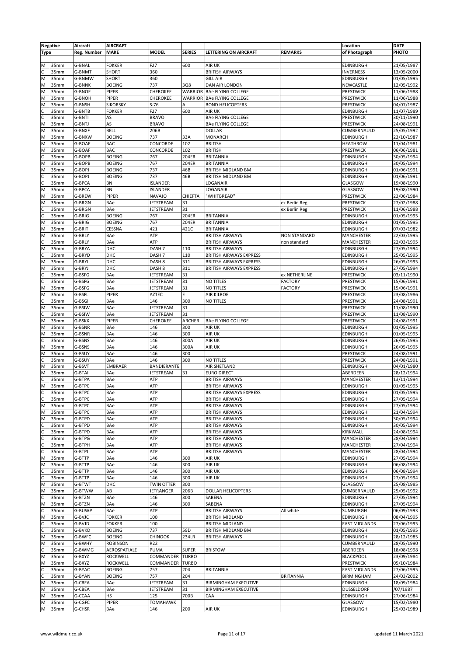|                | <b>Negative</b> | Aircraft    | <b>AIRCRAFT</b> |                   |                |                                |                  | Location             | <b>DATE</b> |
|----------------|-----------------|-------------|-----------------|-------------------|----------------|--------------------------------|------------------|----------------------|-------------|
| <b>Type</b>    |                 | Reg. Number | <b>MAKE</b>     | <b>MODEL</b>      | <b>SERIES</b>  | LETTERING ON AIRCRAFT          | <b>REMARKS</b>   | of Photograph        | PHOTO       |
|                |                 |             |                 |                   |                |                                |                  |                      |             |
| M              | 35mm            | G-BNAL      | <b>FOKKER</b>   | F27               | 600            | <b>AIR UK</b>                  |                  | <b>EDINBURGH</b>     | 21/05/1987  |
|                | 35mm            | G-BNMT      | <b>SHORT</b>    | 360               |                | <b>BRITISH AIRWAYS</b>         |                  | <b>INVERNESS</b>     |             |
|                |                 | G-BNMW      |                 |                   |                | <b>GILL AIR</b>                |                  |                      | 13/05/2000  |
| M              | 35mm            |             | SHORT           | 360               |                |                                |                  | <b>EDINBURGH</b>     | 01/05/1995  |
| M              | 35mm            | G-BNNK      | <b>BOEING</b>   | 737               | 3Q8            | DAN AIR LONDON                 |                  | NEWCASTLE            | 12/05/1992  |
| M              | 35mm            | G-BNOE      | PIPER           | CHEROKEE          | <b>WARRIOR</b> | <b>BAe FLYING COLLEGE</b>      |                  | PRESTWICK            | 11/06/1988  |
| M              | 35mm            | G-BNOH      | PIPER           | CHEROKEE          | <b>WARRIOR</b> | <b>BAe FLYING COLLEGE</b>      |                  | PRESTWICK            | 11/06/1988  |
| M              | 35mm            | G-BNSH      | <b>SIKORSKY</b> | $S-76$            | Α              | <b>BOND HELICOPTERS</b>        |                  | PRESTWICK            | 04/07/1987  |
| с              | 35mm            | G-BNTB      | <b>FOKKER</b>   | F27               | 600            | AIR UK                         |                  | <b>EDINBURGH</b>     | 11/07/1989  |
|                | 35mm            | G-BNTI      | AS              | <b>BRAVO</b>      |                | <b>BAe FLYING COLLEGE</b>      |                  | PRESTWICK            | 30/11/1990  |
| M              | 35mm            | G-BNTJ      | AS              | <b>BRAVO</b>      |                | <b>BAe FLYING COLLEGE</b>      |                  | <b>PRESTWICK</b>     | 24/08/1991  |
| M              | 35mm            | G-BNXF      | <b>BELL</b>     | 206B              |                | DOLLAR                         |                  | CUMBERNAULD          | 25/05/1992  |
| M              | 35mm            | G-BNXW      | <b>BOEING</b>   | 737               | 33A            | <b>MONARCH</b>                 |                  | <b>EDINBURGH</b>     | 23/10/1987  |
| M              | 35mm            | G-BOAE      | <b>BAC</b>      | CONCORDE          | 102            | <b>BRITISH</b>                 |                  | <b>HEATHROW</b>      | 11/04/1981  |
| M              |                 |             | <b>BAC</b>      |                   | 102            |                                |                  |                      |             |
|                | 35mm            | G-BOAF      |                 | CONCORDE          |                | <b>BRITISH</b>                 |                  | <b>PRESTWICK</b>     | 06/06/1981  |
|                | 35mm            | G-BOPB      | <b>BOEING</b>   | 767               | 204ER          | <b>BRITANNIA</b>               |                  | EDINBURGH            | 30/05/1994  |
| M              | 35mm            | G-BOPB      | <b>BOEING</b>   | 767               | 204ER          | <b>BRITANNIA</b>               |                  | <b>EDINBURGH</b>     | 30/05/1994  |
| M              | 35mm            | G-BOPJ      | <b>BOEING</b>   | 737               | 46B            | BRITISH MIDLAND BM             |                  | <b>EDINBURGH</b>     | 01/06/1991  |
| C              | 35mm            | G-BOPJ      | <b>BOEING</b>   | 737               | 46B            | <b>BRITISH MIDLAND BM</b>      |                  | <b>EDINBURGH</b>     | 01/06/1991  |
|                | 35mm            | G-BPCA      | BN              | <b>ISLANDER</b>   |                | LOGANAIR                       |                  | GLASGOW              | 19/08/1990  |
| M              | 35mm            | G-BPCA      | BN              | <b>ISLANDER</b>   |                | LOGANAIR                       |                  | GLASGOW              | 19/08/1990  |
| M              | 35mm            | G-BREW      | PIPER           | NAVAJO            | <b>CHIEFTA</b> | 'WHITBREAD'                    |                  | PRESTWICK            | 23/06/1984  |
|                | 35mm            |             | BAe             |                   |                |                                |                  | PRESTWICK            | 27/02/1988  |
| M              |                 | G-BRGN      |                 | JETSTREAM         | 31             |                                | ex Berlin Reg    |                      |             |
| c              | 35mm            | G-BRGN      | BAe             | JETSTREAM         | 31             |                                | ex Berlin Reg    | PRESTWICK            | 11/06/1988  |
|                | 35mm            | G-BRIG      | <b>BOEING</b>   | 767               | 204ER          | <b>BRITANNIA</b>               |                  | EDINBURGH            | 01/05/1995  |
| M              | 35mm            | G-BRIG      | <b>BOEING</b>   | 767               | 204ER          | <b>BRITANNIA</b>               |                  | EDINBURGH            | 01/05/1995  |
| M              | 35mm            | G-BRIT      | CESSNA          | 421               | 421C           | <b>BRITANNIA</b>               |                  | <b>EDINBURGH</b>     | 07/03/1982  |
| M              | 35mm            | G-BRLY      | BAe             | ATP               |                | <b>BRITISH AIRWAYS</b>         | NON STANDARD     | <b>MANCHESTER</b>    | 22/03/1995  |
| c              | 35mm            | G-BRLY      | BAe             | ATP               |                | <b>BRITISH AIRWAYS</b>         | non standard     | <b>MANCHESTER</b>    | 22/03/1995  |
| M              | 35mm            | G-BRYA      | DHC             | DASH <sub>7</sub> | 110            | <b>BRITISH AIRWAYS</b>         |                  | <b>EDINBURGH</b>     | 27/05/1994  |
|                | 35mm            | G-BRYD      | DHC             | DASH <sub>7</sub> | 110            | <b>BRITISH AIRWAYS EXPRESS</b> |                  | <b>EDINBURGH</b>     | 25/05/1995  |
|                |                 |             |                 |                   |                |                                |                  |                      |             |
| M              | 35mm            | G-BRYI      | DHC             | DASH <sub>8</sub> | 311            | <b>BRITISH AIRWAYS EXPRESS</b> |                  | <b>EDINBURGH</b>     | 26/05/1995  |
| M              | 35mm            | G-BRYJ      | DHC             | DASH <sub>8</sub> | 311            | <b>BRITISH AIRWAYS EXPRESS</b> |                  | <b>EDINBURGH</b>     | 27/05/1994  |
| c              | 35mm            | G-BSFG      | BAe             | JETSTREAM         | 31             |                                | ex NETHERLINE    | PRESTWICK            | 03/11/1990  |
|                | 35mm            | G-BSFG      | BAe             | JETSTREAM         | 31             | <b>NO TITLES</b>               | <b>FACTORY</b>   | PRESTWICK            | 15/06/1991  |
| M              | 35mm            | G-BSFG      | BAe             | JETSTREAM         | 31             | <b>NO TITLES</b>               | <b>FACTORY</b>   | PRESTWICK            | 15/06/1991  |
| M              | 35mm            | G-BSFL      | PIPER           | <b>AZTEC</b>      | E              | AIR KILROE                     |                  | PRESTWICK            | 23/08/1986  |
|                | 35mm            | G-BSGI      | BAe             | 146               | 300            | <b>NO TITLES</b>               |                  | PRESTWICK            | 24/08/1991  |
|                |                 |             |                 |                   |                |                                |                  |                      |             |
| M              | 35mm            | G-BSIW      | BAe             | JETSTREAM         | 31             |                                |                  | PRESTWICK            | 11/08/1990  |
|                | 35mm            | G-BSIW      | BAe             | JETSTREAM         | 31             |                                |                  | PRESTWICK            | 11/08/1990  |
| M              | 35mm            | G-BSKX      | PIPER           | CHEROKEE          | ARCHER         | <b>BAe FLYING COLLEGE</b>      |                  | PRESTWICK            | 24/08/1991  |
| M              | 35mm            | G-BSNR      | BAe             | 146               | 300            | AIR UK                         |                  | <b>EDINBURGH</b>     | 01/05/1995  |
| M              | 35mm            | G-BSNR      | BAe             | 146               | 300            | AIR UK                         |                  | <b>EDINBURGH</b>     | 01/05/1995  |
| C              | 35mm            | G-BSNS      | BAe             | 146               | 300A           | AIR UK                         |                  | EDINBURGH            | 26/05/1995  |
| M              | 35mm            | G-BSNS      | BAe             | 146               | 300A           | AIR UK                         |                  | EDINBURGH            | 26/05/1995  |
| M              | 35mm            | G-BSUY      | BAe             | 146               | 300            |                                |                  | PRESTWICK            | 24/08/1991  |
|                |                 |             |                 |                   |                |                                |                  |                      |             |
| C              | 35mm            | G-BSUY      | BAe             | 146               | 300            | <b>NO TITLES</b>               |                  | PRESTWICK            | 24/08/1991  |
| M              | 35mm            | G-BSVT      | <b>EMBRAER</b>  | BANDIERANTE       |                | AIR SHETLAND                   |                  | <b>EDINBURGH</b>     | 04/01/1980  |
| M              | 35mm            | G-BTAI      | BAe             | JETSTREAM         | 31             | <b>EURO DIRECT</b>             |                  | ABERDEEN             | 28/12/1994  |
|                | 35mm            | G-BTPA      | BAe             | ATP               |                | <b>BRITISH AIRWAYS</b>         |                  | <b>MANCHESTER</b>    | 13/11/1994  |
| M              | 35mm            | G-BTPC      | BAe             | ATP               |                | <b>BRITISH AIRWAYS</b>         |                  | <b>EDINBURGH</b>     | 01/05/1995  |
| $\overline{c}$ | 35mm            | G-BTPC      | BAe             | <b>ATP</b>        |                | BRITISH AIRWAYS EXPRESS        |                  | <b>EDINBURGH</b>     | 01/05/1995  |
| $\overline{c}$ | 35mm            | G-BTPC      | BAe             | ATP               |                | <b>BRITISH AIRWAYS</b>         |                  | EDINBURGH            | 27/05/1994  |
| M              | 35mm            | G-BTPC      | BAe             | ATP               |                | <b>BRITISH AIRWAYS</b>         |                  | EDINBURGH            | 27/05/1994  |
|                |                 |             |                 |                   |                |                                |                  |                      |             |
| M              | 35mm            | G-BTPC      | BAe             | ATP               |                | <b>BRITISH AIRWAYS</b>         |                  | EDINBURGH            | 21/04/1994  |
| M              | 35mm            | G-BTPD      | BAe             | ATP               |                | <b>BRITISH AIRWAYS</b>         |                  | <b>EDINBURGH</b>     | 30/05/1994  |
| C              | 35mm            | G-BTPD      | BAe             | ATP               |                | <b>BRITISH AIRWAYS</b>         |                  | <b>EDINBURGH</b>     | 30/05/1994  |
|                | 35mm            | G-BTPD      | BAe             | ATP               |                | <b>BRITISH AIRWAYS</b>         |                  | KIRKWALL             | 24/08/1994  |
|                | 35mm            | G-BTPG      | BAe             | ATP               |                | <b>BRITISH AIRWAYS</b>         |                  | <b>MANCHESTER</b>    | 28/04/1994  |
| $rac{c}{c}$    | 35mm            | G-BTPH      | BAe             | ATP               |                | <b>BRITISH AIRWAYS</b>         |                  | <b>MANCHESTER</b>    | 27/04/1994  |
|                | 35mm            | G-BTPJ      | BAe             | ATP               |                | <b>BRITISH AIRWAYS</b>         |                  | MANCHESTER           | 28/04/1994  |
| M              | 35mm            | G-BTTP      | BAe             | 146               | 300            | AIR UK                         |                  | <b>EDINBURGH</b>     | 27/05/1994  |
|                |                 |             |                 |                   |                |                                |                  |                      |             |
| M              | 35mm            | G-BTTP      | BAe             | 146               | 300            | AIR UK                         |                  | <b>EDINBURGH</b>     | 06/08/1994  |
| C              | 35mm            | G-BTTP      | BAe             | 146               | 300            | AIR UK                         |                  | <b>EDINBURGH</b>     | 06/08/1994  |
|                | 35mm            | G-BTTP      | BAe             | 146               | 300            | AIR UK                         |                  | <b>EDINBURGH</b>     | 27/05/1994  |
| M              | 35mm            | G-BTWT      | DHC             | <b>TWIN OTTER</b> | 300            |                                |                  | GLASGOW              | 25/08/1985  |
| M              | 35mm            | G-BTWW      | AB              | JETRANGER         | 206B           | <b>DOLLAR HELICOPTERS</b>      |                  | CUMBERNAULD          | 25/05/1992  |
|                | 35mm            | G-BTZN      | BAe             | 146               | 300            | SABENA                         |                  | <b>EDINBURGH</b>     | 27/05/1994  |
| M              | 35mm            | G-BTZN      | BAe             | 146               | 300            | SABENA                         |                  | <b>EDINBURGH</b>     | 27/05/1994  |
|                | 35mm            | G-BUWP      | BAe             | ATP               |                | <b>BRITISH AIRWAYS</b>         | All white        | SUMBURGH             |             |
|                |                 |             |                 |                   |                |                                |                  |                      | 06/09/1993  |
| M              | 35mm            | G-BVJC      | <b>FOKKER</b>   | 100               |                | <b>BRITISH MIDLAND</b>         |                  | <b>EDINBURGH</b>     | 08/04/1995  |
| C              | 35mm            | G-BVJD      | <b>FOKKER</b>   | 100               |                | <b>BRITISH MIDLAND</b>         |                  | <b>EAST MIDLANDS</b> | 27/06/1995  |
| C              | 35mm            | G-BVKD      | <b>BOEING</b>   | 737               | 59D            | BRITISH MIDLAND BM             |                  | <b>EDINBURGH</b>     | 01/05/1995  |
| M              | 35mm            | G-BWFC      | <b>BOEING</b>   | <b>CHINOOK</b>    | 234LR          | <b>BRITISH AIRWAYS</b>         |                  | <b>EDINBURGH</b>     | 28/12/1985  |
| M              | 35mm            | G-BWHY      | <b>ROBINSON</b> | R22               |                |                                |                  | CUMBERNAULD          | 28/05/1990  |
|                | 35mm            | G-BWMG      | AEROSPATIALE    | PUMA              | <b>SUPER</b>   | <b>BRISTOW</b>                 |                  | ABERDEEN             | 18/08/1998  |
| M              |                 |             |                 |                   |                |                                |                  |                      |             |
|                | 35mm            | G-BXYZ      | <b>ROCKWELL</b> | COMMANDER         | <b>TURBO</b>   |                                |                  | <b>BLACKPOOL</b>     | 23/09/1984  |
| M              | 35mm            | G-BXYZ      | <b>ROCKWELL</b> | COMMANDER         | <b>TURBO</b>   |                                |                  | <b>PRESTWICK</b>     | 05/10/1984  |
| C              | 35mm            | G-BYAC      | <b>BOEING</b>   | 757               | 204            | <b>BRITANNIA</b>               |                  | <b>EAST MIDLANDS</b> | 27/06/1995  |
|                | 35mm            | G-BYAN      | <b>BOEING</b>   | 757               | 204            |                                | <b>BRITANNIA</b> | BIRMINGHAM           | 24/03/2002  |
| M              | 35mm            | G-CBEA      | BAe             | JETSTREAM         | 31             | <b>BIRMINGHAM EXECUTIVE</b>    |                  | <b>EDINBURGH</b>     | 18/09/1984  |
| M              | 35mm            | G-CBEA      | BAe             | JETSTREAM         | 31             | <b>BIRMINGHAM EXECUTIVE</b>    |                  | DUSSELDORF           | /07/1987    |
| M              | 35mm            | G-CCAA      | HS              | 125               | 700B           | CAA                            |                  | <b>EDINBURGH</b>     | 27/06/1984  |
| M              | 35mm            | G-CGFC      | PIPER           | <b>TOMAHAWK</b>   |                |                                |                  | GLASGOW              | 15/02/1980  |
|                |                 |             |                 |                   |                |                                |                  |                      |             |
| M              | 35mm            | G-CHSR      | BAe             | 146               | 200            | AIR UK                         |                  | EDINBURGH            | 25/03/1989  |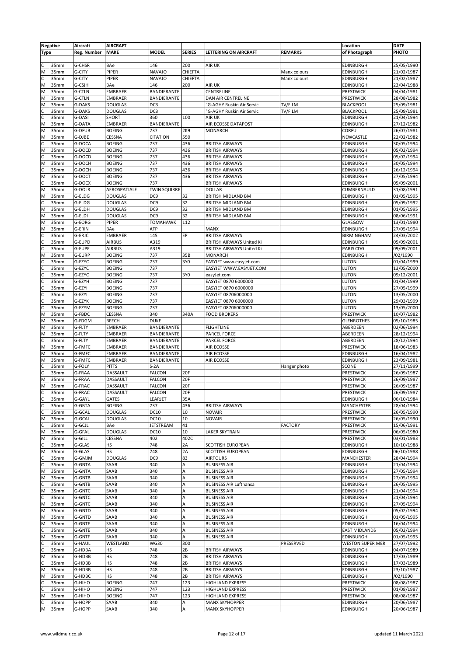|                | <b>Negative</b> | Aircraft           | <b>AIRCRAFT</b> |                     |               |                                  |                | Location             | <b>DATE</b> |
|----------------|-----------------|--------------------|-----------------|---------------------|---------------|----------------------------------|----------------|----------------------|-------------|
| <b>Type</b>    |                 | <b>Reg. Number</b> | <b>MAKE</b>     | <b>MODEL</b>        | <b>SERIES</b> | <b>LETTERING ON AIRCRAFT</b>     | <b>REMARKS</b> | of Photograph        | PHOTO       |
|                |                 |                    |                 |                     |               |                                  |                |                      |             |
| C              | 35mm            | G-CHSR             | BAe             | 146                 | 200           | <b>AIR UK</b>                    |                | EDINBURGH            | 25/05/1990  |
| M              | 35mm            | G-CITY             | PIPER           | <b>NAVAJO</b>       | CHIEFTA       |                                  | Manx colours   | EDINBURGH            | 21/02/1987  |
| C              | 35mm            | G-CITY             | PIPER           | <b>NAVAJO</b>       | CHIEFTA       |                                  | Manx colours   | EDINBURGH            | 21/02/1987  |
| M              | 35mm            | G-CSJH             | BAe             | 146                 | 200           | <b>AIR UK</b>                    |                | EDINBURGH            | 23/04/1988  |
| M              | 35mm            | G-CTLN             | <b>EMBRAER</b>  | BANDIERANTE         |               | CENTRELINE                       |                | PRESTWICK            | 04/04/1981  |
| M              | 35mm            | <b>G-CTLN</b>      | <b>EMBRAER</b>  | BANDIERANTE         |               | DAN AIR CENTRELINE               |                | PRESTWICK            | 28/08/1982  |
| M              | 35mm            | G-DAKS             | <b>DOUGLAS</b>  | DC3                 |               | 'G-AGHY Ruskin Air Servic        | TV/FILM        | <b>BLACKPOOL</b>     | 25/09/1981  |
| C              | 35mm            | G-DAKS             | <b>DOUGLAS</b>  | DC3                 |               | 'G-AGHY Ruskin Air Servic        | TV/FILM        | <b>BLACKPOOL</b>     | 25/09/1981  |
| $\mathsf{C}$   | 35mm            | G-DASI             | SHORT           | 360                 | 100           | AIR UK                           |                | EDINBURGH            | 21/04/1994  |
| M              | 35mm            | G-DATA             | <b>EMBRAER</b>  | BANDIERANTE         |               | AIR ECOSSE DATAPOST              |                | EDINBURGH            | 27/12/1982  |
| M              | 35mm            | G-DFUB             | <b>BOEING</b>   | 737                 | 2K9           | <b>MONARCH</b>                   |                | CORFU                | 26/07/1981  |
| M              | 35mm            | G-DJBE             | CESSNA          | <b>CITATION</b>     | 550           |                                  |                | NEWCASTLE            | 22/02/1982  |
| C              | 35mm            | G-DOCA             | <b>BOEING</b>   | 737                 | 436           | <b>BRITISH AIRWAYS</b>           |                | EDINBURGH            | 30/05/1994  |
| M              | 35mm            | G-DOCD             | <b>BOEING</b>   | 737                 | 436           | <b>BRITISH AIRWAYS</b>           |                | EDINBURGH            | 05/02/1994  |
|                | 35mm            | G-DOCD             | <b>BOEING</b>   | 737                 | 436           | <b>BRITISH AIRWAYS</b>           |                | EDINBURGH            | 05/02/1994  |
| M              | 35mm            | G-DOCH             | <b>BOEING</b>   | 737                 | 436           | <b>BRITISH AIRWAYS</b>           |                | EDINBURGH            | 30/05/1994  |
|                | 35mm            | G-DOCH             | <b>BOEING</b>   | 737                 | 436           | <b>BRITISH AIRWAYS</b>           |                | EDINBURGH            | 26/12/1994  |
| M              | 35mm            | G-DOCT             | <b>BOEING</b>   | 737                 | 436           | <b>BRITISH AIRWAYS</b>           |                | EDINBURGH            | 27/05/1994  |
|                | 35mm            | G-DOCX             | <b>BOEING</b>   | 737                 |               | <b>BRITISH AIRWAYS</b>           |                | EDINBURGH            | 05/09/2001  |
| M              | 35mm            | G-DOLR             | AEROSPATIALE    | <b>TWIN SQUIRRE</b> |               | <b>DOLLAR</b>                    |                | CUMBERNAULD          | 31/08/1991  |
| M              | 35mm            | G-ELDG             | <b>DOUGLAS</b>  | DC <sub>9</sub>     | 32            | <b>BRITISH MIDLAND BM</b>        |                | EDINBURGH            | 01/05/1995  |
|                | 35mm            | G-ELDG             | <b>DOUGLAS</b>  | DC <sub>9</sub>     | 32            | <b>BRITISH MIDLAND BM</b>        |                | EDINBURGH            | 05/09/1992  |
| M              |                 | G-ELDH             |                 | DC <sub>9</sub>     | 32            |                                  |                |                      |             |
| M              | 35mm            |                    | <b>DOUGLAS</b>  | DC <sub>9</sub>     | 32            | BRITISH MIDLAND BM               |                | EDINBURGH            | 01/05/1995  |
|                | 35mm            | G-ELDI<br>G-EORG   | <b>DOUGLAS</b>  |                     | 112           | <b>BRITISH MIDLAND BM</b>        |                | EDINBURGH            | 08/06/1991  |
| M              | 35mm            |                    | PIPER           | <b>TOMAHAWK</b>     |               |                                  |                | GLASGOW              | 13/01/1980  |
| M              | 35mm            | G-ERIN             | BAe             | ATP                 | EP            | MANX                             |                | EDINBURGH            | 27/05/1994  |
| C              | 35mm            | G-ERJC             | <b>EMBRAER</b>  | 145                 |               | <b>BRITISH AIRWAYS</b>           |                | BIRMINGHAM           | 24/03/2002  |
| C              | 35mm            | G-EUPD             | <b>AIRBUS</b>   | A319                |               | BRITISH AIRWAYS United Ki        |                | EDINBURGH            | 05/09/2001  |
|                | 35mm            | G-EUPE             | <b>AIRBUS</b>   | A319                |               | <b>BRITISH AIRWAYS United Ki</b> |                | PARIS CDG            | 09/09/2001  |
| M              | 35mm            | G-EURP             | <b>BOEING</b>   | 737                 | 35B           | <b>MONARCH</b>                   |                | EDINBURGH            | /02/1990    |
| C              | 35mm            | G-EZYC             | <b>BOEING</b>   | 737                 | 3Y0           | EASYJET www.easyjet.com          |                | LUTON                | 01/04/1999  |
| c              | 35mm            | G-EZYC             | <b>BOEING</b>   | 737                 |               | EASYJET WWW.EASYJET.COM          |                | LUTON                | 13/05/2000  |
| C              | 35mm            | G-EZYC             | <b>BOEING</b>   | 737                 | 3Y0           | easyJet.com                      |                | LUTON                | 09/12/2001  |
|                | 35mm            | G-EZYH             | <b>BOEING</b>   | 737                 |               | EASYJET 0870 6000000             |                | LUTON                | 01/04/1999  |
|                | 35mm            | G-EZYI             | <b>BOEING</b>   | 737                 |               | EASYJET 0870 6000000             |                | LUTON                | 27/05/1999  |
| $\overline{c}$ | 35mm            | G-EZYI             | <b>BOEING</b>   | 737                 |               | EASYJET 08706000000              |                | LUTON                | 13/05/2000  |
| c              | 35mm            | G-EZYK             | <b>BOEING</b>   | 737                 |               | EASYJET 0870 6000000             |                | LUTON                | 29/03/1999  |
| C              | 35mm            | G-EZYM             | <b>BOEING</b>   | 737                 |               | EASYJET 08706000000              |                | LUTON                | 13/05/2000  |
| M              | 35mm            | G-FBDC             | CESSNA          | 340                 | 340A          | <b>FOOD BROKERS</b>              |                | PRESTWICK            | 10/07/1982  |
| M              | 35mm            | G-FDGM             | <b>BEECH</b>    | <b>DUKE</b>         |               |                                  |                | <b>GLENROTHES</b>    | 05/10/1985  |
| M              | 35mm            | G-FLTY             | <b>EMBRAER</b>  | BANDIERANTE         |               | <b>FLIGHTLINE</b>                |                | ABERDEEN             | 02/06/1994  |
| M              | 35mm            | G-FLTY             | <b>EMBRAER</b>  | BANDIERANTE         |               | <b>PARCEL FORCE</b>              |                | ABERDEEN             | 28/12/1994  |
| C              | 35mm            | G-FLTY             | <b>EMBRAER</b>  | BANDIERANTE         |               | <b>PARCEL FORCE</b>              |                | ABERDEEN             | 28/12/1994  |
| M              | 35mm            | G-FMFC             | EMBRAER         | BANDIERANTE         |               | <b>AIR ECOSSE</b>                |                | PRESTWICK            | 18/06/1983  |
| M              | 35mm            | G-FMFC             | EMBRAER         | BANDIERANTE         |               | AIR ECOSSE                       |                | EDINBURGH            | 16/04/1982  |
| M              | 35mm            | G-FMFC             | EMBRAER         | BANDIERANTE         |               | <b>AIR ECOSSE</b>                |                | EDINBURGH            | 23/09/1981  |
|                | 35mm            | G-FOLY             | <b>PITTS</b>    | $S-2A$              |               |                                  | Hanger photo   | SCONE                | 27/11/1999  |
|                | 35mm            | G-FRAA             | DASSAULT        | <b>FALCON</b>       | 20F           |                                  |                | PRESTWICK            | 26/09/1987  |
| M              | 35mm            | G-FRAA             | DASSAULT        | <b>FALCON</b>       | 20F           |                                  |                | PRESTWICK            | 26/09/1987  |
| M              | 35mm            | G-FRAC             | DASSAULT        | <b>FALCON</b>       | 20F           |                                  |                | PRESTWICK            | 26/09/1987  |
| $rac{c}{c}$    | 35mm            | G-FRAC             | DASSAULT        | <b>FALCON</b>       | 20F           |                                  |                | <b>PRESTWICK</b>     | 26/09/1987  |
|                | 35mm            | G-GAYL             | GATES           | LEARJET             | 35A           |                                  |                | EDINBURGH            | 06/10/1984  |
| $\mathsf{C}$   | 35mm            | G-GBTA             | <b>BOEING</b>   | 737                 | 436           | <b>BRITISH AIRWAYS</b>           |                | MANCHESTER           | 28/04/1994  |
| c              | 35mm            | G-GCAL             | <b>DOUGLAS</b>  | <b>DC10</b>         | 10            | <b>NOVAIR</b>                    |                | PRESTWICK            | 26/05/1990  |
| M              | 35mm            | G-GCAL             | <b>DOUGLAS</b>  | <b>DC10</b>         | 10            | <b>NOVAIR</b>                    |                | PRESTWICK            | 26/05/1990  |
| lc             | 35mm            | G-GCJL             | BAe             | JETSTREAM           | 41            |                                  | <b>FACTORY</b> | PRESTWICK            | 15/06/1991  |
| M              | 35mm            | G-GFAL             | <b>DOUGLAS</b>  | <b>DC10</b>         | 10            | <b>LAKER SKYTRAIN</b>            |                | PRESTWICK            | 06/05/1980  |
| M              | 35mm            | G-GILL             | CESSNA          | 402                 | 402C          |                                  |                | PRESTWICK            | 03/01/1983  |
|                | 35mm            | G-GLAS             | НS              | 748                 | 2A            | <b>SCOTTISH EUROPEAN</b>         |                | EDINBURGH            | 10/10/1988  |
| M              | 35mm            | G-GLAS             | HS              | 748                 | 2A            | SCOTTISH EUROPEAN                |                | EDINBURGH            | 06/10/1988  |
| C              | 35mm            | G-GMJM             | <b>DOUGLAS</b>  | DC <sub>9</sub>     | 83            | <b>AIRTOURS</b>                  |                | MANCHESTER           | 28/04/1994  |
| C              | 35mm            | G-GNTA             | SAAB            | 340                 | A             | <b>BUSINESS AIR</b>              |                | EDINBURGH            | 21/04/1994  |
| M              | 35mm            | G-GNTA             | SAAB            | 340                 | Α             | <b>BUSINESS AIR</b>              |                | EDINBURGH            | 27/05/1994  |
| M              | 35mm            | G-GNTB             | SAAB            | 340                 | A             | <b>BUSINESS AIR</b>              |                | EDINBURGH            | 27/05/1994  |
|                | 35mm            | G-GNTB             | SAAB            | 340                 | Α             | <b>BUSINESS AIR Lufthansa</b>    |                | EDINBURGH            | 26/05/1995  |
| M              | 35mm            | G-GNTC             | SAAB            | 340                 | Α             | <b>BUSINESS AIR</b>              |                | EDINBURGH            | 21/04/1994  |
| C              | 35mm            | G-GNTC             | SAAB            | 340                 | A             | <b>BUSINESS AIR</b>              |                | EDINBURGH            | 21/04/1994  |
| M              | 35mm            | G-GNTC             | SAAB            | 340                 | Α             | <b>BUSINESS AIR</b>              |                | EDINBURGH            | 27/05/1994  |
| M              | 35mm            | G-GNTD             | SAAB            | 340                 | Α             | <b>BUSINESS AIR</b>              |                | EDINBURGH            | 05/02/1994  |
| M              | 35mm            | G-GNTD             | SAAB            | 340                 | A             | <b>BUSINESS AIR</b>              |                | EDINBURGH            | 01/05/1995  |
| M              | 35mm            | <b>G-GNTE</b>      | SAAB            | 340                 | Α             | <b>BUSINESS AIR</b>              |                | EDINBURGH            | 16/04/1994  |
|                | 35mm            | <b>G-GNTE</b>      | SAAB            | 340                 | A             | <b>BUSINESS AIR</b>              |                | <b>EAST MIDLANDS</b> | 05/02/1994  |
| M              | 35mm            | G-GNTF             | SAAB            | 340                 | A             | <b>BUSINESS AIR</b>              |                | EDINBURGH            | 01/05/1995  |
|                | 35mm            | <b>G-HAUL</b>      | WESTLAND        | <b>WG30</b>         | 300           |                                  | PRESERVED      | WESTON SUPER MER     | 27/07/1992  |
|                | 35mm            | G-HDBA             | HS              | 748                 | 2B            | <b>BRITISH AIRWAYS</b>           |                | <b>EDINBURGH</b>     | 04/07/1989  |
| M              | 35mm            | G-HDBB             | HS              | 748                 | 2B            | <b>BRITISH AIRWAYS</b>           |                | EDINBURGH            | 17/03/1989  |
|                | 35mm            | G-HDBB             | HS              | 748                 | 2В            | <b>BRITISH AIRWAYS</b>           |                | EDINBURGH            | 17/03/1989  |
| M              | 35mm            | G-HDBB             | HS              | 748                 | 2B            | <b>BRITISH AIRWAYS</b>           |                | EDINBURGH            | 23/10/1987  |
| M              | 35mm            | G-HDBC             | HS              | 748                 | 2B            | <b>BRITISH AIRWAYS</b>           |                | EDINBURGH            | /02/1990    |
|                | 35mm            | G-HIHO             | <b>BOEING</b>   | 747                 | 123           | <b>HIGHLAND EXPRESS</b>          |                | PRESTWICK            | 08/08/1987  |
| lc             | 35mm            | G-HIHO             | <b>BOEING</b>   | 747                 | 123           | <b>HIGHLAND EXPRESS</b>          |                | PRESTWICK            | 01/08/1987  |
| M              | 35mm            | G-HIHO             | <b>BOEING</b>   | 747                 | 123           | <b>HIGHLAND EXPRESS</b>          |                | PRESTWICK            | 08/08/1987  |
|                | 35mm            | G-HOPP             | SAAB            | 340                 | А             | <b>MANX SKYHOPPER</b>            |                | EDINBURGH            | 20/06/1987  |
| M              | 35mm            | G-HOPP             | SAAB            | 340                 | A             | <b>MANX SKYHOPPER</b>            |                | <b>EDINBURGH</b>     | 20/06/1987  |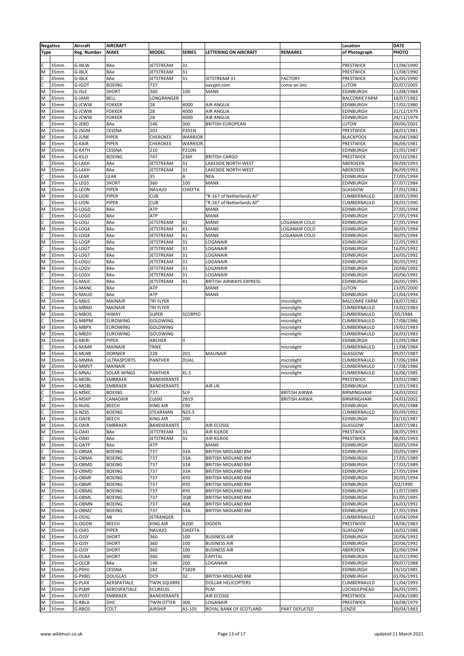|                | <b>Negative</b> | Aircraft      | <b>AIRCRAFT</b>    |                     |                |                           |                      | Location             | <b>DATE</b> |
|----------------|-----------------|---------------|--------------------|---------------------|----------------|---------------------------|----------------------|----------------------|-------------|
| <b>Type</b>    |                 | Reg. Number   | <b>MAKE</b>        | <b>MODEL</b>        | <b>SERIES</b>  | LETTERING ON AIRCRAFT     | <b>REMARKS</b>       | of Photograph        | PHOTO       |
|                |                 |               |                    |                     |                |                           |                      |                      |             |
|                | 35mm            | G-IBLW        | BAe                | JETSTREAM           | 31             |                           |                      | PRESTWICK            | 11/08/1990  |
|                | 35mm            | G-IBLX        | BAe                |                     | 31             |                           |                      | PRESTWICK            | 11/08/1990  |
| M              |                 |               |                    | JETSTREAM           |                |                           |                      |                      |             |
|                | 35mm            | G-IBLX        | BAe                | <b>JETSTREAM</b>    | 31             | JETSTREAM 31              | <b>FACTORY</b>       | PRESTWICK            | 26/05/1990  |
|                | 35mm            | G-IGOT        | <b>BOEING</b>      | 737                 |                | easyjet.com               | come on lets         | LUTON                | 02/07/2005  |
| ÍМ             | 35mm            | G-ISLE        | <b>SHORT</b>       | 360                 | 100            | <b>MANX</b>               |                      | <b>EDINBURGH</b>     | 11/08/1984  |
| M              | 35mm            | G-JAMI        | <b>BELL</b>        | LONGRANGER          |                |                           |                      | <b>BALCOMIE FARM</b> | 18/07/1982  |
| M              | 35mm            | G-JCWW        | <b>FOKKER</b>      | 28                  | 4000           | <b>AIR ANGLIA</b>         |                      | <b>EDINBURGH</b>     | 17/02/1980  |
| M              | 35mm            | G-JCWW        | <b>FOKKER</b>      | 28                  | 4000           | <b>AIR ANGLIA</b>         |                      | <b>EDINBURGH</b>     | 31/12/1979  |
| M              | 35mm            | G-JCWW        | <b>FOKKER</b>      | 28                  | 4000           | <b>AIR ANGLIA</b>         |                      | <b>EDINBURGH</b>     | 24/11/1979  |
|                | 35mm            | G-JEBD        | BAe                | 146                 | 300            | <b>BRITISH EUROPEAN</b>   |                      | <b>LUTON</b>         | 09/06/2001  |
| M              | 35mm            | G-JSGM        | CESSNA             | 201                 | P201N          |                           |                      | PRESTWICK            | 28/03/1981  |
|                |                 |               | PIPER              | CHEROKEE            |                |                           |                      |                      |             |
| M              | 35mm            | G-JUNE        |                    |                     | <b>WARRIOR</b> |                           |                      | <b>BLACKPOOL</b>     | 06/04/1980  |
| M              | 35mm            | G-KAIR        | PIPER              | CHEROKEE            | <b>WARRIOR</b> |                           |                      | PRESTWICK            | 06/06/1981  |
| M              | 35mm            | <b>G-KATH</b> | CESSNA             | 210                 | <b>P210N</b>   |                           |                      | EDINBURGH            | 21/05/1987  |
| M              | 35mm            | G-KILO        | <b>BOEING</b>      | 747                 | 236F           | <b>BRITISH CARGO</b>      |                      | PRESTWICK            | 03/10/1981  |
| C              | 35mm            | G-LAKH        | BAe                | JETSTREAM           | 31             | LAKESIDE NORTH WEST       |                      | ABERDEEN             | 06/09/1993  |
| M              | 35mm            | G-LAKH        | BAe                | JETSTREAM           | 31             | LAKESIDE NORTH WEST       |                      | ABERDEEN             | 06/09/1993  |
| C              | 35mm            | G-LEAR        | LEAR               | 35                  | Α              | <b>NEA</b>                |                      | <b>EDINBURGH</b>     | 27/05/1994  |
| M              | 35mm            | G-LEGS        | <b>SHORT</b>       | 360                 | 100            | MANX                      |                      | <b>EDINBURGH</b>     | 07/07/1984  |
|                |                 |               |                    | <b>NAVAJO</b>       |                |                           |                      |                      |             |
| M              | 35mm            | <b>G-LEON</b> | PIPER              |                     | CHIEFTA        |                           |                      | GLASGOW              | 27/02/1982  |
| M              | 35mm            | <b>G-LION</b> | PIPER              | <b>CUB</b>          |                | 'R-167 of Netherlands AF" |                      | CUMBERNAULD          | 28/05/1990  |
|                | 35mm            | G-LION        | PIPER              | <b>CUB</b>          |                | 'R-167 of Netherlands AF" |                      | CUMBERNAULD          | 28/05/1990  |
| M              | 35mm            | G-LOGD        | BAe                | ATP                 |                | MANX                      |                      | EDINBURGH            | 27/05/1994  |
|                | 35mm            | G-LOGD        | BAe                | ATP                 |                | <b>MANX</b>               |                      | EDINBURGH            | 27/05/1994  |
| C              | 35mm            | G-LOGJ        | BAe                | JETSTREAM           | 41             | <b>MANX</b>               | LOGANAIR COLO        | EDINBURGH            | 27/05/1994  |
| M              | 35mm            | G-LOGK        | BAe                | JETSTREAM           | 41             | MANX                      | LOGANAIR COLO        | EDINBURGH            | 30/05/1994  |
|                | 35mm            | G-LOGK        | BAe                |                     |                | MANX                      | LOGANAIR COLO        |                      |             |
|                |                 |               |                    | JETSTREAM           | 41             |                           |                      | <b>EDINBURGH</b>     | 30/05/1994  |
| M              | 35mm            | G-LOGP        | BAe                | <b>JETSTREAM</b>    | 31             | LOGANAIR                  |                      | <b>EDINBURGH</b>     | 22/05/1993  |
|                | 35mm            | G-LOGT        | BAe                | JETSTREAM           | 31             | LOGANAIR                  |                      | <b>EDINBURGH</b>     | 16/05/1992  |
| M              | 35mm            | G-LOGT        | BAe                | JETSTREAM           | 31             | LOGANAIR                  |                      | <b>EDINBURGH</b>     | 16/05/1992  |
| M              | 35mm            | G-LOGU        | BAe                | JETSTREAM           | 31             | LOGANAIR                  |                      | <b>EDINBURGH</b>     | 30/05/1992  |
| M              | 35mm            | G-LOGV        | BAe                | JETSTREAM           | 31             | LOGANAIR                  |                      | <b>EDINBURGH</b>     | 20/06/1992  |
|                | 35mm            | G-LOGV        | BAe                | <b>JETSTREAM</b>    | 31             | LOGANAIR                  |                      | <b>EDINBURGH</b>     | 20/06/1992  |
| C              |                 |               |                    |                     |                |                           |                      |                      |             |
|                | 35mm            | G-MAJC        | BAe                | JETSTREAM           | 41             | BRITISH AIRWAYS EXPRESS   |                      | EDINBURGH            | 26/05/1995  |
|                | 35mm            | <b>G-MANC</b> | BAe                | ATP                 |                | <b>MANX</b>               |                      | LUTON                | 13/05/2000  |
| c              | 35mm            | G-MAUD        | BAe                | ATP                 |                | <b>MANX</b>               |                      | <b>EDINBURGH</b>     | 21/04/1994  |
| M              | 35mm            | G-MBJS        | MAINAIR            | TRI FLYER           |                |                           | microlight           | <b>BALCOMIE FARM</b> | 18/07/1982  |
| M              | 35mm            | G-MBMJ        | MAINAIR            | TRI FLYER           |                |                           | microlight           | CUMBERNAULD          | 19/02/1983  |
| M              | 35mm            | G-MBOS        | <b>HIWAY</b>       | <b>SUPER</b>        | <b>SCORPIO</b> |                           | microlight           | CUMBERNAULD          | /05/1984    |
|                | 35mm            |               |                    |                     |                |                           |                      |                      |             |
|                |                 | G-MBPM        | <b>EUROWING</b>    | GOLDWING            |                |                           | microlight           | CUMBERNAULD          | 17/08/1986  |
| M              | 35mm            | G-MBPX        | <b>EUROWING</b>    | GOLDWING            |                |                           | microlight           | CUMBERNAULD          | 19/02/1983  |
| M              | 35mm            | G-MBZH        | <b>EUROWING</b>    | GOLDWING            |                |                           | microlight           | CUMBERNAULD          | 26/03/1983  |
| M              | 35mm            | G-MERI        | PIPER              | ARCHER              | $\mathbf{H}$   |                           |                      | EDINBURGH            | 15/09/1984  |
|                | 35mm            | G-MJMR        | <b>MAINAIR</b>     | <b>TRIKE</b>        |                |                           | microlight           | CUMBERNAULD          | 11/08/1984  |
| M              | 35mm            | G-MLNR        | <b>DORNIER</b>     | 228                 | 201            | <b>MALINAIR</b>           |                      | GLASGOW              | 09/07/1987  |
| M              | 35mm            | G-MMKA        | <b>ULTRASPORTS</b> | PANTHER             | <b>DUAL</b>    |                           | microlight           | CUMBERNAULD          | 17/06/1984  |
|                |                 |               |                    |                     |                |                           |                      |                      |             |
| M              | 35mm            | G-MMVT        | MAINAIR            |                     |                |                           | microlight           | CUMBERNAULD          | 17/08/1986  |
| M              | 35mm            | G-MNAJ        | SOLAR WINGS        | PANTHER             | XL-S           |                           | microlight           | CUMBERNAULD          | 16/06/1985  |
| M              | 35mm            | G-MOBL        | <b>EMBRAER</b>     | <b>BANDIERANTE</b>  |                |                           |                      | PRESTWICK            | 29/03/1980  |
| M              | 35mm            | G-MOBL        | <b>EMBRAER</b>     | BANDIERANTE         |                | AIR UK                    |                      | <b>EDINBURGH</b>     | 11/01/1983  |
| ГC             | 35mm            | G-MSKC        | <b>BOEING</b>      | 737                 | 5L9            |                           | <b>BRITISH AIRWA</b> | <b>BIRMINGHAM</b>    | 24/03/2002  |
| $\overline{c}$ | 35mm            | G-MSKP        | CANADAIR           | CL600               | 2B19           |                           | <b>BRITISH AIRWA</b> | <b>BIRMINGHAM</b>    | 24/03/2002  |
|                |                 |               |                    |                     | C90            |                           |                      | <b>EDINBURGH</b>     |             |
| M              | 35mm            | G-NUIG        | <b>BEECH</b>       | <b>KING AIR</b>     |                |                           |                      |                      | 05/02/1988  |
|                | 35mm            | G-NZSS        | <b>BOEING</b>      | STEARMAN            | N2S-5          |                           |                      | CUMBERNAULD          | 05/09/1992  |
| M              | 35mm            | G-OAFB        | <b>BEECH</b>       | <b>KING AIR</b>     | 200            |                           |                      | <b>EDINBURGH</b>     | 03/10/1987  |
| M              | 35mm            | G-OAIR        | <b>EMBRAER</b>     | BANDIERANTE         |                | AIR ECOSSE                |                      | GLASGOW              | 18/07/1981  |
| M              | 35mm            | G-OAKI        | BAe                | JETSTREAM           | 31             | <b>AIR KILROE</b>         |                      | <b>PRESTWICK</b>     | 08/05/1993  |
| C              | 35mm            | G-OAKI        | BAe                | JETSTREAM           | 31             | AIR KILROE                |                      | PRESTWICK            | 08/05/1993  |
| $\overline{M}$ | 35mm            | G-OATP        | BAe                | ATP                 |                | <b>MANX</b>               |                      | <b>EDINBURGH</b>     | 30/05/1994  |
|                | 35mm            | G-OBMA        | <b>BOEING</b>      | 737                 | 33A            | BRITISH MIDLAND BM        |                      | <b>EDINBURGH</b>     | 20/05/1989  |
| M              |                 |               |                    |                     |                |                           |                      | <b>EDINBURGH</b>     |             |
|                | 35mm            | G-OBMA        | <b>BOEING</b>      | 737                 | 33A            | BRITISH MIDLAND BM        |                      |                      | 27/05/1989  |
| M              | 35mm            | G-OBMD        | <b>BOEING</b>      | 737                 | 33A            | BRITISH MIDLAND BM        |                      | EDINBURGH            | 17/03/1989  |
| $rac{c}{c}$    | 35mm            | G-OBMD        | <b>BOEING</b>      | 737                 | 33A            | BRITISH MIDLAND BM        |                      | <b>EDINBURGH</b>     | 27/05/1994  |
|                | 35mm            | G-OBMF        | <b>BOEING</b>      | 737                 | 4Y0            | BRITISH MIDLAND BM        |                      | <b>EDINBURGH</b>     | 30/05/1994  |
| M              | 35mm            | G-OBMF        | <b>BOEING</b>      | 737                 | 4Y0            | BRITISH MIDLAND BM        |                      | <b>EDINBURGH</b>     | /02/1990    |
| M              | 35mm            | G-OBMG        | <b>BOEING</b>      | 737                 | 4Y0            | <b>BRITISH MIDLAND BM</b> |                      | <b>EDINBURGH</b>     | 11/07/1989  |
|                | 35mm            | G-OBML        | <b>BOEING</b>      | 737                 | 3Q8            | BRITISH MIDLAND BM        |                      | EDINBURGH            | 01/05/1995  |
| C              |                 |               |                    |                     | 46B            |                           |                      |                      |             |
|                | 35mm            | G-OBMN        | <b>BOEING</b>      | 737                 |                | BRITISH MIDLAND BM        |                      | <b>EDINBURGH</b>     | 16/03/1992  |
| M              | 35mm            | G-OBMZ        | <b>BOEING</b>      | 737                 | 53A            | BRITISH MIDLAND BM        |                      | <b>EDINBURGH</b>     | 27/05/1994  |
| M              | 35mm            | G-ODIG        | AB                 | JETRANGER           |                |                           |                      | CUMBERNAULD          | 10/04/1994  |
| M              | 35mm            | G-OGDN        | BEECH              | <b>KING AIR</b>     | A200           | OGDEN                     |                      | PRESTWICK            | 18/06/1983  |
| M              | 35mm            | G-OIAS        | PIPER              | <b>NAVAJO</b>       | <b>CHIEFTA</b> |                           |                      | GLASGOW              | 16/02/1986  |
| M              | 35mm            | G-OJSY        | <b>SHORT</b>       | 360                 | 100            | <b>BUSINESS AIR</b>       |                      | <b>EDINBURGH</b>     | 20/06/1992  |
|                | 35mm            | G-OJSY        | <b>SHORT</b>       | 360                 | 100            | <b>BUSINESS AIR</b>       |                      | <b>EDINBURGH</b>     | 20/06/1992  |
|                |                 |               |                    |                     |                |                           |                      |                      |             |
| M              | 35mm            | G-OJSY        | <b>SHORT</b>       | 360                 | 100            | <b>BUSINESS AIR</b>       |                      | ABERDEEN             | 02/06/1994  |
| C              | 35mm            | G-OLBA        | <b>SHORT</b>       | 360                 | 300            | CAPITAL                   |                      | <b>EDINBURGH</b>     | 16/02/1990  |
| M              | 35mm            | G-OLCB        | BAe                | 146                 | 200            | LOGANAIR                  |                      | <b>EDINBURGH</b>     | 09/07/1988  |
| M              | 35mm            | G-PDHJ        | CESSNA             | 182                 | T182R          |                           |                      | <b>EDINBURGH</b>     | 19/10/1985  |
| M              | 35mm            | G-PKBD        | <b>DOUGLAS</b>     | DC <sub>9</sub>     | 32             | BRITISH MIDLAND BM        |                      | <b>EDINBURGH</b>     | 01/06/1991  |
|                | 35mm            | G-PLAX        | AERSPATIALE        | <b>TWIN SQUIRRE</b> |                | <b>DOLLAR HELICOPTERS</b> |                      | CUMBERNAULD          | 11/04/1993  |
| M              | 35mm            | G-PLMF        | AEROSPATIALE       | <b>ECUREUIL</b>     |                | PLM                       |                      | LOCHGILPHEAD         | 06/05/1995  |
|                |                 |               |                    |                     |                |                           |                      |                      |             |
| M              | 35mm            | G-POST        | <b>EMBRAER</b>     | BANDIERANTE         |                | AIR ECOSSE                |                      | PRESTWICK            | 24/06/1980  |
| M              | 35mm            | G-RBLA        | DHC                | <b>TWIN OTTER</b>   | 300            | LOGANAIR                  |                      | PRESTWICK            | 18/08/1979  |
| M              | 35mm            | G-RBOS        | COLT               | <b>AIRSHIP</b>      | AS-105         | ROYAL BANK OF SCOTLAND    | PART DEFLATED        | LENZIE               | 30/04/1983  |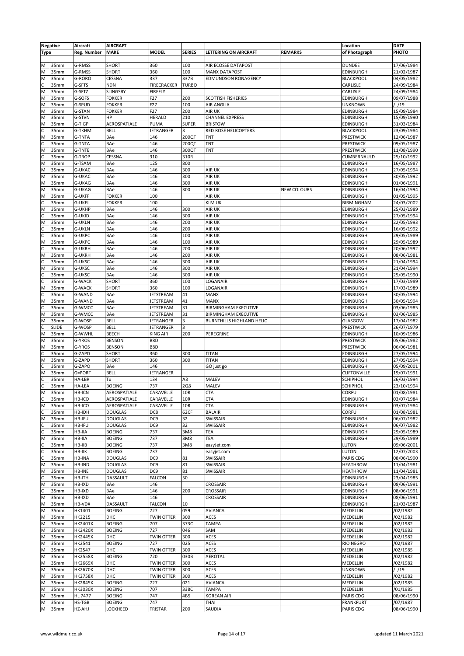|                         | <b>Negative</b> | Aircraft                | <b>AIRCRAFT</b> |                    |               |                                  |                    | Location            | <b>DATE</b> |
|-------------------------|-----------------|-------------------------|-----------------|--------------------|---------------|----------------------------------|--------------------|---------------------|-------------|
| <b>Type</b>             |                 | <b>Reg. Number</b>      | <b>MAKE</b>     | <b>MODEL</b>       | <b>SERIES</b> | LETTERING ON AIRCRAFT            | <b>REMARKS</b>     | of Photograph       | PHOTO       |
|                         |                 |                         |                 |                    |               |                                  |                    |                     |             |
| M                       | 35mm            | G-RMSS                  | <b>SHORT</b>    | 360                | 100           | AIR ECOSSE DATAPOST              |                    | <b>DUNDEE</b>       | 17/06/1984  |
| M                       | 35mm            | G-RMSS                  | <b>SHORT</b>    | 360                | 100           | <b>MANX DATAPOST</b>             |                    | EDINBURGH           | 21/02/1987  |
| M                       | 35mm            | G-RORO                  | CESSNA          | 337                | 337B          | <b>EDMUNDSON RONAGENCY</b>       |                    | <b>BLACKPOOL</b>    | 04/05/1982  |
|                         | 35mm            | G-SFTS                  | <b>NDN</b>      | <b>FIRECRACKER</b> | <b>TURBO</b>  |                                  |                    | CARLISLE            | 24/09/1984  |
| M                       | 35mm            | G-SFTZ                  | <b>SLINGSBY</b> | <b>FIREFLY</b>     |               |                                  |                    | CARLISLE            | 24/09/1984  |
| M                       | 35mm            | G-SOFS                  | <b>FOKKER</b>   | F27                | 200           | <b>SCOTTISH FISHERIES</b>        |                    | EDINBURGH           | 09/07/1988  |
| M                       | 35mm            | G-SPUD                  | <b>FOKKER</b>   | F27                | 100           | <b>AIR ANGLIA</b>                |                    | <b>UNKNOWN</b>      | / /19       |
| M                       | 35mm            | G-STAN                  | <b>FOKKER</b>   | F27                | 200           | <b>AIR UK</b>                    |                    | EDINBURGH           | 15/09/1984  |
| M                       | 35mm            | G-STVN                  | HP              | <b>HERALD</b>      | 210           | <b>CHANNEL EXPRESS</b>           |                    | EDINBURGH           | 15/09/1990  |
| M                       | 35mm            | G-TIGP                  | AEROSPATIALE    | PUMA               | <b>SUPER</b>  | <b>BRISTOW</b>                   |                    | EDINBURGH           | 31/03/1984  |
| C                       | 35mm            | G-TKHM                  | <b>BELL</b>     | JETRANGER          | Ŕ             | RED ROSE HELICOPTERS             |                    | <b>BLACKPOOL</b>    | 23/09/1984  |
| M                       | 35mm            | <b>G-TNTA</b>           | BAe             | 146                | 200QT         | <b>TNT</b>                       |                    | PRESTWICK           | 12/06/1987  |
| C                       | 35mm            | <b>G-TNTA</b>           | BAe             | 146                | 200QT         | <b>TNT</b>                       |                    | PRESTWICK           | 09/05/1987  |
| M                       | 35mm            | <b>G-TNTE</b>           | BAe             | 146                | 300QT         | <b>TNT</b>                       |                    | PRESTWICK           | 11/08/1990  |
|                         | 35mm            | G-TROP                  | CESSNA          | 310                | 310R          |                                  |                    | CUMBERNAULD         | 25/10/1992  |
| M                       | 35mm            | G-TSAM                  | BAe             | 125                | 800           |                                  |                    | EDINBURGH           | 16/05/1987  |
| M                       | 35mm            |                         | BAe             | 146                | 300           | <b>AIR UK</b>                    |                    |                     |             |
|                         |                 | <b>G-UKAC</b><br>G-UKAC | BAe             | 146                | 300           | <b>AIR UK</b>                    |                    | EDINBURGH           | 27/05/1994  |
| M                       | 35mm            |                         |                 |                    |               |                                  |                    | EDINBURGH           | 30/05/1992  |
| M                       | 35mm            | G-UKAG                  | BAe             | 146                | 300           | <b>AIR UK</b>                    |                    | EDINBURGH           | 01/06/1991  |
| M                       | 35mm            | <b>G-UKAG</b>           | BAe             | 146                | 300           | AIR UK                           | <b>NEW COLOURS</b> | EDINBURGH           | 16/04/1994  |
| M                       | 35mm            | <b>G-UKFF</b>           | <b>FOKKER</b>   | 100                |               | AIR UK                           |                    | EDINBURGH           | 01/05/1995  |
|                         | 35mm            | G-UKFJ                  | <b>FOKKER</b>   | 100                |               | <b>KLM UK</b>                    |                    | BIRMINGHAM          | 24/03/2002  |
| M                       | 35mm            | G-UKHP                  | BAe             | 146                | 300           | <b>AIR UK</b>                    |                    | EDINBURGH           | 25/03/1989  |
|                         | 35mm            | <b>G-UKID</b>           | BAe             | 146                | 300           | <b>AIR UK</b>                    |                    | EDINBURGH           | 27/05/1994  |
| M                       | 35mm            | <b>G-UKLN</b>           | BAe             | 146                | 200           | AIR UK                           |                    | EDINBURGH           | 22/05/1993  |
| C                       | 35mm            | <b>G-UKLN</b>           | BAe             | 146                | 200           | AIR UK                           |                    | EDINBURGH           | 16/05/1992  |
| c                       | 35mm            | G-UKPC                  | BAe             | 146                | 100           | <b>AIR UK</b>                    |                    | EDINBURGH           | 29/05/1989  |
| M                       | 35mm            | G-UKPC                  | BAe             | 146                | 100           | AIR UK                           |                    | EDINBURGH           | 29/05/1989  |
|                         | 35mm            | <b>G-UKRH</b>           | BAe             | 146                | 200           | <b>AIR UK</b>                    |                    | EDINBURGH           | 20/06/1992  |
| M                       | 35mm            | G-UKRH                  | BAe             | 146                | 200           | AIR UK                           |                    | EDINBURGH           | 08/06/1981  |
| C                       | 35mm            | G-UKSC                  | BAe             | 146                | 300           | AIR UK                           |                    | EDINBURGH           | 21/04/1994  |
| M                       | 35mm            | G-UKSC                  | BAe             | 146                | 300           | <b>AIR UK</b>                    |                    | EDINBURGH           | 21/04/1994  |
| C                       | 35mm            | G-UKSC                  | BAe             | 146                | 300           | <b>AIR UK</b>                    |                    | EDINBURGH           | 25/05/1990  |
| $\mathsf{C}$            | 35mm            | <b>G-WACK</b>           | SHORT           | 360                | 100           | LOGANAIR                         |                    | EDINBURGH           | 17/03/1989  |
| M                       | 35mm            | <b>G-WACK</b>           | SHORT           | 360                | 100           | LOGANAIR                         |                    | EDINBURGH           | 17/03/1989  |
| C                       | 35mm            | G-WAND                  | BAe             | <b>JETSTREAM</b>   | 41            | <b>MANX</b>                      |                    | EDINBURGH           | 30/05/1994  |
| M                       | 35mm            | G-WAND                  | BAe             | <b>JETSTREAM</b>   | 41            | <b>MANX</b>                      |                    | EDINBURGH           | 30/05/1994  |
| C                       | 35mm            | G-WMCC                  | BAe             | <b>JETSTREAM</b>   | 31            | <b>BIRMINGHAM EXECUTIVE</b>      |                    | EDINBURGH           | 03/06/1985  |
| M                       | 35mm            | G-WMCC                  | BAe             | <b>JETSTREAM</b>   | 31            | <b>BIRMINGHAM EXECUTIVE</b>      |                    | EDINBURGH           | 03/06/1985  |
| M                       | 35mm            | G-WOSP                  | <b>BELL</b>     | JETRANGER          | 3             | <b>BURNTHILLS HIGHLAND HELIC</b> |                    | GLASGOW             | 17/04/1982  |
| C                       | <b>SLIDE</b>    | G-WOSP                  | <b>BELL</b>     | JETRANGER          | 3             |                                  |                    | PRESTWICK           | 26/07/1979  |
| M                       | 35mm            | G-WWHL                  | <b>BEECH</b>    | <b>KING AIR</b>    | 200           | PEREGRINE                        |                    | EDINBURGH           | 10/09/1986  |
| M                       | 35mm            | G-YROS                  | <b>BENSON</b>   | B8D                |               |                                  |                    | PRESTWICK           | 05/06/1982  |
| M                       | 35mm            | G-YROS                  | <b>BENSON</b>   | B8D                |               |                                  |                    | PRESTWICK           | 06/06/1981  |
|                         | 35mm            | G-ZAPD                  | SHORT           | 360                | 300           | <b>TITAN</b>                     |                    | EDINBURGH           | 27/05/1994  |
| M                       |                 |                         |                 |                    |               |                                  |                    |                     |             |
|                         | 35mm            | G-ZAPD                  | <b>SHORT</b>    | 360                | 300           | <b>TITAN</b>                     |                    | EDINBURGH           | 27/05/1994  |
|                         | 35mm            | G-ZAPO                  | BAe             | 146                |               | GO just go                       |                    | EDINBURGH           | 05/09/2001  |
| M                       | 35mm            | G=PORT                  | <b>BELL</b>     | <b>JETRANGER</b>   |               |                                  |                    | <b>CLIFTONVILLE</b> | 19/07/1991  |
|                         | 35mm            | HA-LBR                  | Tu              | 134                | A3            | MALEV                            |                    | SCHIPHOL            | 26/03/1994  |
|                         | 35mm            | HA-LEA                  | <b>BOEING</b>   | 737                | <b>2Q8</b>    | MALEV                            |                    | <b>SCHIPHOL</b>     | 23/10/1994  |
| M                       | 35mm            | <b>HB-ICN</b>           | AEROSPATIALE    | CARAVELLE          | 10R           | <b>CTA</b>                       |                    | CORFU               | 01/08/1981  |
| $\mathsf{C}$            | 35mm            | HB-ICO                  | AEROSPATIALE    | CARAVELLE          | 10R           | <b>CTA</b>                       |                    | EDINBURGH           | 03/07/1984  |
| M                       | 35mm            | HB-ICO                  | AEROSPATIALE    | CARAVELLE          | 10R           | <b>CTA</b>                       |                    | EDINBURGH           | 03/07/1984  |
| C                       | 35mm            | HB-IDH                  | <b>DOUGLAS</b>  | DC8                | 62CF          | <b>BALAIR</b>                    |                    | CORFU               | 01/08/1981  |
| M                       | 35mm            | HB-IFU                  | <b>DOUGLAS</b>  | DC <sub>9</sub>    | 32            | <b>SWISSAIR</b>                  |                    | EDINBURGH           | 06/07/1982  |
| C                       | 35mm            | <b>HB-IFU</b>           | <b>DOUGLAS</b>  | DC9                | 32            | SWISSAIR                         |                    | EDINBURGH           | 06/07/1982  |
| C                       | 35mm            | HB-IIA                  | <b>BOEING</b>   | 737                | 3M8           | TEA                              |                    | EDINBURGH           | 29/05/1989  |
| M                       | 35mm            | HB-IIA                  | <b>BOEING</b>   | 737                | 3M8           | TEA                              |                    | EDINBURGH           | 29/05/1989  |
| С                       | 35mm            | HB-IIB                  | <b>BOEING</b>   | 737                | 3M8           | easyJet.com                      |                    | LUTON               | 09/06/2001  |
|                         | 35mm            | HB-IIK                  | <b>BOEING</b>   | 737                |               | easyjet.com                      |                    | LUTON               | 12/07/2003  |
| $\overline{\mathsf{c}}$ | 35mm            | HB-INA                  | <b>DOUGLAS</b>  | DC <sub>9</sub>    | 81            | SWISSAIR                         |                    | PARIS CDG           | 08/06/1990  |
| M                       | 35mm            | HB-IND                  | <b>DOUGLAS</b>  | DC <sub>9</sub>    | 81            | SWISSAIR                         |                    | <b>HEATHROW</b>     | 11/04/1981  |
| M                       | 35mm            | <b>HB-INE</b>           | <b>DOUGLAS</b>  | DC9                | 81            | SWISSAIR                         |                    | <b>HEATHROW</b>     | 11/04/1981  |
|                         | 35mm            | HB-ITH                  | DASSAULT        | <b>FALCON</b>      | 50            |                                  |                    | <b>EDINBURGH</b>    | 23/04/1985  |
| M                       | 35mm            | HB-IXD                  | BAe             | 146                |               | <b>CROSSAIR</b>                  |                    | EDINBURGH           | 08/06/1991  |
| lc                      | 35mm            | HB-IXD                  | BAe             | 146                | 200           | <b>CROSSAIR</b>                  |                    | EDINBURGH           | 08/06/1991  |
| M                       | 35mm            | HB-IXD                  | BAe             | 146                |               | CROSSAIR                         |                    | EDINBURGH           | 08/06/1991  |
| M                       | 35mm            | HB-VDX                  | DASSAULT        | <b>FALCON</b>      | 10            |                                  |                    | EDINBURGH           | 21/03/1987  |
| M                       | 35mm            | HK1401                  | <b>BOEING</b>   | 727                | 059           | <b>AVIANCA</b>                   |                    | MEDELLIN            | /02/1982    |
| M                       | 35mm            | HK2215                  | DHC             | <b>TWIN OTTER</b>  | 300           | <b>ACES</b>                      |                    | MEDELLIN            | /02/1982    |
| M                       | 35mm            | <b>HK2401X</b>          | <b>BOEING</b>   | 707                | 373C          | <b>TAMPA</b>                     |                    | MEDELLIN            | /02/1982    |
| M                       | 35mm            | <b>HK2420X</b>          | <b>BOEING</b>   | 727                | 046           | SAM                              |                    | MEDELLIN            | /02/1982    |
| M                       | 35mm            | <b>HK2445X</b>          | DHC             | <b>TWIN OTTER</b>  | 300           | ACES                             |                    | MEDELLIN            | /02/1982    |
| M                       | 35mm            | <b>HK2541</b>           | <b>BOEING</b>   | 727                | 025           | <b>ACES</b>                      |                    | RIO NEGRO           | /02/1987    |
| M                       | 35mm            | HK2547                  | DHC             | <b>TWIN OTTER</b>  | 300           | <b>ACES</b>                      |                    | MEDELLIN            | /02/1985    |
| M                       | 35mm            | <b>HK2558X</b>          | <b>BOEING</b>   | 720                | 030B          | AEROTAL                          |                    | MEDELLIN            | /02/1982    |
| M                       | 35mm            | <b>HK2669X</b>          | DHC             | <b>TWIN OTTER</b>  | 300           | <b>ACES</b>                      |                    | MEDELLIN            | /02/1982    |
| M                       | 35mm            | <b>HK2670X</b>          | DHC             | <b>TWIN OTTER</b>  | 300           | <b>ACES</b>                      |                    | <b>UNKNOWN</b>      | /19         |
| M                       | 35mm            | <b>HK2758X</b>          | DHC             | <b>TWIN OTTER</b>  | 300           | <b>ACES</b>                      |                    | MEDELLIN            | /02/1982    |
|                         |                 |                         |                 | 727                | 021           |                                  |                    |                     |             |
| M                       | 35mm            | <b>HK2845X</b>          | <b>BOEING</b>   | 707                |               | <b>AVIANCA</b>                   |                    | MEDELLIN            | /02/1985    |
| M                       | 35mm            | <b>HK3030X</b>          | <b>BOEING</b>   |                    | 338C          | <b>TAMPA</b>                     |                    | MEDELLIN            | /01/1985    |
| M                       | 35mm            | <b>HL 7477</b>          | <b>BOEING</b>   | 747                | 4B5           | <b>KOREAN AIR</b>                |                    | PARIS CDG           | 08/06/1990  |
| M                       | 35mm            | HS-TGB                  | <b>BOEING</b>   | 747                |               | <b>THAI</b>                      |                    | <b>FRANKFURT</b>    | /07/1987    |
| M                       | 35mm            | HZ-AHJ                  | LOCKHEED        | <b>TRISTAR</b>     | 200           | SAUDIA                           |                    | <b>PARIS CDG</b>    | 08/06/1990  |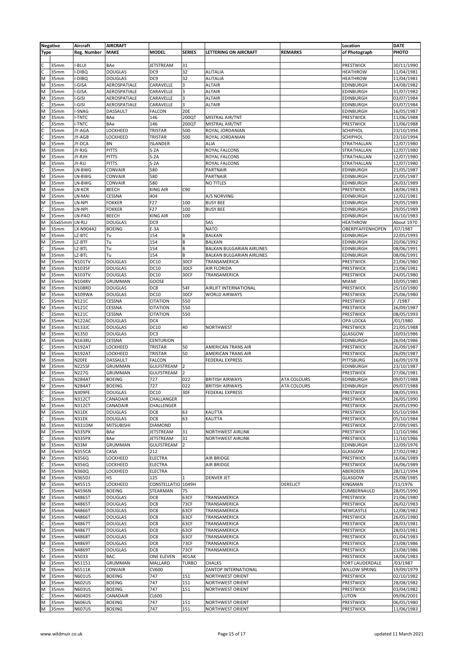|                         | <b>Negative</b> | Aircraft           | <b>AIRCRAFT</b>   |                   |                          |                                          |                 | Location                   | <b>DATE</b> |
|-------------------------|-----------------|--------------------|-------------------|-------------------|--------------------------|------------------------------------------|-----------------|----------------------------|-------------|
| <b>Type</b>             |                 | <b>Reg. Number</b> | <b>MAKE</b>       | <b>MODEL</b>      | <b>SERIES</b>            | <b>LETTERING ON AIRCRAFT</b>             | <b>REMARKS</b>  | of Photograph              | PHOTO       |
|                         |                 |                    |                   |                   |                          |                                          |                 |                            |             |
| C                       | 35mm            | I-BLUI             | BAe               | <b>JETSTREAM</b>  | 31                       |                                          |                 | PRESTWICK                  | 30/11/1990  |
|                         | 35mm            | I-DIBQ             | <b>DOUGLAS</b>    | DC <sub>9</sub>   | 32                       | <b>ALITALIA</b>                          |                 | <b>HEATHROW</b>            | 11/04/1981  |
| M                       | 35mm            | I-DIBQ             | <b>DOUGLAS</b>    | DC <sub>9</sub>   | 32                       | <b>ALITALIA</b>                          |                 | <b>HEATHROW</b>            | 11/04/1981  |
| M                       | 35mm            | -GISA              | AEROSPATIALE      | CARAVELLE         | 3                        | <b>ALTAIR</b>                            |                 | EDINBURGH                  | 14/08/1982  |
| M                       | 35mm            | -GISA              | AEROSPATIALE      | CARAVELLE         | 3                        | <b>ALTAIR</b>                            |                 | EDINBURGH                  | 31/07/1982  |
| M                       | 35mm            | I-GISI             | AEROSPATIALE      | CARAVELLE         | 3                        | <b>ALTAIR</b>                            |                 | EDINBURGH                  | 03/07/1984  |
|                         | 35mm            | -GISI              | AEROSPATIALE      | CARAVELLE         | 3                        | <b>ALTAIR</b>                            |                 | EDINBURGH                  | 03/07/1984  |
| M                       | 35mm            | I-SNAG             | DASSAULT          | <b>FALCON</b>     | 20E                      |                                          |                 | EDINBURGH                  | 16/05/1987  |
| M                       | 35mm            | I-TNTC             | BAe               | 146               | 200QT                    | MISTRAL AIR/TNT                          |                 | PRESTWICK                  | 11/06/1988  |
|                         | 35mm            | I-TNTC             | BAe               | 146               | 200QT                    | MISTRAL AIR/TNT                          |                 | PRESTWICK                  | 11/06/1988  |
| $\overline{\mathsf{c}}$ | 35mm            | JY-AGA             | LOCKHEED          | TRISTAR           | 500                      | ROYAL JORDANIAN                          |                 | SCHIPHOL                   | 23/10/1994  |
|                         | 35mm            | JY-AGB             | LOCKHEED          | <b>TRISTAR</b>    | 500                      | ROYAL JORDANIAN                          |                 | SCHIPHOL                   | 23/10/1994  |
| M                       | 35mm            | JY-DCA             | BN                | <b>ISLANDER</b>   |                          | <b>ALIA</b>                              |                 | STRATHALLAN                | 12/07/1980  |
| M                       | 35mm            | JY-RJG             | <b>PITTS</b>      | $S-2A$            |                          | ROYAL FALCONS                            |                 | STRATHALLAN                | 12/07/1980  |
|                         | 35mm            | JY-RJH             | <b>PITTS</b>      | $S-2A$            |                          |                                          |                 |                            | 12/07/1980  |
| M                       |                 |                    |                   |                   |                          | ROYAL FALCONS                            |                 | STRATHALLAN                |             |
| M                       | 35mm            | JY-RJJ             | <b>PITTS</b>      | $S-2A$            |                          | ROYAL FALCONS                            |                 | STRATHALLAN                | 12/07/1980  |
|                         | 35mm            | LN-BWG             | CONVAIR           | 580               |                          | <b>PARTNAIR</b>                          |                 | EDINBURGH                  | 21/05/1987  |
| M                       | 35mm            | LN-BWG             | CONVAIR           | 580               |                          | PARTNAIR                                 |                 | EDINBURGH                  | 21/05/1987  |
| M                       | 35mm            | LN-BWG             | CONVAIR           | 580               |                          | <b>NO TITLES</b>                         |                 | EDINBURGH                  | 26/03/1989  |
| M                       | 35mm            | LN-KCR             | <b>BEECH</b>      | <b>KING AIR</b>   | C90                      |                                          |                 | PRESTWICK                  | 18/06/1983  |
| M                       | 35mm            | LN-MAI             | CESSNA            | 404               |                          | A/S NORVING                              |                 | EDINBURGH                  | 12/02/1981  |
| M                       | 35mm            | LN-NPI             | <b>FOKKER</b>     | F27               | 100                      | <b>BUSY BEE</b>                          |                 | EDINBURGH                  | 29/05/1989  |
| C                       | 35mm            | LN-NPI             | <b>FOKKER</b>     | F27               | 100                      | <b>BUSY BEE</b>                          |                 | EDINBURGH                  | 29/05/1989  |
| M                       | 35mm            | LN-PAO             | <b>BEECH</b>      | <b>KING AIR</b>   | 100                      |                                          |                 | EDINBURGH                  | 16/10/1983  |
| M                       | 65x65mm         | LN-RLJ             | <b>DOUGLAS</b>    | DC <sub>9</sub>   |                          | SAS                                      |                 | <b>HEATHROW</b>            | About 1970  |
| M                       | 35mm            | LX-N90442          | <b>BOEING</b>     | $E-3A$            |                          | <b>NATO</b>                              |                 | OBERPFAFFENHOPEN           | /07/1987    |
| M                       | 35mm            | LZ-BTC             | Tu                | 154               | B                        | <b>BALKAN</b>                            |                 | EDINBURGH                  | 22/05/1993  |
| M                       | 35mm            | LZ-BTF             | Tu                | 154               | B                        | <b>BALKAN</b>                            |                 | EDINBURGH                  | 20/06/1992  |
|                         | 35mm            | LZ-BTL             | Tu                | 154               | B                        | BALKAN BULGARIAN AIRLINES                |                 | EDINBURGH                  | 08/06/1991  |
| M                       | 35mm            | LZ-BTL             | Tu                | 154               | R                        | <b>BALKAN BULGARIAN AIRLINES</b>         |                 | EDINBURGH                  | 08/06/1991  |
| M                       | 35mm            | N101TV             | <b>DOUGLAS</b>    | <b>DC10</b>       | 30CF                     | TRANSAMERICA                             |                 | PRESTWICK                  | 21/06/1980  |
| M                       | 35mm            | N1035F             | <b>DOUGLAS</b>    | <b>DC10</b>       | 30CF                     | <b>AIR FLORIDA</b>                       |                 | PRESTWICK                  | 21/06/1981  |
| M                       | 35mm            | N103TV             | <b>DOUGLAS</b>    | <b>DC10</b>       | 30CF                     | TRANSAMERICA                             |                 | PRESTWICK                  | 24/05/1980  |
| M                       | 35mm            | N1048V             | <b>GRUMMAN</b>    | GOOSE             |                          |                                          |                 | MIAMI                      | 10/05/1980  |
| M                       | 35mm            | N108RD             | <b>DOUGLAS</b>    | DC8               | 54F                      | AIRLIFT INTERNATIONAL                    |                 | PRESTWICK                  | 25/10/1980  |
| M                       | 35mm            | N109WA             | <b>DOUGLAS</b>    | DC10              | 30CF                     | <b>WORLD AIRWAYS</b>                     |                 | PRESTWICK                  | 25/06/1980  |
|                         | 35mm            | N121C              | CESSNA            | <b>CITATION</b>   | 550                      |                                          |                 | PRESTWICK                  | //1987      |
| M                       | 35mm            | N121C              | CESSNA            | <b>CITATION</b>   | 550                      |                                          |                 | PRESTWICK                  | 26/09/1987  |
|                         | 35mm            | N121C              | CESSNA            | <b>CITATION</b>   | 550                      |                                          |                 | PRESTWICK                  | 08/05/1993  |
| M                       | 35mm            | <b>N122AC</b>      | <b>DOUGLAS</b>    | DC4               |                          |                                          |                 | OPA LOCKA                  | /01/1980    |
| M                       | 35mm            | <b>N133JC</b>      | <b>DOUGLAS</b>    | <b>DC10</b>       | 40                       | <b>NORTHWEST</b>                         |                 | PRESTWICK                  | 21/05/1988  |
| M                       | 35mm            | N1350              | <b>DOUGLAS</b>    | DC3               |                          |                                          |                 | GLASGOW                    | 10/03/1986  |
|                         |                 |                    |                   |                   |                          |                                          |                 |                            |             |
| M                       | 35mm            | N1638U             | CESSNA            | <b>CENTURION</b>  |                          |                                          |                 | EDINBURGH                  | 26/04/1986  |
| C                       | 35mm            | <b>N192AT</b>      | LOCKHEED          | TRISTAR           | 50                       | <b>AMERICAN TRANS AIR</b>                |                 | PRESTWICK                  | 26/09/1987  |
| M                       | 35mm            | <b>N192AT</b>      | LOCKHEED          | <b>TRISTAR</b>    | 50                       | <b>AMERICAN TRANS AIR</b>                |                 | PRESTWICK                  | 26/09/1987  |
| M                       | 35mm            | N20FE              | DASSAULT          | <b>FALCON</b>     |                          | <b>FEDERAL EXPRESS</b>                   |                 | PITTSBURG                  | 16/09/1978  |
| M                       | 35mm            | <b>N225SF</b>      | GRUMMAN           | <b>GULFSTREAM</b> | $\overline{2}$           |                                          |                 | EDINBURGH                  | 23/10/1987  |
| M                       | 35mm            | N227G              | GRUMMAN           | <b>GULFSTREAM</b> | $\overline{\phantom{0}}$ |                                          |                 | PRESTWICK                  | 27/06/1981  |
|                         | 35mm            | <b>N284AT</b>      | <b>BOEING</b>     | 727               | 022                      | <b>BRITISH AIRWAYS</b>                   | ATA COLOURS     | EDINBURGH                  | 09/07/1988  |
| $M_{\odot}$             | 35mm            | <b>N284AT</b>      | <b>BOEING</b>     | 727               | 022                      | <b>BRITISH AIRWAYS</b>                   | ATA COLOURS     | EDINBURGH                  | 09/07/1988  |
| $\frac{c}{c}$           | 35mm            | <b>N309FE</b>      | <b>DOUGLAS</b>    | <b>DC10</b>       | 30F                      | <b>FEDERAL EXPRESS</b>                   |                 | <b>PRESTWICK</b>           | 08/05/1993  |
|                         | 35mm            | <b>N312CT</b>      | CANADAIR          | CHALLANGER        |                          |                                          |                 | PRESTWICK                  | 26/05/1990  |
| M                       | 35mm            | <b>N312CT</b>      | CANADAIR          | CHALLENGER        |                          |                                          |                 | PRESTWICK                  | 26/05/1990  |
| M                       | 35mm            | N31EK              | <b>DOUGLAS</b>    | DC8               | 63                       | KALITTA                                  |                 | PRESTWICK                  | 05/10/1984  |
|                         | 35mm            | N31EK              | <b>DOUGLAS</b>    | DC8               | 63                       | KALITTA                                  |                 | PRESTWICK                  | 05/10/1984  |
| M                       | 35mm            | <b>N331DM</b>      | <b>MITSUBISHI</b> | <b>DIAMOND</b>    |                          |                                          |                 | PRESTWICK                  | 27/09/1985  |
| M                       | 35mm            | <b>N335PX</b>      | BAe               | <b>JETSTREAM</b>  | 31                       | <b>NORTHWEST AIRLINK</b>                 |                 | PRESTWICK                  | 11/10/1986  |
| c                       | 35mm            | <b>N335PX</b>      | BAe               | JETSTREAM         | 31                       | <b>NORTHWEST AIRLINK</b>                 |                 | PRESTWICK                  | 11/10/1986  |
| M                       | 35mm            | N33M               | <b>GRUMMAN</b>    | GULFSTREAM        | 12                       |                                          |                 | EDINBURGH                  | 12/09/1976  |
| M                       | 35mm            | <b>N355CA</b>      | CASA              | 212               |                          |                                          |                 | GLASGOW                    | 27/02/1982  |
| M                       | 35mm            | <b>N356Q</b>       | LOCKHEED          | <b>ELECTRA</b>    |                          | AIR BRIDGE                               |                 | PRESTWICK                  | 16/06/1989  |
| C                       | 35mm            | <b>N356Q</b>       | LOCKHEED          | <b>ELECTRA</b>    |                          | <b>AIR BRIDGE</b>                        |                 | PRESTWICK                  | 16/06/1989  |
| M                       | 35mm            | N360Q              | LOCKHEED          | <b>ELECTRA</b>    |                          |                                          |                 | ABERDEEN                   | 28/12/1994  |
| M                       | 35mm            | <b>N365DJ</b>      | HS                | 125               |                          | <b>DENVER JET</b>                        |                 | GLASGOW                    | 25/08/1985  |
| M                       | 35mm            | N45515             | LOCKHEED          | CONSTELLATIO      | 1049H                    |                                          | <b>DERELICT</b> | KINGMAN                    | /11/1976    |
| lc                      | 35mm            | N4596N             | <b>BOEING</b>     | STEARMAN          | 75                       |                                          |                 | CUMBERNAULD                | 28/05/1990  |
| M                       | 35mm            | N4865T             | <b>DOUGLAS</b>    | DC8               | 63CF                     | TRANSAMERICA                             |                 | PRESTWICK                  | 21/06/1980  |
| M                       | 35mm            | N4865T             | <b>DOUGLAS</b>    | DC8               | 73CF                     | TRANSAMERICA                             |                 | PRESTWICK                  | 26/02/1983  |
| M                       | 35mm            | N4866T             | <b>DOUGLAS</b>    | DC8               | 63CF                     | TRANSAMERICA                             |                 | NEWCASTLE                  | 12/08/1982  |
| M                       | 35mm            | N4866T             | <b>DOUGLAS</b>    | DC8               | 63CF                     | TRANSAMERICA                             |                 | PRESTWICK                  | 26/05/1980  |
| lc                      | 35mm            | N4867T             | <b>DOUGLAS</b>    | DC8               | 63CF                     | TRANSAMERICA                             |                 | PRESTWICK                  | 28/03/1981  |
| M                       | 35mm            | N4867T             | <b>DOUGLAS</b>    | DC8               | 63CF                     | TRANSAMERICA                             |                 | PRESTWICK                  | 28/03/1981  |
| M                       | 35mm            | N4868T             | <b>DOUGLAS</b>    | DC8               | 63CF                     | TRANSAMERICA                             |                 | PRESTWICK                  | 01/04/1983  |
| M                       | 35mm            | N4869T             | <b>DOUGLAS</b>    | DC8               | 73CF                     | TRANSAMERICA                             |                 | PRESTWICK                  | 23/08/1986  |
|                         | 35mm            | N4869T             | <b>DOUGLAS</b>    | DC8               | 73CF                     | TRANSAMERICA                             |                 | PRESTWICK                  | 23/08/1986  |
| M                       | 35mm            | N5033              | BAC               | ONE ELEVEN        | 401AK                    |                                          |                 | PRESTWICK                  | 18/06/1983  |
| M                       | 35mm            | N51151             | GRUMMAN           | MALLARD           | <b>TURBO</b>             | <b>CHALKS</b>                            |                 | FORT LAUDERDALE            | /03/1987    |
| M                       | 35mm            | N5511K             | CONVAIR           | CV600             |                          |                                          |                 |                            | 19/09/1979  |
| M                       | 35mm            | <b>N601US</b>      | <b>BOEING</b>     | 747               | 151                      | ZANTOP INTERNATIONAL<br>NORTHWEST ORIENT |                 | WILLOW SPRING<br>PRESTWICK |             |
|                         |                 |                    |                   | 747               |                          |                                          |                 |                            | 02/10/1982  |
| M                       | 35mm            | <b>N602US</b>      | <b>BOEING</b>     | 747               | 151                      | NORTHWEST ORIENT                         |                 | PRESTWICK                  | 28/08/1982  |
| M                       | 35mm            | <b>N603US</b>      | <b>BOEING</b>     |                   | 151                      | NORTHWEST ORIENT                         |                 | PRESTWICK                  | 03/04/1982  |
| C                       | 35mm            | <b>N604DS</b>      | CANADAIR          | CL600             |                          |                                          |                 | LUTON                      | 09/06/2001  |
| M                       | 35mm            | <b>N606US</b>      | <b>BOEING</b>     | 747               | 151                      | <b>NORTHWEST ORIENT</b>                  |                 | PRESTWICK                  | 06/05/1980  |
| M                       | 35mm            | <b>N607US</b>      | <b>BOEING</b>     | 747               | 151                      | NORTHWEST ORIENT                         |                 | PRESTWICK                  | 11/06/1983  |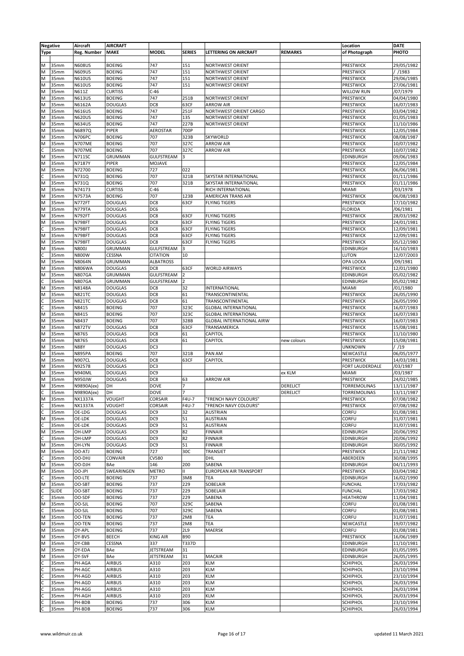|             | <b>Negative</b> | Aircraft                     | <b>AIRCRAFT</b> |                   |               |                                  |                 | Location                  | <b>DATE</b>              |
|-------------|-----------------|------------------------------|-----------------|-------------------|---------------|----------------------------------|-----------------|---------------------------|--------------------------|
| <b>Type</b> |                 | Reg. Number                  | <b>MAKE</b>     | <b>MODEL</b>      | <b>SERIES</b> | LETTERING ON AIRCRAFT            | <b>REMARKS</b>  | of Photograph             | PHOTO                    |
|             |                 |                              |                 |                   |               |                                  |                 |                           |                          |
| M           | 35mm            | <b>N608US</b>                | <b>BOEING</b>   | 747               | 151           | <b>NORTHWEST ORIENT</b>          |                 | PRESTWICK                 | 29/05/1982               |
| M           | 35mm            | <b>N609US</b>                | <b>BOEING</b>   | 747               | 151           | <b>NORTHWEST ORIENT</b>          |                 | PRESTWICK                 | //1983                   |
| M           | 35mm            | <b>N610US</b>                | <b>BOEING</b>   | 747               | 151           | <b>NORTHWEST ORIENT</b>          |                 | PRESTWICK                 | 29/06/1985               |
| M           | 35mm            | <b>N610US</b>                | <b>BOEING</b>   | 747               | 151           | <b>NORTHWEST ORIENT</b>          |                 | PRESTWICK                 | 27/06/1981               |
| M           | 35mm            | N611Z                        | <b>CURTISS</b>  | $C-46$            |               |                                  |                 | WILLOW RUN                | /07/1979                 |
| İМ          | 35mm            | <b>N613US</b>                | <b>BOEING</b>   | 747               | 251B          | <b>NORTHWEST ORIENT</b>          |                 | PRESTWICK                 | 04/04/1980               |
|             |                 |                              |                 | DC8               | 63CF          | <b>ARROW AIR</b>                 |                 |                           |                          |
| M           | 35mm            | N6162A                       | <b>DOUGLAS</b>  |                   |               |                                  |                 | PRESTWICK                 | 16/07/1983               |
| M           | 35mm            | <b>N616US</b>                | <b>BOEING</b>   | 747               | 251F          | NORTHWEST ORIENT CARGO           |                 | PRESTWICK                 | 03/04/1982               |
| M           | 35mm            | <b>N620US</b>                | <b>BOEING</b>   | 747               | 135           | <b>NORTHWEST ORIENT</b>          |                 | PRESTWICK                 | 01/05/1983               |
| M           | 35mm            | <b>N634US</b>                | <b>BOEING</b>   | 747               | 227B          | <b>NORTHWEST ORIENT</b>          |                 | PRESTWICK                 | 11/10/1986               |
| M           | 35mm            | N6897Q                       | PIPER           | AEROSTAR          | 700P          |                                  |                 | PRESTWICK                 | 12/05/1984               |
| M           | 35mm            | <b>N706PC</b>                | <b>BOEING</b>   | 707               | 323B          | SKYWORLD                         |                 | PRESTWICK                 | 08/08/1987               |
| M           | 35mm            | <b>N707ME</b>                | <b>BOEING</b>   | 707               | 327C          | <b>ARROW AIR</b>                 |                 | PRESTWICK                 | 10/07/1982               |
| C           | 35mm            | <b>N707ME</b>                | <b>BOEING</b>   | 707               | 327C          | <b>ARROW AIR</b>                 |                 | PRESTWICK                 | 10/07/1982               |
| M           | 35mm            | <b>N711SC</b>                | GRUMMAN         | <b>GULFSTREAM</b> |               |                                  |                 | EDINBURGH                 | 09/06/1983               |
| M           | 35mm            | N7187Y                       | PIPER           | MOJAVE            |               |                                  |                 | PRESTWICK                 | 12/05/1984               |
| M           | 35mm            | N72700                       | <b>BOEING</b>   | 727               | 022           |                                  |                 | PRESTWICK                 | 06/06/1981               |
| C           | 35mm            | N731Q                        | <b>BOEING</b>   | 707               | 321B          | SKYSTAR INTERNATIONAL            |                 | PRESTWICK                 | 01/11/1986               |
| M           | 35mm            | N731Q                        | <b>BOEING</b>   | 707               | 321B          | SKYSTAR INTERNATIONAL            |                 | PRESTWICK                 | 01/11/1986               |
| M           | 35mm            | N74173                       | <b>CURTISS</b>  | $C-46$            |               | RICH INTERNATIONAL               |                 | MIAMI                     | /03/1978                 |
| M           | 35mm            | N7573A                       | <b>BOEING</b>   | 707               | 123B          | <b>AMERICAN TRANS AIR</b>        |                 | PRESTWICK                 | 06/08/1983               |
|             |                 |                              |                 | DC8               | 63CF          | <b>FLYING TIGERS</b>             |                 |                           | 17/10/1982               |
| M           | 35mm            | N772FT                       | <b>DOUGLAS</b>  |                   |               |                                  |                 | PRESTWICK                 |                          |
| M           | 35mm            | <b>N779TA</b>                | <b>DOUGLAS</b>  | DC6               |               |                                  |                 | <b>FLORIDA</b>            | /06/1981                 |
| M           | 35mm            | N792FT                       | <b>DOUGLAS</b>  | DC8               | 63CF          | <b>FLYING TIGERS</b>             |                 | PRESTWICK                 | 28/03/1982               |
| M           | 35mm            | <b>N798FT</b>                | <b>DOUGLAS</b>  | DC8               | 63CF          | <b>FLYING TIGERS</b>             |                 | PRESTWICK                 | 24/01/1981               |
|             | 35mm            | <b>N798FT</b>                | <b>DOUGLAS</b>  | DC8               | 63CF          | <b>FLYING TIGERS</b>             |                 | PRESTWICK                 | 12/09/1981               |
| M           | 35mm            | <b>N798FT</b>                | <b>DOUGLAS</b>  | DC8               | 63CF          | <b>FLYING TIGERS</b>             |                 | PRESTWICK                 | 12/09/1981               |
| M           | 35mm            | <b>N798FT</b>                | <b>DOUGLAS</b>  | DC8               | 63CF          | <b>FLYING TIGERS</b>             |                 | PRESTWICK                 | 05/12/1980               |
| M           | 35mm            | <b>N800J</b>                 | GRUMMAN         | GULFSTREAM        | 3             |                                  |                 | EDINBURGH                 | 16/10/1983               |
|             | 35mm            | N800W                        | CESSNA          | <b>CITATION</b>   | 10            |                                  |                 | LUTON                     | 12/07/2003               |
| M           | 35mm            | N8064N                       | GRUMMAN         | <b>ALBATROSS</b>  |               |                                  |                 | OPA LOCKA                 | /09/1981                 |
| M           | 35mm            | <b>N806WA</b>                | <b>DOUGLAS</b>  | DC8               | 63CF          | <b>WORLD AIRWAYS</b>             |                 | PRESTWICK                 | 12/01/1980               |
| M           | 35mm            | <b>N807GA</b>                | GRUMMAN         | <b>GULFSTREAM</b> | 2             |                                  |                 | EDINBURGH                 | 05/02/1982               |
| C           | 35mm            | <b>N807GA</b>                | GRUMMAN         | GULFSTREAM        | 2             |                                  |                 | EDINBURGH                 | 05/02/1982               |
| M           | 35mm            | N8148A                       | <b>DOUGLAS</b>  | DC8               | 32            | INTERNATIONAL                    |                 | MIAMI                     | /01/1980                 |
| M           | 35mm            | <b>N821TC</b>                | <b>DOUGLAS</b>  | DC8               | 61            | TRANSCONTINENTAL                 |                 | PRESTWICK                 | 26/05/1990               |
| C           | 35mm            | <b>N821TC</b>                | <b>DOUGLAS</b>  | DC8               | 61            | TRANSCONTINENTAL                 |                 | PRESTWICK                 | 26/05/1990               |
|             |                 |                              |                 |                   |               |                                  |                 |                           |                          |
| C           | 35mm            | N8415                        | <b>BOEING</b>   | 707               | 323C          | <b>GLOBAL INTERNATIONAL</b>      |                 | PRESTWICK                 | 16/07/1983               |
| M           | 35mm            | N8415                        | <b>BOEING</b>   | 707               | 323C          | <b>GLOBAL INTERNATIONAL</b>      |                 | PRESTWICK                 | 16/07/1983               |
| M           | 35mm            | N8437                        | <b>BOEING</b>   | 707               | 328B          | <b>GLOBAL INTERNATIONAL AIRW</b> |                 | PRESTWICK                 | 16/07/1983               |
| M           | 35mm            | <b>N872TV</b>                | <b>DOUGLAS</b>  | DC8               | 63CF          | TRANSAMERICA                     |                 | PRESTWICK                 | 15/08/1981               |
| M           | 35mm            | N8765                        | <b>DOUGLAS</b>  | DC8               | 61            | CAPITOL                          |                 | PRESTWICK                 | 11/10/1980               |
| M           | 35mm            | N8765                        | <b>DOUGLAS</b>  | DC8               | 61            | CAPITOL                          | new colours     | PRESTWICK                 | 15/08/1981               |
| M           | 35mm            | <b>N88Y</b>                  | <b>DOUGLAS</b>  | DC3               |               |                                  |                 | <b>UNKNOWN</b>            | /19                      |
| M           | 35mm            | <b>N895PA</b>                | <b>BOEING</b>   | 707               | 321B          | PAN AM                           |                 | NEWCASTLE                 | 06/05/1977               |
| M           | 35mm            | <b>N907CL</b>                | <b>DOUGLAS</b>  | DC8               | 63CF          | CAPITOL                          |                 | <b>PRESTWICK</b>          | 14/03/1981               |
| M           | 35mm            | N92578                       | <b>DOUGLAS</b>  | DC3               |               |                                  |                 | FORT LAUDERDALE           | /03/1987                 |
| M           | 35mm            | <b>N940ML</b>                | <b>DOUGLAS</b>  | DC <sub>9</sub>   |               |                                  | ex KLM          | MIAMI                     | /03/1987                 |
| M           | 35mm            | <b>N950JW</b>                | <b>DOUGLAS</b>  | DC8               | 63            | <b>ARROW AIR</b>                 |                 | PRESTWICK                 | 24/02/1985               |
| M           | 35mm            | N9890A(ex)                   | DH              | <b>DOVE</b>       |               |                                  | <b>DERELICT</b> | TORREMOLINAS              | 13/11/1987               |
|             |                 |                              | DH              | <b>DOVE</b>       |               |                                  |                 |                           |                          |
| Iс<br>M     | 35mm<br>35mm    | N9890A(ex)<br><b>NX1337A</b> |                 | CORSAIR           | F4U-7         | "FRENCH NAVY COLOURS"            | <b>DERELICT</b> | TORREMOLINAS<br>PRESTWICK | 13/11/1987<br>07/08/1982 |
|             |                 |                              | VOUGHT          |                   |               |                                  |                 |                           |                          |
| C           | 35mm            | <b>NX1337A</b>               | VOUGHT          | CORSAIR           | F4U-7         | "FRENCH NAVY COLOURS"            |                 | PRESTWICK                 | 07/08/1982               |
| C           | 35mm            | OE-LDG                       | <b>DOUGLAS</b>  | DC9               | 32            | AUSTRIAN                         |                 | CORFU                     | 01/08/1981               |
| M           | 35mm            | OE-LDK                       | <b>DOUGLAS</b>  | DC <sub>9</sub>   | 51            | <b>AUSTRIAN</b>                  |                 | CORFU                     | 31/07/1981               |
|             | 35mm            | OE-LDK                       | <b>DOUGLAS</b>  | DC <sub>9</sub>   | 51            | <b>AUSTRIAN</b>                  |                 | CORFU                     | 31/07/1981               |
| M           | 35mm            | OH-LMP                       | <b>DOUGLAS</b>  | DC <sub>9</sub>   | 82            | <b>FINNAIR</b>                   |                 | EDINBURGH                 | 20/06/1992               |
| C           | 35mm            | OH-LMP                       | <b>DOUGLAS</b>  | DC <sub>9</sub>   | 82            | <b>FINNAIR</b>                   |                 | EDINBURGH                 | 20/06/1992               |
| M           | 35mm            | OH-LYN                       | <b>DOUGLAS</b>  | DC9               | 51            | <b>FINNAIR</b>                   |                 | EDINBURGH                 | 30/05/1992               |
| M           | 35mm            | OO-ATJ                       | <b>BOEING</b>   | 727               | 30C           | TRANSJET                         |                 | PRESTWICK                 | 21/11/1982               |
|             | 35mm            | OO-DHJ                       | <b>CONVAIR</b>  | CV580             |               | DHL                              |                 | ABERDEEN                  | 30/08/1995               |
| IM.         | 35mm            | OO-DJH                       | BAe             | 146               | 200           | SABENA                           |                 | EDINBURGH                 | 04/11/1993               |
| M           | 35mm            | OO-JPI                       | SWEARINGEN      | <b>METRO</b>      | Ш             | <b>EUROPEAN AIR TRANSPORT</b>    |                 | PRESTWICK                 | 03/04/1982               |
|             | 35mm            | OO-LTE                       | <b>BOEING</b>   | 737               | 3M8           | <b>TEA</b>                       |                 | EDINBURGH                 | 16/02/1990               |
|             | 35mm            | OO-SBT                       | <b>BOEING</b>   | 737               | 229           | SOBELAIR                         |                 | <b>FUNCHAL</b>            | 17/03/1982               |
| M           | <b>SLIDE</b>    | OO-SBT                       | <b>BOEING</b>   | 737               | 229           | <b>SOBELAIR</b>                  |                 | <b>FUNCHAL</b>            | 17/03/1982               |
| C           |                 |                              |                 |                   |               |                                  |                 |                           |                          |
|             | 35mm            | OO-SDF                       | <b>BOEING</b>   | 737               | 229           | SABENA                           |                 | <b>HEATHROW</b>           | 11/04/1981               |
| M           | 35mm            | OO-SJL                       | <b>BOEING</b>   | 707               | 329C          | SABENA                           |                 | CORFU                     | 01/08/1981               |
| C           | 35mm            | OO-SJL                       | <b>BOEING</b>   | 707               | 329C          | SABENA                           |                 | CORFU                     | 01/08/1981               |
| M           | 35mm            | OO-TEN                       | <b>BOEING</b>   | 737               | 2M8           | <b>TEA</b>                       |                 | CORFU                     | 31/07/1981               |
| M           | 35mm            | OO-TEN                       | <b>BOEING</b>   | 737               | 2M8           | TEA                              |                 | NEWCASTLE                 | 19/07/1982               |
| M           | 35mm            | OY-APL                       | <b>BOEING</b>   | 737               | <b>2L9</b>    | MAERSK                           |                 | CORFU                     | 01/08/1981               |
| M           | 35mm            | OY-BVS                       | <b>BEECH</b>    | <b>KING AIR</b>   | <b>B90</b>    |                                  |                 | PRESTWICK                 | 16/06/1989               |
| M           | 35mm            | OY-CBB                       | CESSNA          | 337               | T337D         |                                  |                 | EDINBURGH                 | 11/10/1981               |
| M           | 35mm            | OY-EDA                       | BAe             | <b>JETSTREAM</b>  | 31            |                                  |                 | EDINBURGH                 | 01/05/1995               |
| M           | 35mm            | OY-SVF                       | BAe             | <b>JETSTREAM</b>  | 31            | <b>MACAIR</b>                    |                 | EDINBURGH                 | 26/05/1995               |
|             | 35mm            | PH-AGA                       | <b>AIRBUS</b>   | A310              | 203           | <b>KLM</b>                       |                 | SCHIPHOL                  | 26/03/1994               |
| C           | 35mm            | PH-AGC                       | <b>AIRBUS</b>   | A310              | 203           | <b>KLM</b>                       |                 | SCHIPHOL                  | 23/10/1994               |
|             |                 |                              |                 |                   |               | <b>KLM</b>                       |                 |                           |                          |
| C           | 35mm            | PH-AGD                       | <b>AIRBUS</b>   | A310              | 203           |                                  |                 | SCHIPHOL                  | 23/10/1994               |
|             | 35mm            | PH-AGD                       | <b>AIRBUS</b>   | A310              | 203           | <b>KLM</b>                       |                 | SCHIPHOL                  | 26/03/1994               |
|             | 35mm            | PH-AGG                       | <b>AIRBUS</b>   | A310              | 203           | <b>KLM</b>                       |                 | SCHIPHOL                  | 26/03/1994               |
|             | 35mm            | PH-AGH                       | <b>AIRBUS</b>   | A310              | 203           | <b>KLM</b>                       |                 | SCHIPHOL                  | 26/03/1994               |
| c           | 35mm            | PH-BDB                       | <b>BOEING</b>   | 737               | 306           | <b>KLM</b>                       |                 | SCHIPHOL                  | 23/10/1994               |
|             | 35mm            | PH-BDB                       | <b>BOEING</b>   | 737               | 306           | <b>KLM</b>                       |                 | SCHIPHOL                  | 26/03/1994               |